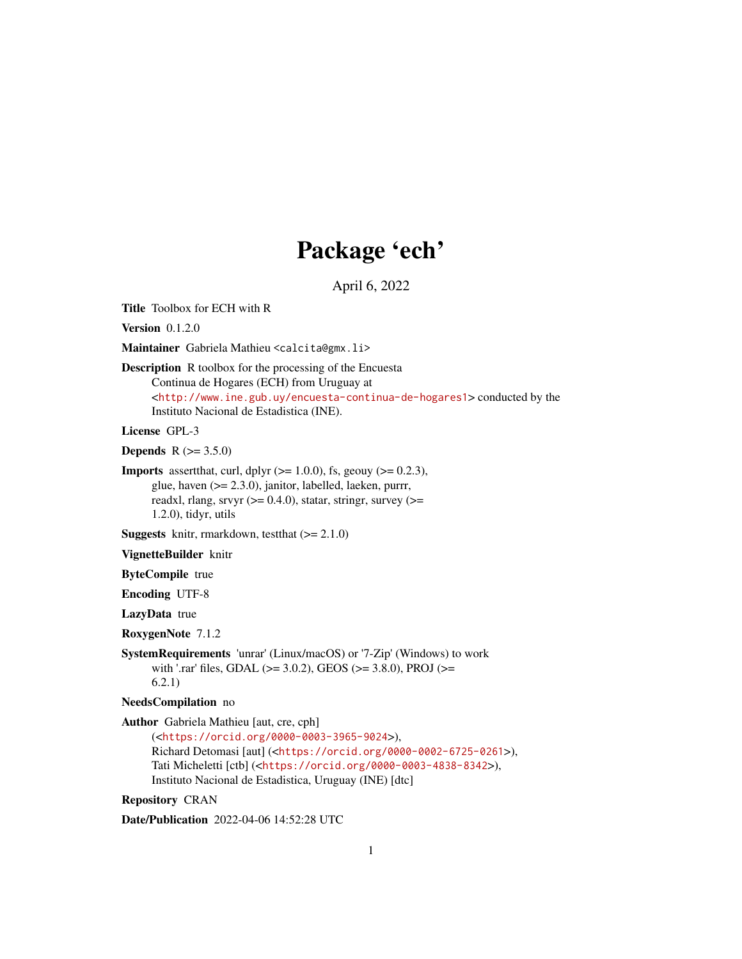# Package 'ech'

April 6, 2022

Title Toolbox for ECH with R

Version 0.1.2.0

Maintainer Gabriela Mathieu <calcita@gmx.li>

# Description R toolbox for the processing of the Encuesta Continua de Hogares (ECH) from Uruguay at <<http://www.ine.gub.uy/encuesta-continua-de-hogares1>> conducted by the Instituto Nacional de Estadistica (INE).

License GPL-3

**Depends**  $R (= 3.5.0)$ 

**Imports** assert that, curl, dplyr  $(>= 1.0.0)$ , fs, geouy  $(>= 0.2.3)$ , glue, haven (>= 2.3.0), janitor, labelled, laeken, purrr, readxl, rlang, srvyr  $(>= 0.4.0)$ , statar, stringr, survey  $(>=$ 1.2.0), tidyr, utils

**Suggests** knitr, rmarkdown, test that  $(>= 2.1.0)$ 

VignetteBuilder knitr

ByteCompile true

Encoding UTF-8

LazyData true

RoxygenNote 7.1.2

SystemRequirements 'unrar' (Linux/macOS) or '7-Zip' (Windows) to work with '.rar' files, GDAL ( $>=$  3.0.2), GEOS ( $>=$  3.8.0), PROJ ( $>=$ 6.2.1)

NeedsCompilation no

Author Gabriela Mathieu [aut, cre, cph] (<<https://orcid.org/0000-0003-3965-9024>>), Richard Detomasi [aut] (<<https://orcid.org/0000-0002-6725-0261>>), Tati Micheletti [ctb] (<<https://orcid.org/0000-0003-4838-8342>>), Instituto Nacional de Estadistica, Uruguay (INE) [dtc]

Repository CRAN

Date/Publication 2022-04-06 14:52:28 UTC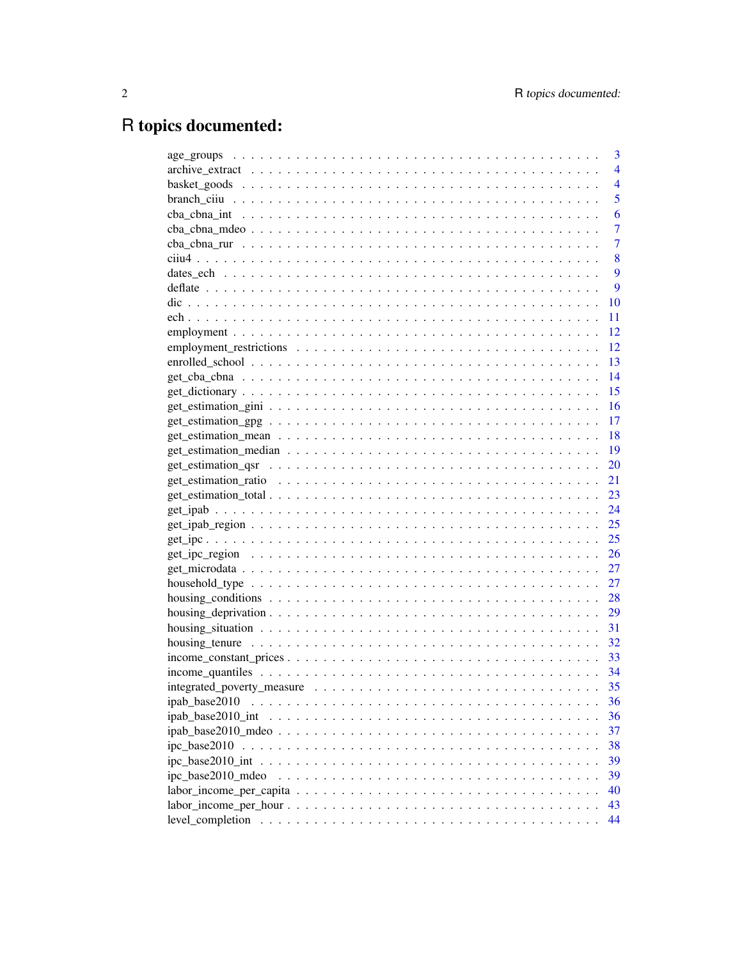# R topics documented:

|                                                                                                          | 3              |
|----------------------------------------------------------------------------------------------------------|----------------|
|                                                                                                          | 4              |
|                                                                                                          | $\overline{4}$ |
|                                                                                                          | 5              |
|                                                                                                          | 6              |
|                                                                                                          | 7              |
|                                                                                                          | 7              |
|                                                                                                          | 8              |
|                                                                                                          | 9              |
|                                                                                                          | 9              |
|                                                                                                          | 10             |
|                                                                                                          | 11             |
|                                                                                                          | 12             |
|                                                                                                          | 12             |
|                                                                                                          | 13             |
|                                                                                                          | 14             |
|                                                                                                          | 15             |
|                                                                                                          | 16             |
|                                                                                                          | -17            |
|                                                                                                          | -18            |
|                                                                                                          |                |
|                                                                                                          | 20             |
|                                                                                                          | 21             |
|                                                                                                          | 23             |
|                                                                                                          | 24             |
| $get\_ipab\_region \ldots \ldots \ldots \ldots \ldots \ldots \ldots \ldots \ldots \ldots \ldots \ldots$  | 25             |
|                                                                                                          | 25             |
|                                                                                                          | 26             |
|                                                                                                          | 27             |
|                                                                                                          | 27             |
| housing conditions $\ldots \ldots \ldots \ldots \ldots \ldots \ldots \ldots \ldots \ldots \ldots \ldots$ | 28             |
|                                                                                                          | 29             |
|                                                                                                          |                |
|                                                                                                          | 32             |
|                                                                                                          |                |
|                                                                                                          |                |
|                                                                                                          |                |
| ipab_base2010                                                                                            | 36             |
|                                                                                                          | 36             |
|                                                                                                          | 37             |
|                                                                                                          | 38             |
|                                                                                                          | 39             |
|                                                                                                          | 39             |
|                                                                                                          | 40             |
| $labor\_income\_per\_hour \dots \dots \dots \dots \dots \dots \dots \dots \dots \dots \dots \dots \dots$ | 43             |
| level_completion                                                                                         | 44             |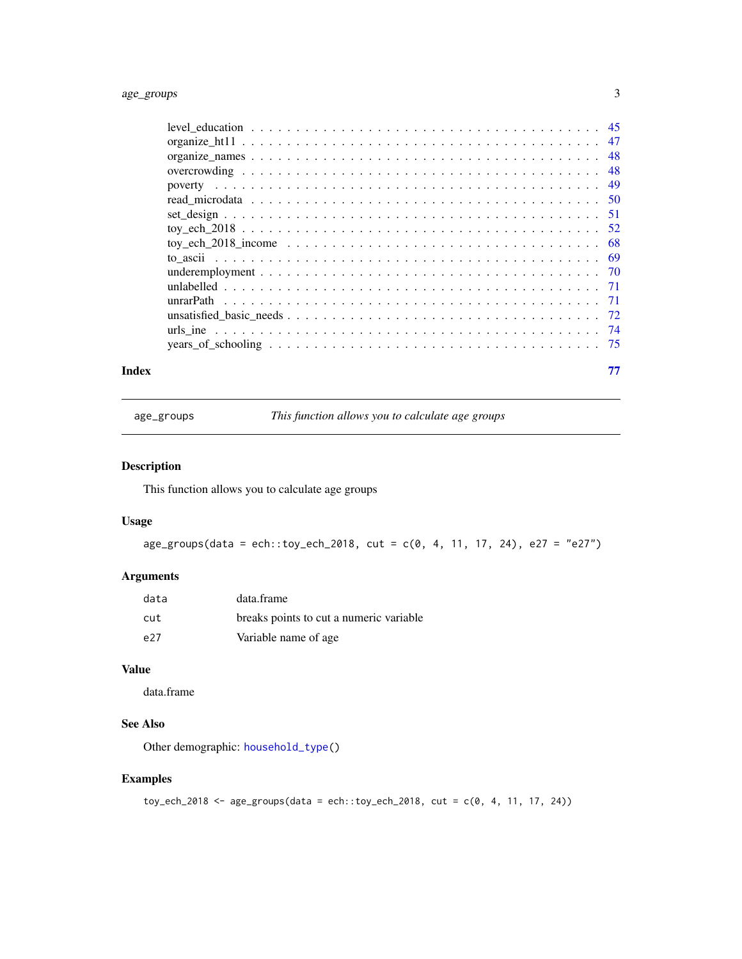# <span id="page-2-0"></span>age\_groups 3

#### **Index** [77](#page-76-0)

<span id="page-2-1"></span>age\_groups *This function allows you to calculate age groups*

# Description

This function allows you to calculate age groups

## Usage

 $age\_groups(data = ech::toy\_ech\_2018, cut = c(0, 4, 11, 17, 24), e27 = "e27")$ 

# Arguments

| data | data.frame                              |
|------|-----------------------------------------|
| cut  | breaks points to cut a numeric variable |
| e27  | Variable name of age                    |

# Value

data.frame

# See Also

Other demographic: [household\\_type\(](#page-26-1))

# Examples

```
toy_ech_2018 <- age_groups(data = ech::toy_ech_2018, cut = c(0, 4, 11, 17, 24))
```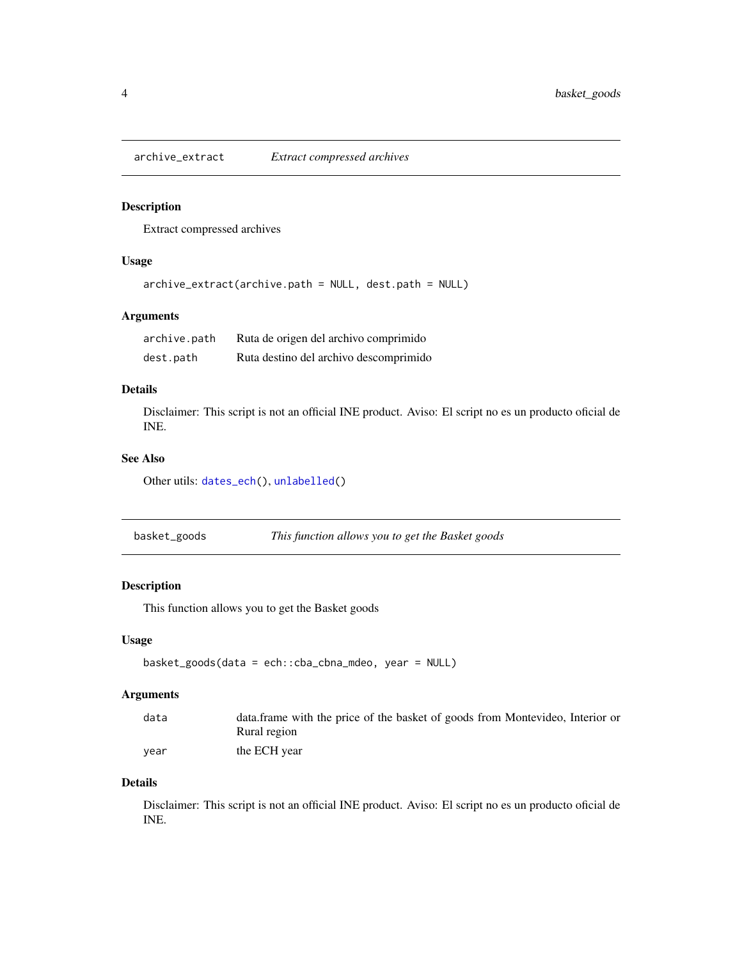<span id="page-3-1"></span><span id="page-3-0"></span>

## Description

Extract compressed archives

## Usage

```
archive_extract(archive.path = NULL, dest.path = NULL)
```
# Arguments

| archive.path | Ruta de origen del archivo comprimido  |
|--------------|----------------------------------------|
| dest.path    | Ruta destino del archivo descomprimido |

## Details

Disclaimer: This script is not an official INE product. Aviso: El script no es un producto oficial de INE.

## See Also

Other utils: [dates\\_ech\(](#page-8-1)), [unlabelled\(](#page-70-1))

<span id="page-3-2"></span>basket\_goods *This function allows you to get the Basket goods*

# Description

This function allows you to get the Basket goods

# Usage

```
basket_goods(data = ech::cba_cbna_mdeo, year = NULL)
```
## Arguments

| data | data frame with the price of the basket of goods from Montevideo, Interior or |
|------|-------------------------------------------------------------------------------|
|      | Rural region                                                                  |
| vear | the ECH year                                                                  |

## Details

Disclaimer: This script is not an official INE product. Aviso: El script no es un producto oficial de INE.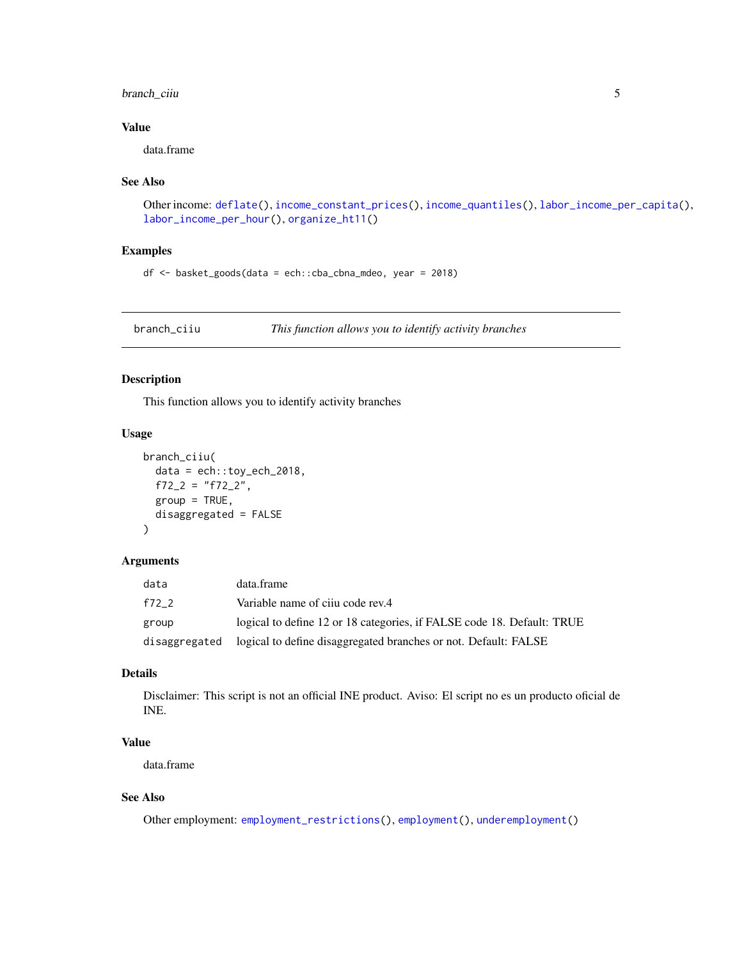# <span id="page-4-0"></span>branch\_ciiu 5

# Value

data.frame

## See Also

```
Other income: deflate(), income_constant_prices(), income_quantiles(), labor_income_per_capita(),
labor_income_per_hour(), organize_ht11()
```
## Examples

```
df <- basket_goods(data = ech::cba_cbna_mdeo, year = 2018)
```
<span id="page-4-1"></span>branch\_ciiu *This function allows you to identify activity branches*

## Description

This function allows you to identify activity branches

## Usage

```
branch_ciiu(
 data = ech::toy_ech_2018,
 f72_2 = "f72_2",
 group = TRUE,disaggregated = FALSE
)
```
# Arguments

| data          | data.frame                                                             |
|---------------|------------------------------------------------------------------------|
| f72 2         | Variable name of ciju code rev.4                                       |
| group         | logical to define 12 or 18 categories, if FALSE code 18. Default: TRUE |
| disaggregated | logical to define disaggregated branches or not. Default: FALSE        |

# Details

Disclaimer: This script is not an official INE product. Aviso: El script no es un producto oficial de INE.

# Value

data.frame

# See Also

Other employment: [employment\\_restrictions\(](#page-11-1)), [employment\(](#page-11-2)), [underemployment\(](#page-69-1))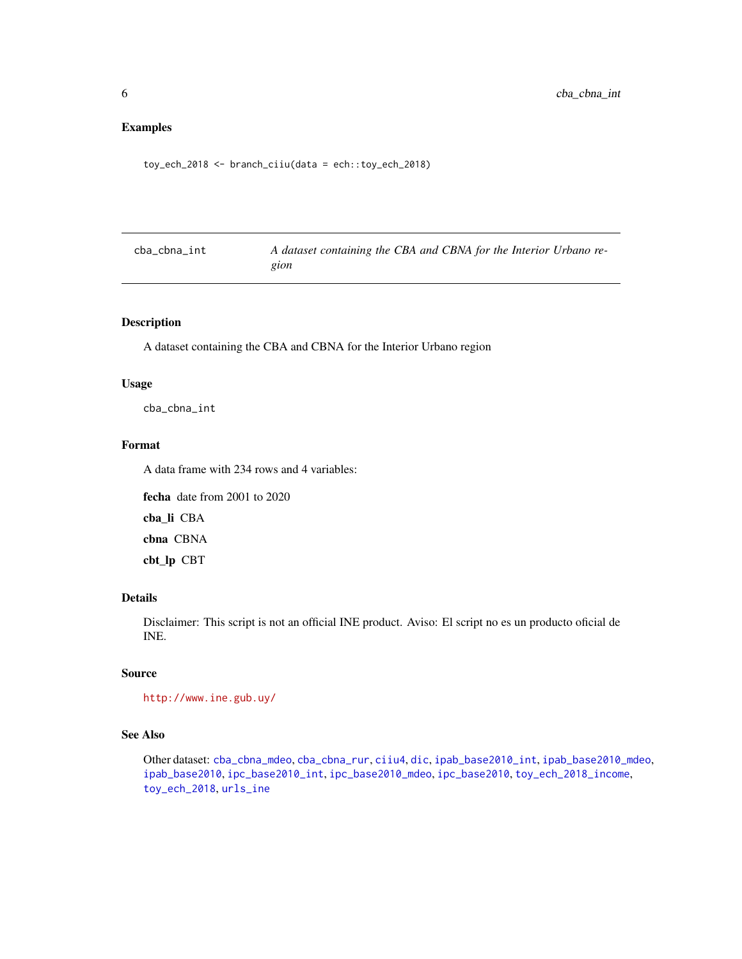# <span id="page-5-0"></span>Examples

toy\_ech\_2018 <- branch\_ciiu(data = ech::toy\_ech\_2018)

<span id="page-5-1"></span>

| cba_cbna_int | A dataset containing the CBA and CBNA for the Interior Urbano re- |
|--------------|-------------------------------------------------------------------|
|              | gion                                                              |

# Description

A dataset containing the CBA and CBNA for the Interior Urbano region

#### Usage

cba\_cbna\_int

## Format

A data frame with 234 rows and 4 variables:

fecha date from 2001 to 2020 cba\_li CBA

cbna CBNA

cbt\_lp CBT

## Details

Disclaimer: This script is not an official INE product. Aviso: El script no es un producto oficial de INE.

# Source

```
http://www.ine.gub.uy/
```
## See Also

Other dataset: [cba\\_cbna\\_mdeo](#page-6-1), [cba\\_cbna\\_rur](#page-6-2), [ciiu4](#page-7-1), [dic](#page-9-1), [ipab\\_base2010\\_int](#page-35-1), [ipab\\_base2010\\_mdeo](#page-36-1), [ipab\\_base2010](#page-35-2), [ipc\\_base2010\\_int](#page-38-1), [ipc\\_base2010\\_mdeo](#page-38-2), [ipc\\_base2010](#page-37-1), [toy\\_ech\\_2018\\_income](#page-67-1), [toy\\_ech\\_2018](#page-51-1), [urls\\_ine](#page-73-1)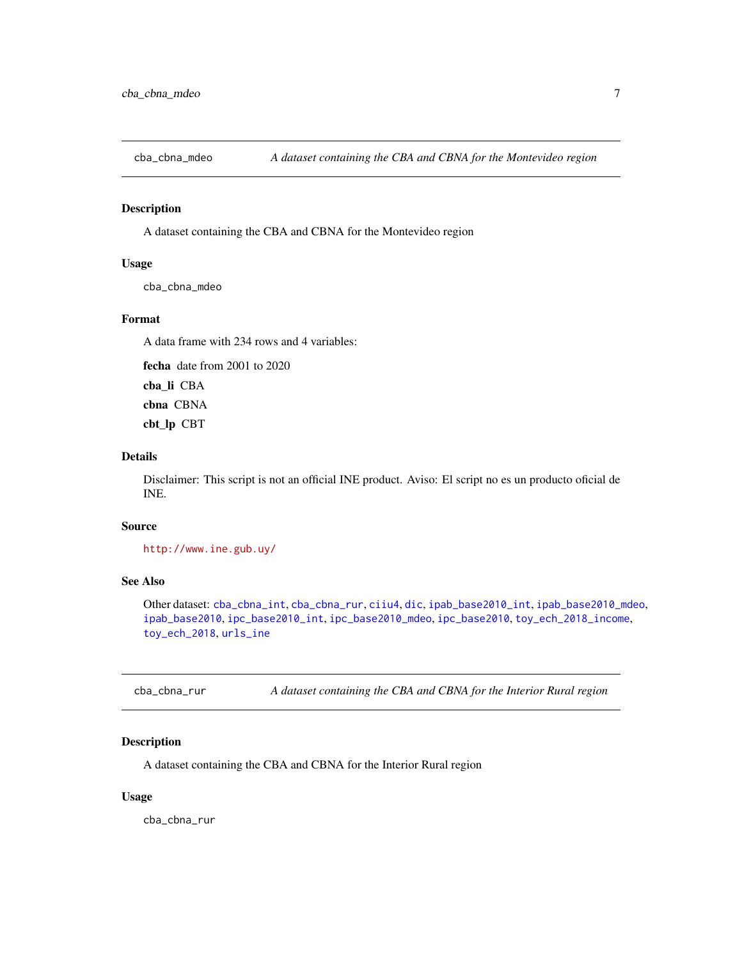<span id="page-6-1"></span><span id="page-6-0"></span>

# Description

A dataset containing the CBA and CBNA for the Montevideo region

## Usage

cba\_cbna\_mdeo

## Format

A data frame with 234 rows and 4 variables:

fecha date from 2001 to 2020 cba\_li CBA

cbna CBNA cbt\_lp CBT

# Details

Disclaimer: This script is not an official INE product. Aviso: El script no es un producto oficial de INE.

## Source

<http://www.ine.gub.uy/>

#### See Also

Other dataset: [cba\\_cbna\\_int](#page-5-1), [cba\\_cbna\\_rur](#page-6-2), [ciiu4](#page-7-1), [dic](#page-9-1), [ipab\\_base2010\\_int](#page-35-1), [ipab\\_base2010\\_mdeo](#page-36-1), [ipab\\_base2010](#page-35-2), [ipc\\_base2010\\_int](#page-38-1), [ipc\\_base2010\\_mdeo](#page-38-2), [ipc\\_base2010](#page-37-1), [toy\\_ech\\_2018\\_income](#page-67-1), [toy\\_ech\\_2018](#page-51-1), [urls\\_ine](#page-73-1)

<span id="page-6-2"></span>cba\_cbna\_rur *A dataset containing the CBA and CBNA for the Interior Rural region*

## Description

A dataset containing the CBA and CBNA for the Interior Rural region

## Usage

cba\_cbna\_rur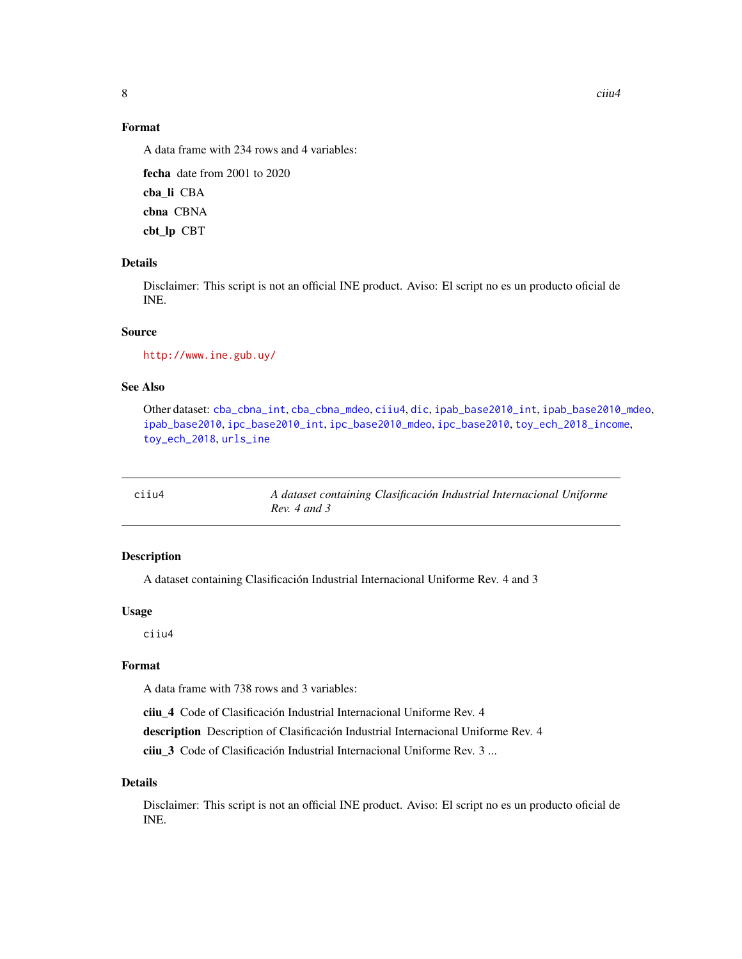<span id="page-7-0"></span>

# Format

A data frame with 234 rows and 4 variables:

fecha date from 2001 to 2020 cba\_li CBA cbna CBNA cbt\_lp CBT

# Details

Disclaimer: This script is not an official INE product. Aviso: El script no es un producto oficial de INE.

## Source

<http://www.ine.gub.uy/>

## See Also

Other dataset: [cba\\_cbna\\_int](#page-5-1), [cba\\_cbna\\_mdeo](#page-6-1), [ciiu4](#page-7-1), [dic](#page-9-1), [ipab\\_base2010\\_int](#page-35-1), [ipab\\_base2010\\_mdeo](#page-36-1), [ipab\\_base2010](#page-35-2), [ipc\\_base2010\\_int](#page-38-1), [ipc\\_base2010\\_mdeo](#page-38-2), [ipc\\_base2010](#page-37-1), [toy\\_ech\\_2018\\_income](#page-67-1), [toy\\_ech\\_2018](#page-51-1), [urls\\_ine](#page-73-1)

<span id="page-7-1"></span>ciiu4 *A dataset containing Clasificación Industrial Internacional Uniforme Rev. 4 and 3*

## Description

A dataset containing Clasificación Industrial Internacional Uniforme Rev. 4 and 3

## Usage

ciiu4

# Format

A data frame with 738 rows and 3 variables:

ciiu\_4 Code of Clasificación Industrial Internacional Uniforme Rev. 4

description Description of Clasificación Industrial Internacional Uniforme Rev. 4

ciiu\_3 Code of Clasificación Industrial Internacional Uniforme Rev. 3 ...

## Details

Disclaimer: This script is not an official INE product. Aviso: El script no es un producto oficial de INE.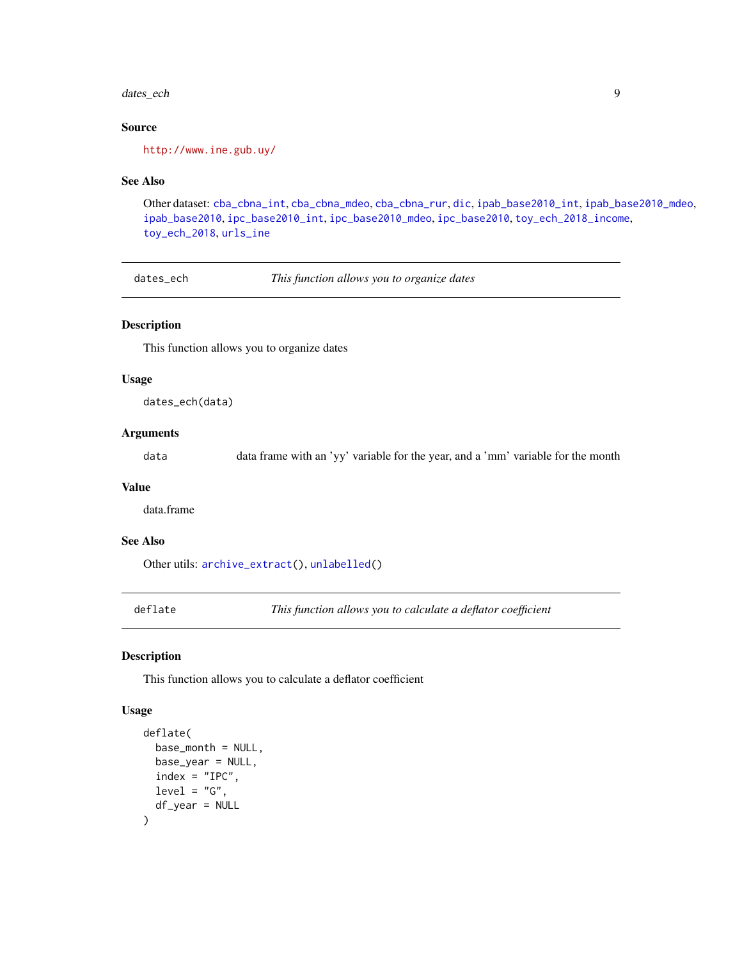#### <span id="page-8-0"></span>dates\_ech 99

## Source

<http://www.ine.gub.uy/>

## See Also

Other dataset: [cba\\_cbna\\_int](#page-5-1), [cba\\_cbna\\_mdeo](#page-6-1), [cba\\_cbna\\_rur](#page-6-2), [dic](#page-9-1), [ipab\\_base2010\\_int](#page-35-1), [ipab\\_base2010\\_mdeo](#page-36-1), [ipab\\_base2010](#page-35-2), [ipc\\_base2010\\_int](#page-38-1), [ipc\\_base2010\\_mdeo](#page-38-2), [ipc\\_base2010](#page-37-1), [toy\\_ech\\_2018\\_income](#page-67-1), [toy\\_ech\\_2018](#page-51-1), [urls\\_ine](#page-73-1)

<span id="page-8-1"></span>dates\_ech *This function allows you to organize dates*

## Description

This function allows you to organize dates

#### Usage

dates\_ech(data)

# Arguments

data data frame with an 'yy' variable for the year, and a 'mm' variable for the month

# Value

data.frame

## See Also

Other utils: [archive\\_extract\(](#page-3-1)), [unlabelled\(](#page-70-1))

<span id="page-8-2"></span>deflate *This function allows you to calculate a deflator coefficient*

## Description

This function allows you to calculate a deflator coefficient

```
deflate(
 base_{month} = NULL,
 base_year = NULL,
  index = "IPC",level = "G",df_year = NULL
)
```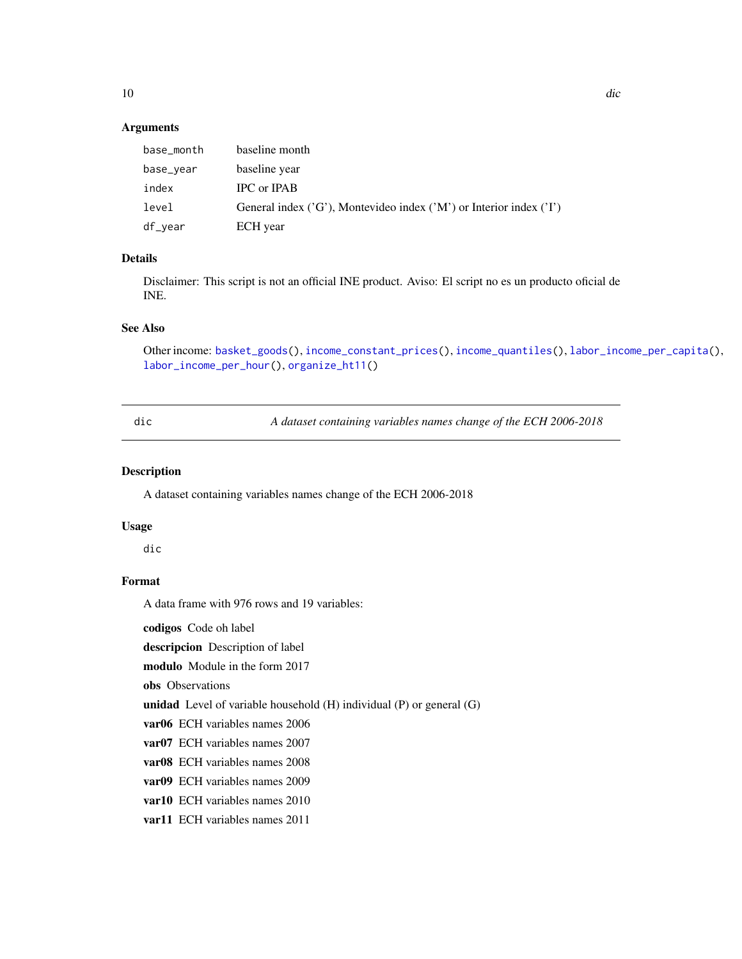## <span id="page-9-0"></span>Arguments

| base_month | baseline month                                                             |
|------------|----------------------------------------------------------------------------|
| base_year  | baseline year                                                              |
| index      | IPC or IPAB                                                                |
| level      | General index $('G')$ , Montevideo index $('M')$ or Interior index $('I')$ |
| df_year    | ECH year                                                                   |

## Details

Disclaimer: This script is not an official INE product. Aviso: El script no es un producto oficial de INE.

# See Also

Other income: [basket\\_goods\(](#page-3-2)), [income\\_constant\\_prices\(](#page-32-1)), [income\\_quantiles\(](#page-33-1)), [labor\\_income\\_per\\_capita\(](#page-39-1)), [labor\\_income\\_per\\_hour\(](#page-42-1)), [organize\\_ht11\(](#page-46-1))

<span id="page-9-1"></span>

|             | v<br>I            |
|-------------|-------------------|
|             |                   |
| ×<br>$\sim$ | ×<br>$\sim$<br>۰. |

dic *A dataset containing variables names change of the ECH 2006-2018*

# Description

A dataset containing variables names change of the ECH 2006-2018

## Usage

dic

# Format

A data frame with 976 rows and 19 variables:

codigos Code oh label

descripcion Description of label

modulo Module in the form 2017

obs Observations

unidad Level of variable household (H) individual (P) or general (G)

var06 ECH variables names 2006

var07 ECH variables names 2007

var08 ECH variables names 2008

var09 ECH variables names 2009

var10 ECH variables names 2010

var11 ECH variables names 2011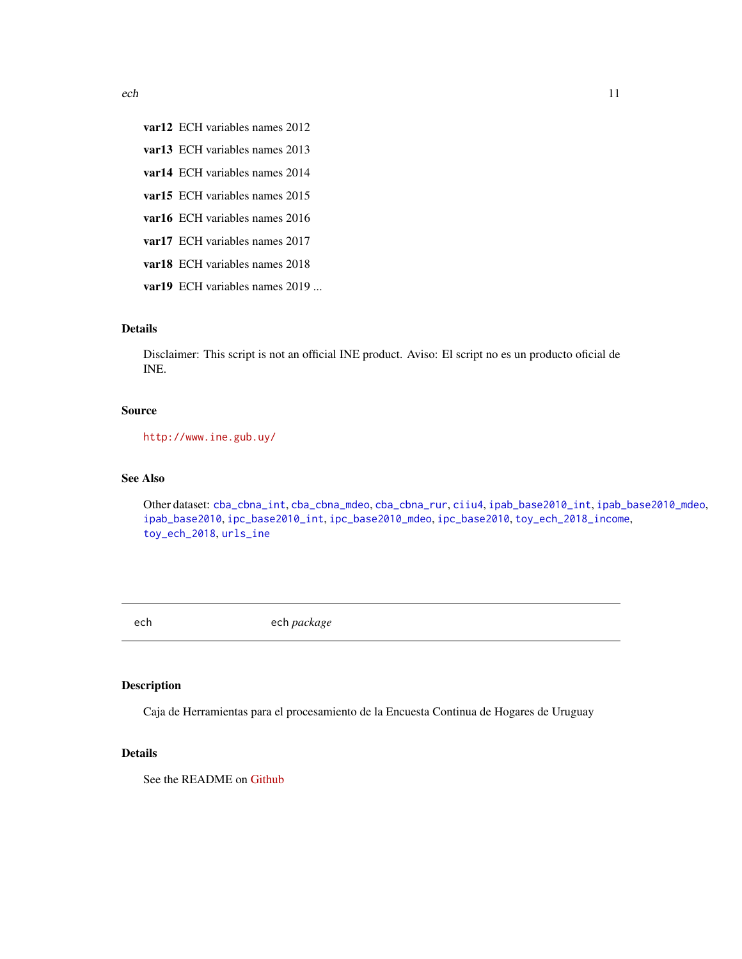<span id="page-10-0"></span>var12 ECH variables names 2012

- var13 ECH variables names 2013
- var14 ECH variables names 2014
- var15 ECH variables names 2015
- var16 ECH variables names 2016
- var17 ECH variables names 2017
- var18 ECH variables names 2018
- var19 ECH variables names 2019 ...

# Details

Disclaimer: This script is not an official INE product. Aviso: El script no es un producto oficial de INE.

## Source

<http://www.ine.gub.uy/>

## See Also

Other dataset: [cba\\_cbna\\_int](#page-5-1), [cba\\_cbna\\_mdeo](#page-6-1), [cba\\_cbna\\_rur](#page-6-2), [ciiu4](#page-7-1), [ipab\\_base2010\\_int](#page-35-1), [ipab\\_base2010\\_mdeo](#page-36-1), [ipab\\_base2010](#page-35-2), [ipc\\_base2010\\_int](#page-38-1), [ipc\\_base2010\\_mdeo](#page-38-2), [ipc\\_base2010](#page-37-1), [toy\\_ech\\_2018\\_income](#page-67-1), [toy\\_ech\\_2018](#page-51-1), [urls\\_ine](#page-73-1)

ech ech *package*

# Description

Caja de Herramientas para el procesamiento de la Encuesta Continua de Hogares de Uruguay

## Details

See the README on [Github](https://github.com/calcita/ech/blob/master/README.md)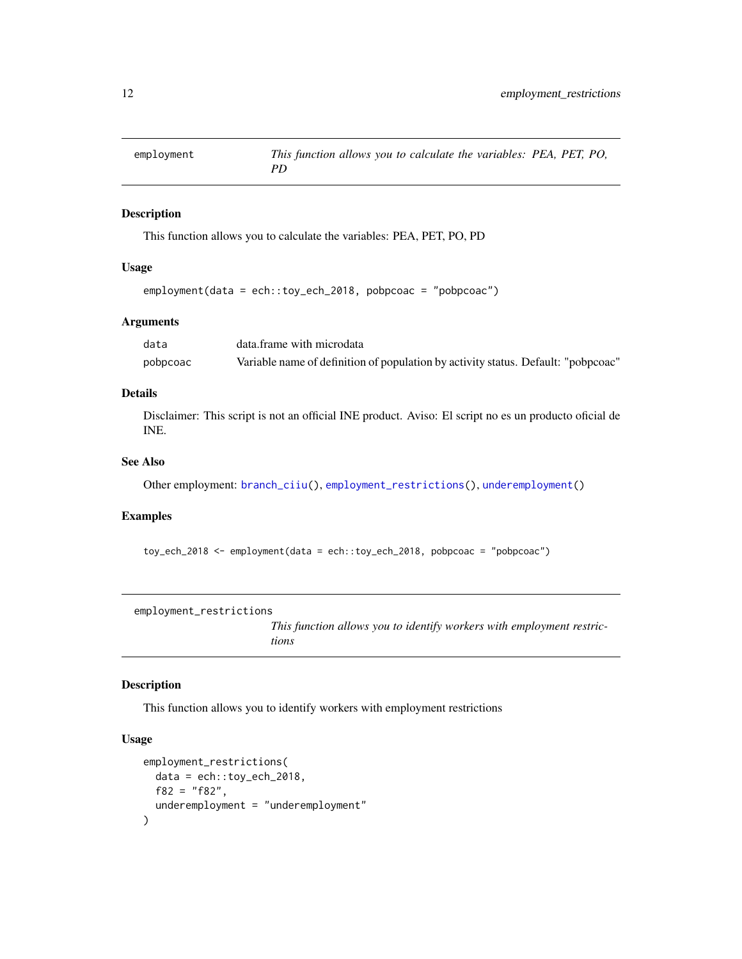<span id="page-11-2"></span><span id="page-11-0"></span>

# Description

This function allows you to calculate the variables: PEA, PET, PO, PD

## Usage

```
employment(data = ech::toy_ech_2018, pobpcoac = "pobpcoac")
```
## Arguments

| data     | data.frame with microdata                                                         |
|----------|-----------------------------------------------------------------------------------|
| pobpcoac | Variable name of definition of population by activity status. Default: "pobpcoac" |

## Details

Disclaimer: This script is not an official INE product. Aviso: El script no es un producto oficial de INE.

## See Also

Other employment: [branch\\_ciiu\(](#page-4-1)), [employment\\_restrictions\(](#page-11-1)), [underemployment\(](#page-69-1))

# Examples

toy\_ech\_2018 <- employment(data = ech::toy\_ech\_2018, pobpcoac = "pobpcoac")

<span id="page-11-1"></span>employment\_restrictions

*This function allows you to identify workers with employment restrictions*

## Description

This function allows you to identify workers with employment restrictions

```
employment_restrictions(
 data = ech::toy_ech_2018,f82 = "f82",underemployment = "underemployment"
)
```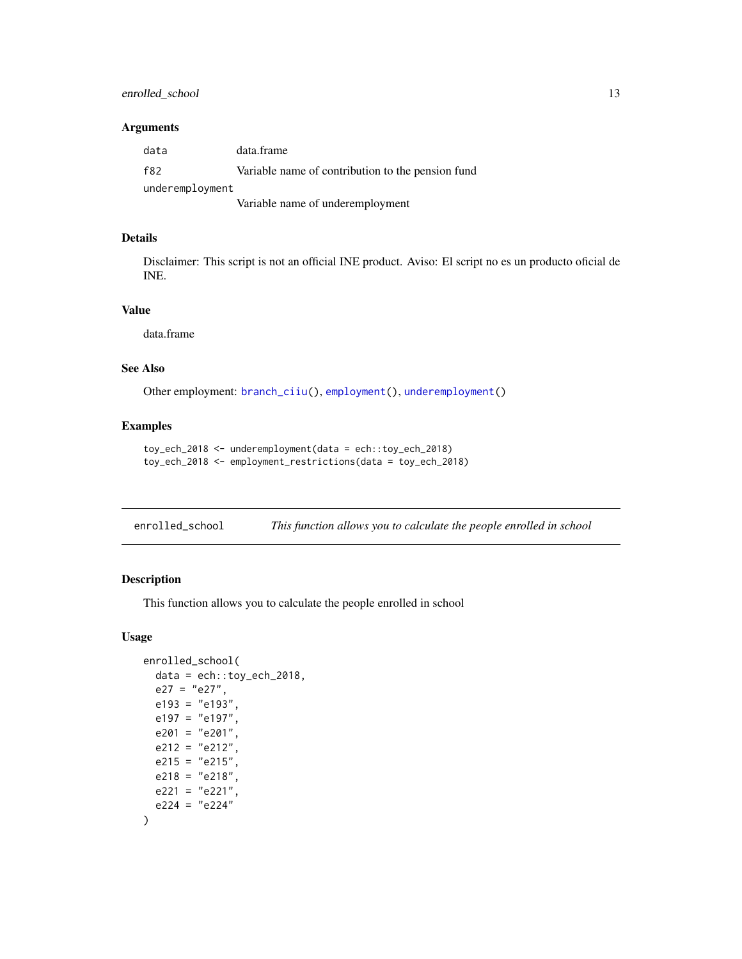# <span id="page-12-0"></span>enrolled\_school 13

## Arguments

| data            | data.frame                                        |
|-----------------|---------------------------------------------------|
| f82             | Variable name of contribution to the pension fund |
| underemployment |                                                   |
|                 | Variable name of underemployment                  |

## Details

Disclaimer: This script is not an official INE product. Aviso: El script no es un producto oficial de INE.

## Value

data.frame

# See Also

Other employment: [branch\\_ciiu\(](#page-4-1)), [employment\(](#page-11-2)), [underemployment\(](#page-69-1))

# Examples

```
toy_ech_2018 <- underemployment(data = ech::toy_ech_2018)
toy_ech_2018 <- employment_restrictions(data = toy_ech_2018)
```

| enrolled_school |  |  | This function allows you to calculate the people enrolled in school |  |  |  |  |
|-----------------|--|--|---------------------------------------------------------------------|--|--|--|--|
|-----------------|--|--|---------------------------------------------------------------------|--|--|--|--|

# Description

This function allows you to calculate the people enrolled in school

```
enrolled_school(
 data = ech::toy\_ech\_2018,e27 = "e27",
 e193 = "e193",e197 = "e197",
 e201 = "e201",
 e212 = "e212",
 e215 = "e215",e218 = "e218".e221 = "e221",e224 = "e224")
```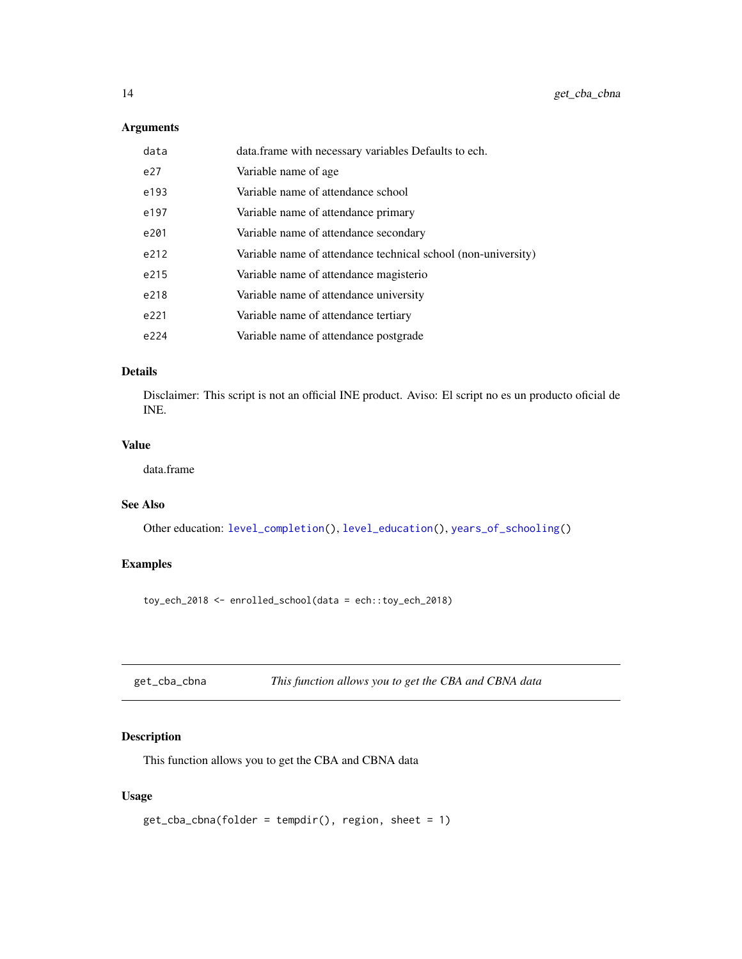## <span id="page-13-0"></span>Arguments

| data | data. frame with necessary variables Defaults to ech.         |
|------|---------------------------------------------------------------|
| e27  | Variable name of age.                                         |
| e193 | Variable name of attendance school                            |
| e197 | Variable name of attendance primary                           |
| e201 | Variable name of attendance secondary                         |
| e212 | Variable name of attendance technical school (non-university) |
| e215 | Variable name of attendance magisterio                        |
| e218 | Variable name of attendance university                        |
| e221 | Variable name of attendance tertiary                          |
| e224 | Variable name of attendance postgrade                         |

# Details

Disclaimer: This script is not an official INE product. Aviso: El script no es un producto oficial de INE.

# Value

data.frame

# See Also

Other education: [level\\_completion\(](#page-43-1)), [level\\_education\(](#page-44-1)), [years\\_of\\_schooling\(](#page-74-1))

# Examples

toy\_ech\_2018 <- enrolled\_school(data = ech::toy\_ech\_2018)

<span id="page-13-1"></span>

| get_cba_cbna |  | This function allows you to get the CBA and CBNA data |
|--------------|--|-------------------------------------------------------|
|--------------|--|-------------------------------------------------------|

# Description

This function allows you to get the CBA and CBNA data

```
get_cba_cbna(folder = tempdir(), region, sheet = 1)
```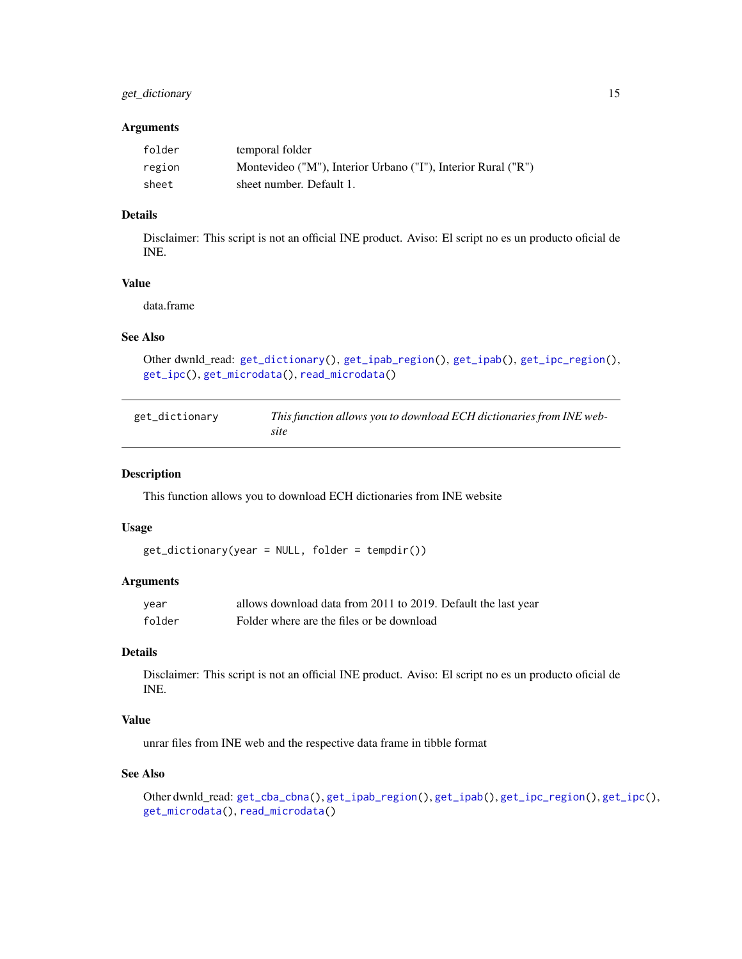# <span id="page-14-0"></span>get\_dictionary 15

## Arguments

| folder | temporal folder                                               |
|--------|---------------------------------------------------------------|
| region | Montevideo ("M"), Interior Urbano ("I"), Interior Rural ("R") |
| sheet  | sheet number. Default 1.                                      |

# Details

Disclaimer: This script is not an official INE product. Aviso: El script no es un producto oficial de INE.

## Value

data.frame

# See Also

```
Other dwnld_read: get_dictionary(), get_ipab_region(), get_ipab(), get_ipc_region(),
get_ipc(), get_microdata(), read_microdata()
```
<span id="page-14-1"></span>

| get_dictionary | This function allows you to download ECH dictionaries from INE web- |
|----------------|---------------------------------------------------------------------|
|                | site                                                                |

## Description

This function allows you to download ECH dictionaries from INE website

#### Usage

```
get_dictionary(year = NULL, folder = tempdir())
```
## **Arguments**

| year   | allows download data from 2011 to 2019. Default the last year |
|--------|---------------------------------------------------------------|
| folder | Folder where are the files or be download                     |

# Details

Disclaimer: This script is not an official INE product. Aviso: El script no es un producto oficial de INE.

## Value

unrar files from INE web and the respective data frame in tibble format

# See Also

Other dwnld\_read: [get\\_cba\\_cbna\(](#page-13-1)), [get\\_ipab\\_region\(](#page-24-1)), [get\\_ipab\(](#page-23-1)), [get\\_ipc\\_region\(](#page-25-1)), [get\\_ipc\(](#page-24-2)), [get\\_microdata\(](#page-26-2)), [read\\_microdata\(](#page-49-1))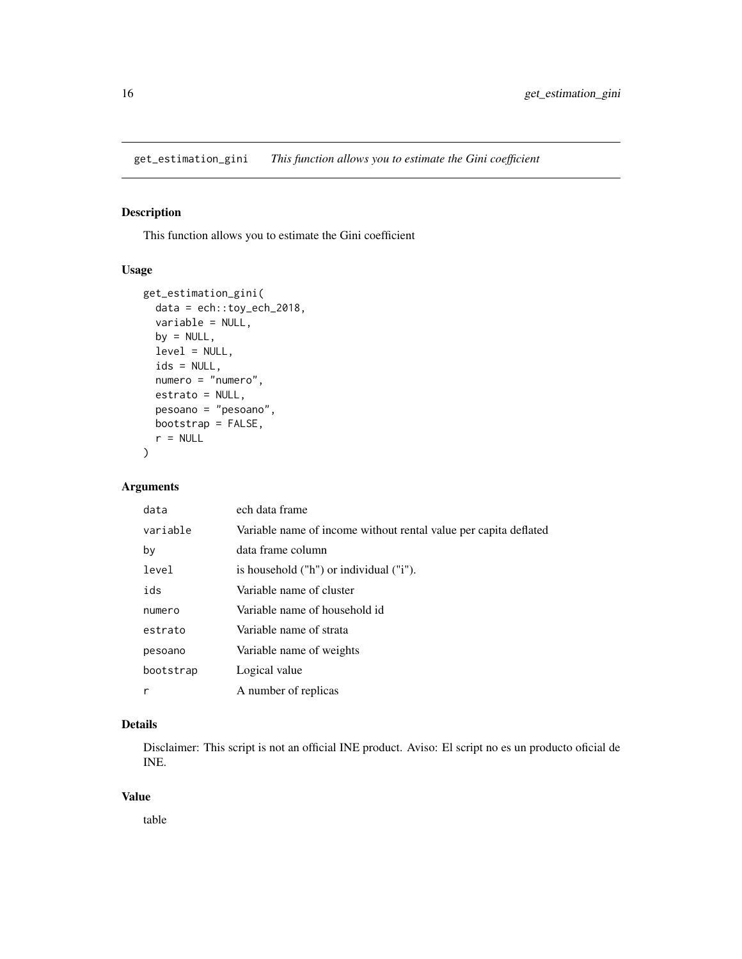<span id="page-15-1"></span><span id="page-15-0"></span>get\_estimation\_gini *This function allows you to estimate the Gini coefficient*

# Description

This function allows you to estimate the Gini coefficient

## Usage

```
get_estimation_gini(
 data = ech::toy_ech_2018,
  variable = NULL,
 by = NULL,
  level = NULL,
  ids = NULL,
  numero = "numero",
 estrato = NULL,
 pesoano = "pesoano",
 bootstrap = FALSE,
  r = NULL)
```
# Arguments

| data      | ech data frame                                                   |
|-----------|------------------------------------------------------------------|
| variable  | Variable name of income without rental value per capita deflated |
| by        | data frame column                                                |
| level     | is household ("h") or individual ("i").                          |
| ids       | Variable name of cluster                                         |
| numero    | Variable name of household id                                    |
| estrato   | Variable name of strata                                          |
| pesoano   | Variable name of weights                                         |
| bootstrap | Logical value                                                    |
| r         | A number of replicas                                             |

## Details

Disclaimer: This script is not an official INE product. Aviso: El script no es un producto oficial de INE.

## Value

table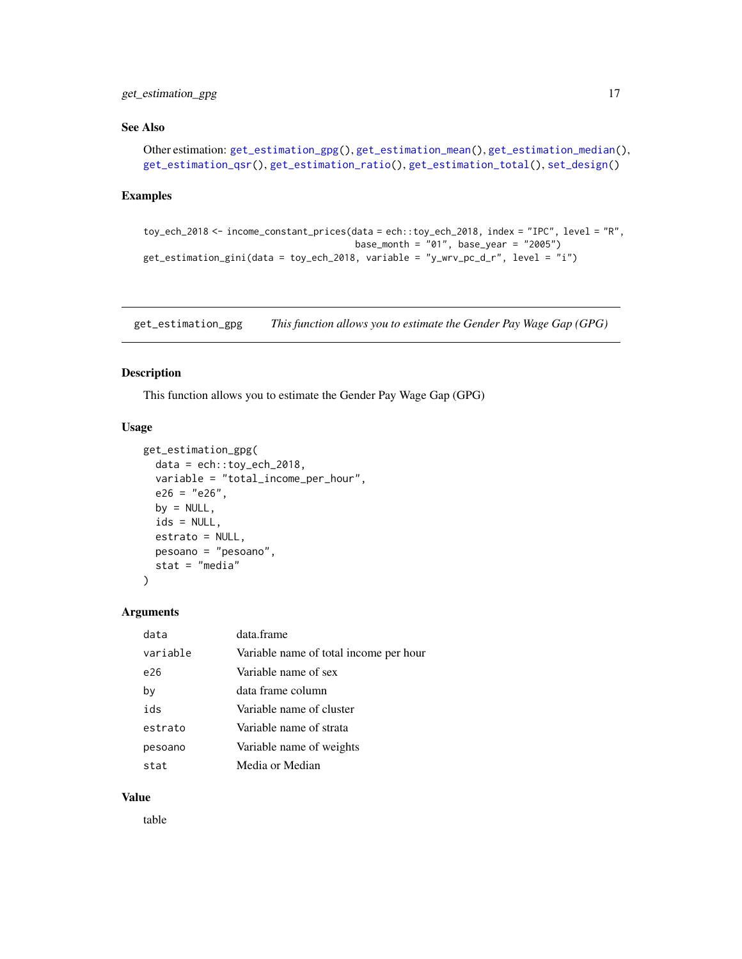# <span id="page-16-0"></span>get\_estimation\_gpg 17

## See Also

```
Other estimation: get_estimation_gpg(), get_estimation_mean(), get_estimation_median(),
get_estimation_qsr(), get_estimation_ratio(), get_estimation_total(), set_design()
```
## Examples

```
toy_ech_2018 <- income_constant_prices(data = ech::toy_ech_2018, index = "IPC", level = "R",
                                       base_month = "01", base_year = "2005")
get_estimation_gini(data = toy_ech_2018, variable = "y_wrv_pc_d_r", level = "i")
```
<span id="page-16-1"></span>get\_estimation\_gpg *This function allows you to estimate the Gender Pay Wage Gap (GPG)*

## Description

This function allows you to estimate the Gender Pay Wage Gap (GPG)

#### Usage

```
get_estimation_gpg(
  data = ech::toy\_ech\_2018,variable = "total_income_per_hour",
 e26 = "e26",by = NULL,ids = NULL,
  estrato = NULL,
 pesoano = "pesoano",
  stat = "media"
)
```
# Arguments

| data     | data frame                             |
|----------|----------------------------------------|
| variable | Variable name of total income per hour |
| e26      | Variable name of sex                   |
| by       | data frame column                      |
| ids      | Variable name of cluster               |
| estrato  | Variable name of strata                |
| pesoano  | Variable name of weights               |
| stat     | Media or Median                        |

## Value

table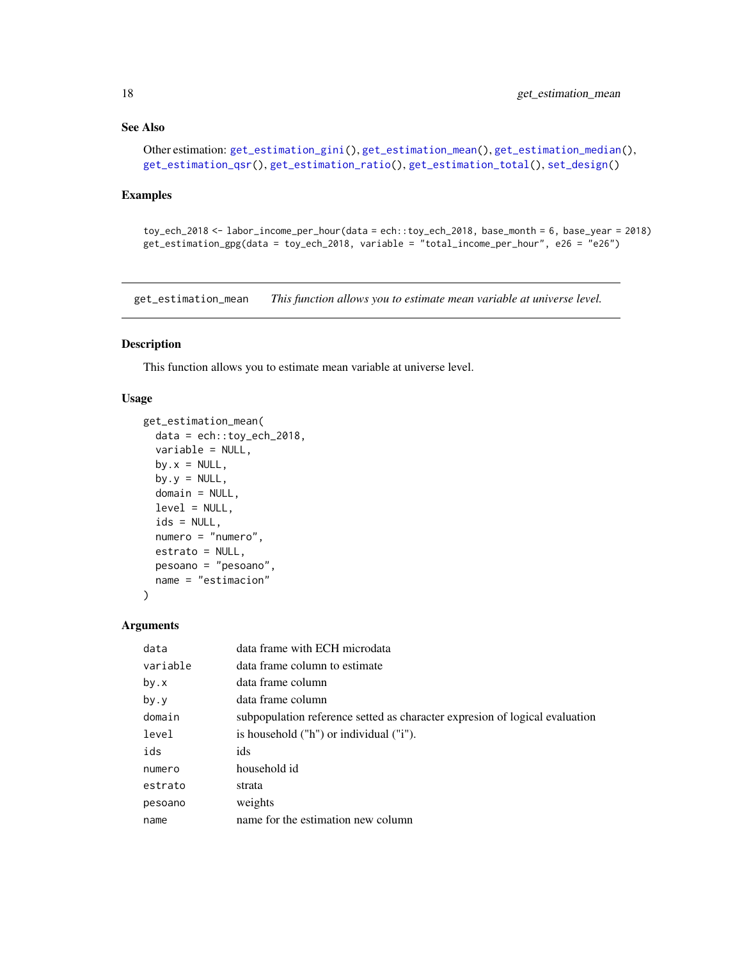## <span id="page-17-0"></span>See Also

```
Other estimation: get_estimation_gini(), get_estimation_mean(), get_estimation_median(),
get_estimation_qsr(), get_estimation_ratio(), get_estimation_total(), set_design()
```
## Examples

```
toy_ech_2018 <- labor_income_per_hour(data = ech::toy_ech_2018, base_month = 6, base_year = 2018)
get_estimation_gpg(data = toy_ech_2018, variable = "total_income_per_hour", e26 = "e26")
```
<span id="page-17-1"></span>get\_estimation\_mean *This function allows you to estimate mean variable at universe level.*

#### Description

This function allows you to estimate mean variable at universe level.

## Usage

```
get_estimation_mean(
 data = ech::toy_ech_2018,variable = NULL,
 by.x = NULL,
 by.y = NULL,
 domain = NULL,
 level = NULL,ids = NULL,numero = "numero",
 estrato = NULL,
 pesoano = "pesoano",
 name = "estimacion"
)
```
# Arguments

| data     | data frame with ECH microdata                                                |
|----------|------------------------------------------------------------------------------|
| variable | data frame column to estimate                                                |
| by.x     | data frame column                                                            |
| by.y     | data frame column                                                            |
| domain   | subpopulation reference setted as character expression of logical evaluation |
| level    | is household ("h") or individual ("i").                                      |
| ids      | ids                                                                          |
| numero   | household id                                                                 |
| estrato  | strata                                                                       |
| pesoano  | weights                                                                      |
| name     | name for the estimation new column                                           |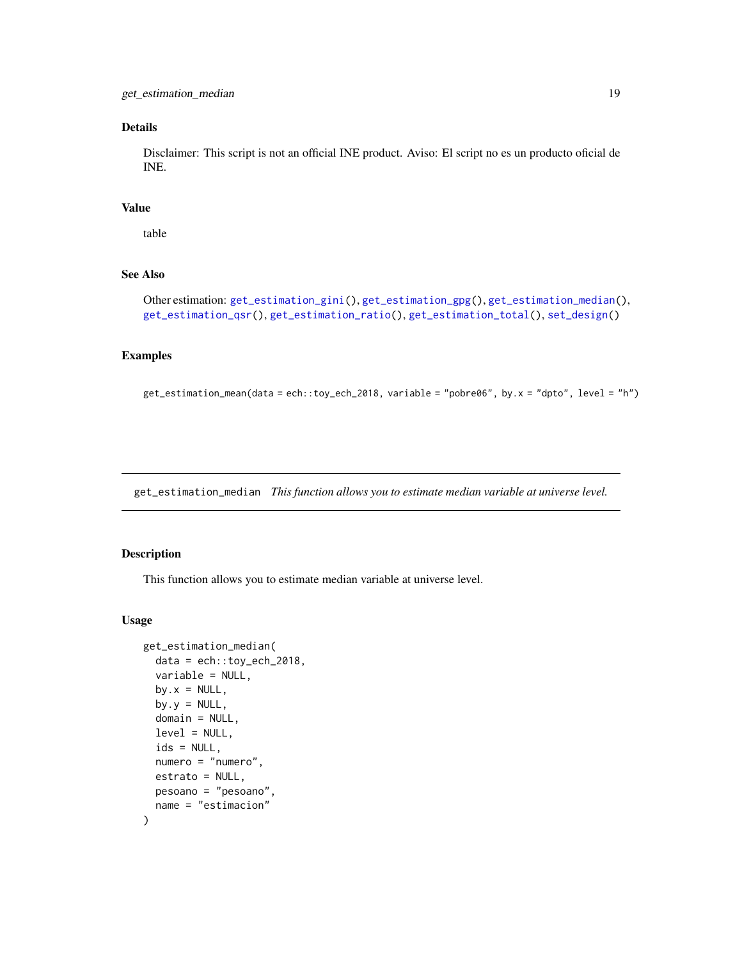## <span id="page-18-0"></span>Details

Disclaimer: This script is not an official INE product. Aviso: El script no es un producto oficial de INE.

## Value

table

# See Also

```
Other estimation: get_estimation_gini(), get_estimation_gpg(), get_estimation_median(),
get_estimation_qsr(), get_estimation_ratio(), get_estimation_total(), set_design()
```
#### Examples

```
get_estimation_mean(data = ech::toy_ech_2018, variable = "pobre06", by.x = "dpto", level = "h")
```
<span id="page-18-1"></span>get\_estimation\_median *This function allows you to estimate median variable at universe level.*

## Description

This function allows you to estimate median variable at universe level.

```
get_estimation_median(
  data = ech::toy_eech_2018,
  variable = NULL,
  by.x = NULL,
  by.y = NULL,
  domain = NULL,
  level = NULL,
  ids = NULL,numero = "numero",
  estrato = NULL,
 pesoano = "pesoano",
  name = "estimacion"
)
```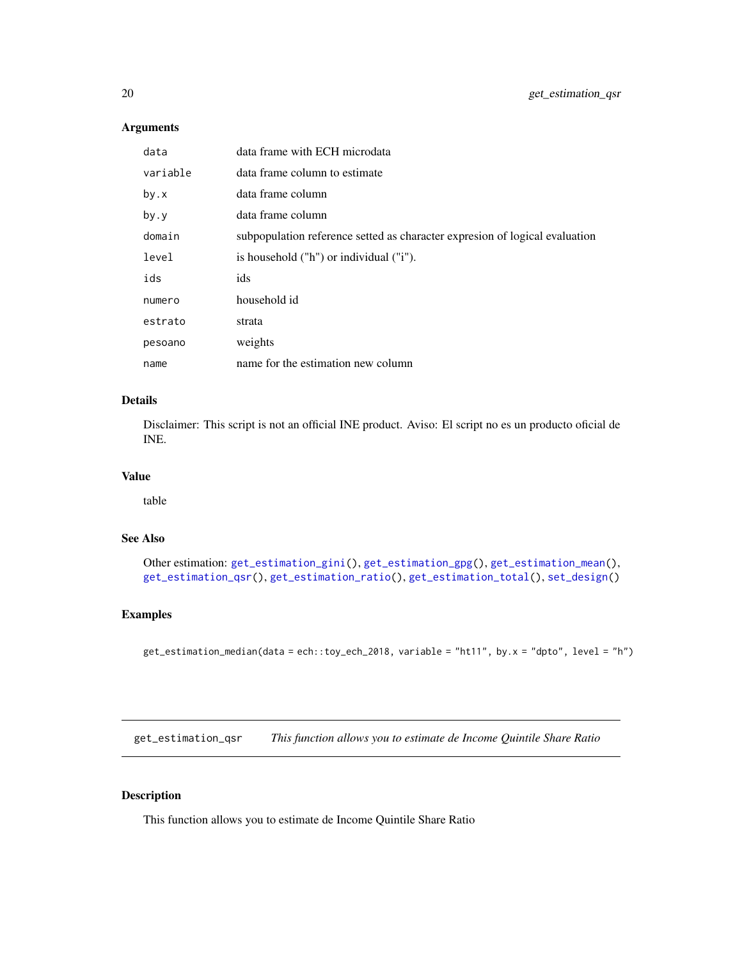# <span id="page-19-0"></span>Arguments

| data     | data frame with ECH microdata                                                |
|----------|------------------------------------------------------------------------------|
| variable | data frame column to estimate                                                |
| by.x     | data frame column                                                            |
| by.y     | data frame column                                                            |
| domain   | subpopulation reference setted as character expression of logical evaluation |
| level    | is household ("h") or individual ("i").                                      |
| ids      | ids                                                                          |
| numero   | household id                                                                 |
| estrato  | strata                                                                       |
| pesoano  | weights                                                                      |
| name     | name for the estimation new column                                           |

## Details

Disclaimer: This script is not an official INE product. Aviso: El script no es un producto oficial de INE.

# Value

table

# See Also

Other estimation: [get\\_estimation\\_gini\(](#page-15-1)), [get\\_estimation\\_gpg\(](#page-16-1)), [get\\_estimation\\_mean\(](#page-17-1)), [get\\_estimation\\_qsr\(](#page-19-1)), [get\\_estimation\\_ratio\(](#page-20-1)), [get\\_estimation\\_total\(](#page-22-1)), [set\\_design\(](#page-50-1))

# Examples

```
get_estimation_median(data = ech::toy_ech_2018, variable = "ht11", by.x = "dpto", level = "h")
```
<span id="page-19-1"></span>get\_estimation\_qsr *This function allows you to estimate de Income Quintile Share Ratio*

## Description

This function allows you to estimate de Income Quintile Share Ratio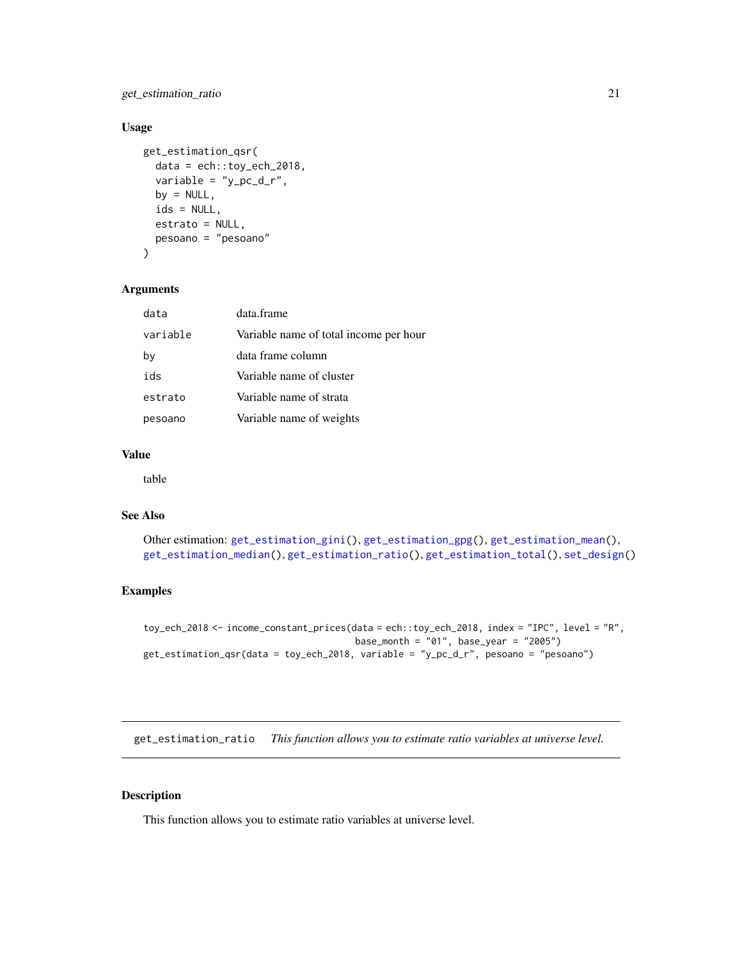<span id="page-20-0"></span>get\_estimation\_ratio 21

# Usage

```
get_estimation_qsr(
  data = ech::toy_ech_2018,variable = "y\_pc_d_r",
 by = NULL,ids = NULL,
  estrato = NULL,
 pesoano = "pesoano"
)
```
## Arguments

| data     | data.frame                             |
|----------|----------------------------------------|
| variable | Variable name of total income per hour |
| by       | data frame column                      |
| ids      | Variable name of cluster               |
| estrato  | Variable name of strata                |
| pesoano  | Variable name of weights               |

## Value

table

# See Also

```
Other estimation: get_estimation_gini(), get_estimation_gpg(), get_estimation_mean(),
get_estimation_median(), get_estimation_ratio(), get_estimation_total(), set_design()
```
## Examples

```
toy_ech_2018 <- income_constant_prices(data = ech::toy_ech_2018, index = "IPC", level = "R",
                                       base_month = "01", base_year = "2005")
get_estimation_qsr(data = toy_ech_2018, variable = "y_pc_d_r", pesoano = "pesoano")
```
<span id="page-20-1"></span>get\_estimation\_ratio *This function allows you to estimate ratio variables at universe level.*

#### Description

This function allows you to estimate ratio variables at universe level.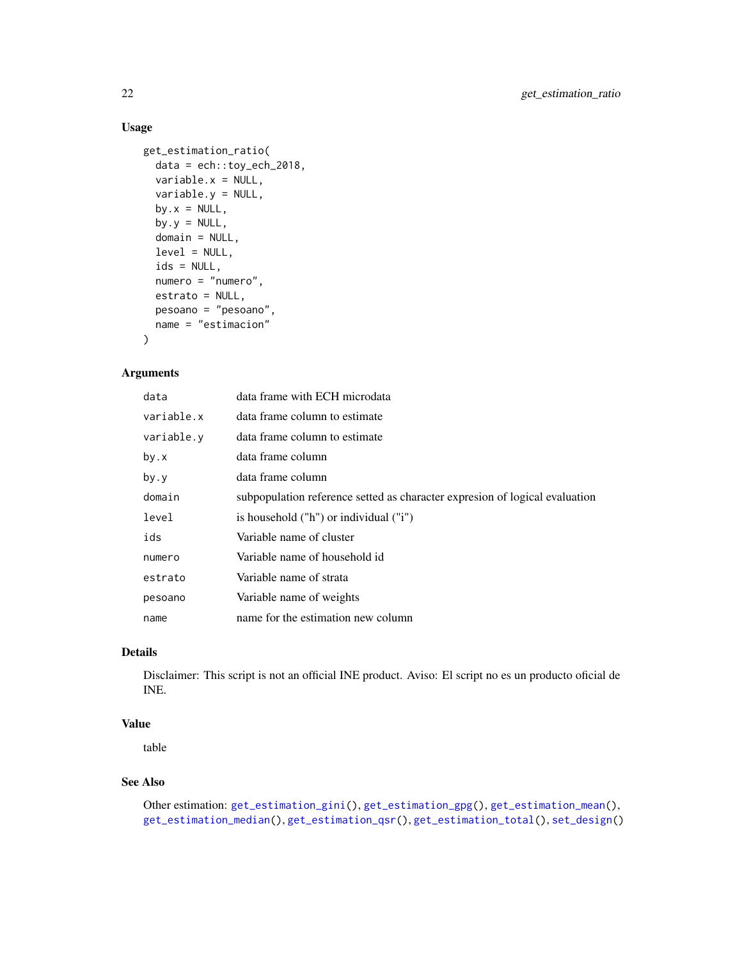## Usage

```
get_estimation_ratio(
 data = ech::toy_ech_2018,variable.x = NULL,
 variable.y = NULL,
 by.x = NULL,
 by.y = NULL,
 domain = NULL,
 level = NULL,ids = NULL,numero = "numero",
 estrato = NULL,
 pesoano = "pesoano",
 name = "estimacion"
)
```
# Arguments

| data       | data frame with ECH microdata                                               |
|------------|-----------------------------------------------------------------------------|
| variable.x | data frame column to estimate                                               |
| variable.y | data frame column to estimate                                               |
| by.x       | data frame column                                                           |
| by.y       | data frame column                                                           |
| domain     | subpopulation reference setted as character expresion of logical evaluation |
| level      | is household ("h") or individual ("i")                                      |
| ids        | Variable name of cluster                                                    |
| numero     | Variable name of household id                                               |
| estrato    | Variable name of strata                                                     |
| pesoano    | Variable name of weights                                                    |
| name       | name for the estimation new column                                          |

# Details

Disclaimer: This script is not an official INE product. Aviso: El script no es un producto oficial de INE.

## Value

table

## See Also

```
Other estimation: get_estimation_gini(), get_estimation_gpg(), get_estimation_mean(),
get_estimation_median(), get_estimation_qsr(), get_estimation_total(), set_design()
```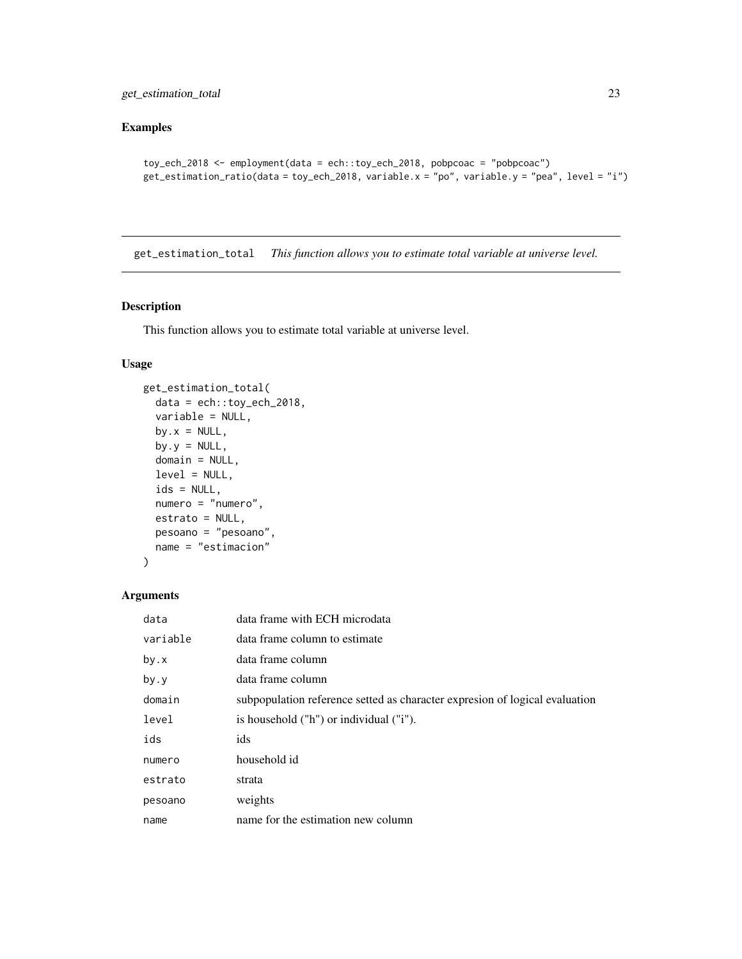# <span id="page-22-0"></span>Examples

```
toy_ech_2018 <- employment(data = ech::toy_ech_2018, pobpcoac = "pobpcoac")
get_estimation_ratio(data = toy_ech_2018, variable.x = "po", variable.y = "pea", level = "i")
```
<span id="page-22-1"></span>get\_estimation\_total *This function allows you to estimate total variable at universe level.*

## Description

This function allows you to estimate total variable at universe level.

## Usage

```
get_estimation_total(
 data = ech::toy_ech_2018,variable = NULL,
 by.x = NULL,
 by.y = NULL,
 domain = NULL,
 level = NULL,ids = NULL,numero = "numero",
 estrato = NULL,
 pesoano = "pesoano",
 name = "estimacion"
)
```
## Arguments

| data     | data frame with ECH microdata                                                |
|----------|------------------------------------------------------------------------------|
| variable | data frame column to estimate                                                |
| by.x     | data frame column                                                            |
| by.y     | data frame column                                                            |
| domain   | subpopulation reference setted as character expression of logical evaluation |
| level    | is household ("h") or individual ("i").                                      |
| ids      | ids                                                                          |
| numero   | household id                                                                 |
| estrato  | strata                                                                       |
| pesoano  | weights                                                                      |
| name     | name for the estimation new column                                           |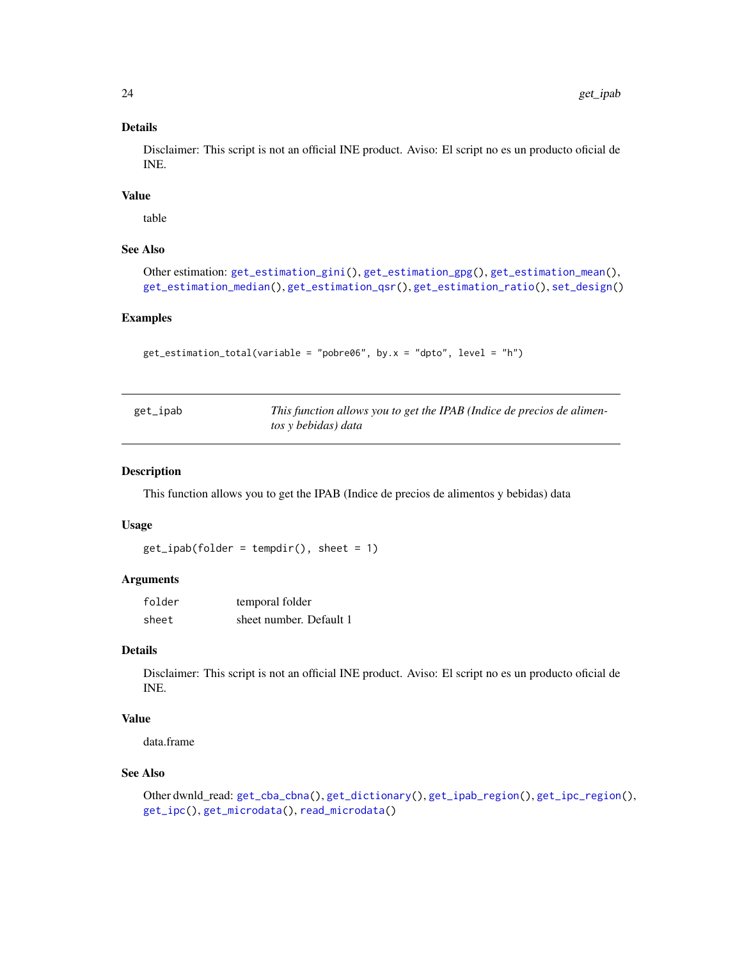## Details

Disclaimer: This script is not an official INE product. Aviso: El script no es un producto oficial de INE.

# Value

table

## See Also

```
Other estimation: get_estimation_gini(), get_estimation_gpg(), get_estimation_mean(),
get_estimation_median(), get_estimation_qsr(), get_estimation_ratio(), set_design()
```
# Examples

```
get_estimation_total(variable = "pobre06", by.x = "dpto", level = "h")
```
<span id="page-23-1"></span>

| get_ipab | This function allows you to get the IPAB (Indice de precios de alimen- |
|----------|------------------------------------------------------------------------|
|          | tos y bebidas) data                                                    |

## Description

This function allows you to get the IPAB (Indice de precios de alimentos y bebidas) data

## Usage

```
get\_ipab(folder = tempdir(), sheet = 1)
```
## Arguments

| folder | temporal folder         |
|--------|-------------------------|
| sheet  | sheet number. Default 1 |

# Details

Disclaimer: This script is not an official INE product. Aviso: El script no es un producto oficial de INE.

# Value

data.frame

# See Also

Other dwnld\_read: [get\\_cba\\_cbna\(](#page-13-1)), [get\\_dictionary\(](#page-14-1)), [get\\_ipab\\_region\(](#page-24-1)), [get\\_ipc\\_region\(](#page-25-1)), [get\\_ipc\(](#page-24-2)), [get\\_microdata\(](#page-26-2)), [read\\_microdata\(](#page-49-1))

<span id="page-23-0"></span>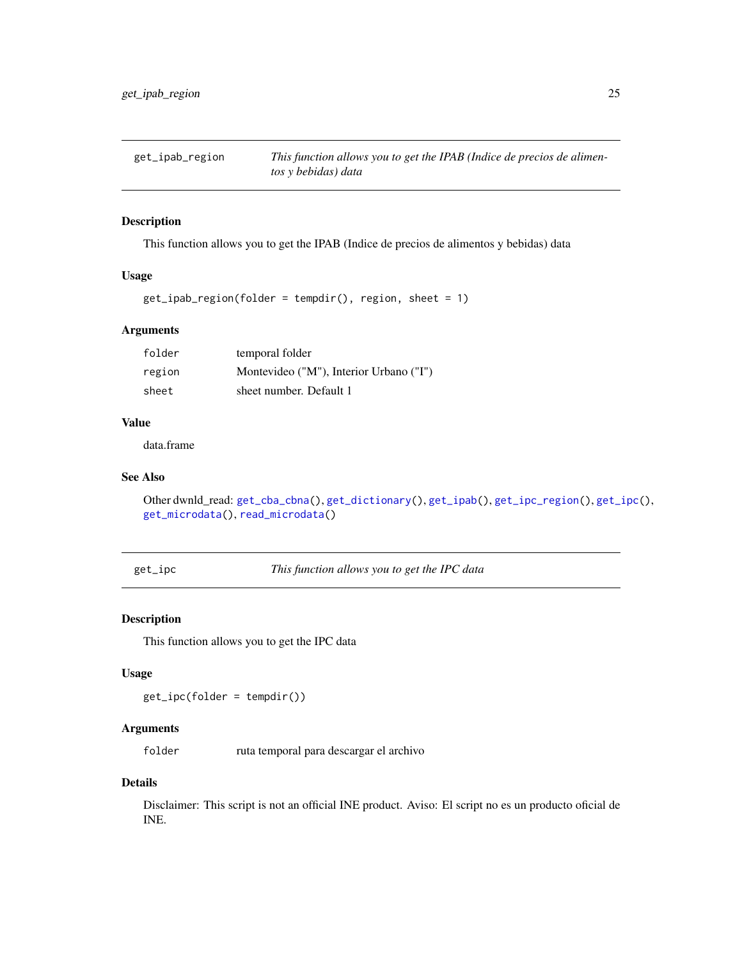<span id="page-24-1"></span><span id="page-24-0"></span>

## Description

This function allows you to get the IPAB (Indice de precios de alimentos y bebidas) data

#### Usage

```
get_ipab_region(folder = tempdir(), region, sheet = 1)
```
# Arguments

| folder | temporal folder                         |
|--------|-----------------------------------------|
| region | Montevideo ("M"), Interior Urbano ("I") |
| sheet  | sheet number. Default 1                 |

## Value

data.frame

# See Also

```
Other dwnld_read: get_cba_cbna(), get_dictionary(), get_ipab(), get_ipc_region(), get_ipc(),
get_microdata(), read_microdata()
```
<span id="page-24-2"></span>get\_ipc *This function allows you to get the IPC data*

# Description

This function allows you to get the IPC data

# Usage

get\_ipc(folder = tempdir())

## **Arguments**

folder ruta temporal para descargar el archivo

#### Details

Disclaimer: This script is not an official INE product. Aviso: El script no es un producto oficial de INE.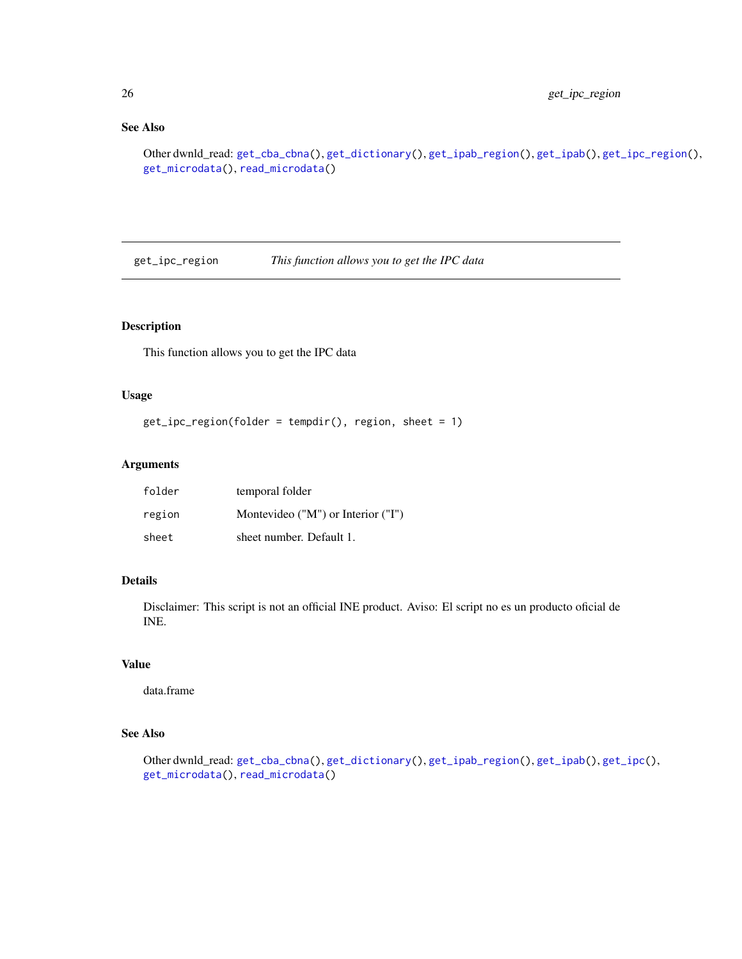# See Also

```
Other dwnld_read: get_cba_cbna(), get_dictionary(), get_ipab_region(), get_ipab(), get_ipc_region(),
get_microdata(), read_microdata()
```
<span id="page-25-1"></span>get\_ipc\_region *This function allows you to get the IPC data*

# Description

This function allows you to get the IPC data

# Usage

```
get_ipc_region(folder = tempdir(), region, sheet = 1)
```
# Arguments

| folder | temporal folder                    |
|--------|------------------------------------|
| region | Montevideo ("M") or Interior ("I") |
| sheet  | sheet number. Default 1.           |

## Details

Disclaimer: This script is not an official INE product. Aviso: El script no es un producto oficial de INE.

## Value

data.frame

# See Also

```
Other dwnld_read: get_cba_cbna(), get_dictionary(), get_ipab_region(), get_ipab(), get_ipc(),
get_microdata(), read_microdata()
```
<span id="page-25-0"></span>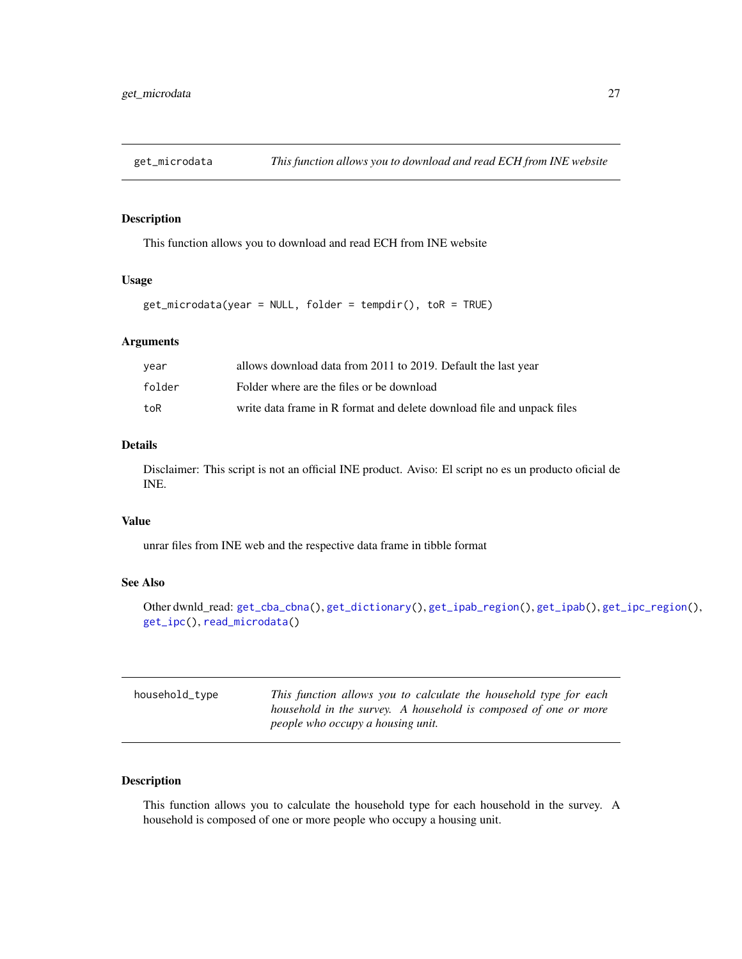<span id="page-26-2"></span><span id="page-26-0"></span>

# Description

This function allows you to download and read ECH from INE website

#### Usage

```
get_microdata(year = NULL, folder = tempdir(), toR = TRUE)
```
## Arguments

| vear   | allows download data from 2011 to 2019. Default the last year          |
|--------|------------------------------------------------------------------------|
| folder | Folder where are the files or be download                              |
| toR    | write data frame in R format and delete download file and unpack files |

# Details

Disclaimer: This script is not an official INE product. Aviso: El script no es un producto oficial de INE.

## Value

unrar files from INE web and the respective data frame in tibble format

## See Also

```
Other dwnld_read: get_cba_cbna(), get_dictionary(), get_ipab_region(), get_ipab(), get_ipc_region(),
get_ipc(), read_microdata()
```
<span id="page-26-1"></span>

| household_type | This function allows you to calculate the household type for each |
|----------------|-------------------------------------------------------------------|
|                | household in the survey. A household is composed of one or more   |
|                | people who occupy a housing unit.                                 |

## Description

This function allows you to calculate the household type for each household in the survey. A household is composed of one or more people who occupy a housing unit.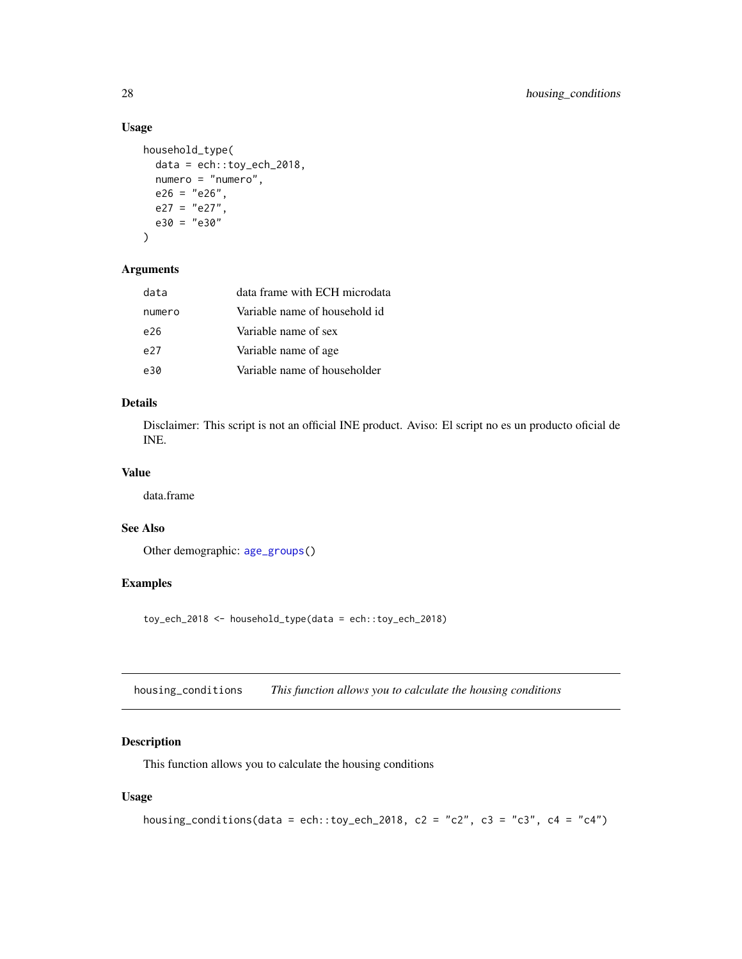# Usage

```
household_type(
 data = ech::toy\_ech\_2018,numero = "numero",
 e26 = "e26",e27 = "e27".e30 = "e30"
)
```
# Arguments

| data   | data frame with ECH microdata |
|--------|-------------------------------|
| numero | Variable name of household id |
| e26    | Variable name of sex          |
| e27    | Variable name of age.         |
| e30    | Variable name of householder  |

## Details

Disclaimer: This script is not an official INE product. Aviso: El script no es un producto oficial de INE.

# Value

data.frame

## See Also

Other demographic: [age\\_groups\(](#page-2-1))

# Examples

toy\_ech\_2018 <- household\_type(data = ech::toy\_ech\_2018)

<span id="page-27-1"></span>housing\_conditions *This function allows you to calculate the housing conditions*

# Description

This function allows you to calculate the housing conditions

```
housing_conditions(data = ech::toy_ech_2018, c2 = "c2", c3 = "c3", c4 = "c4")
```
<span id="page-27-0"></span>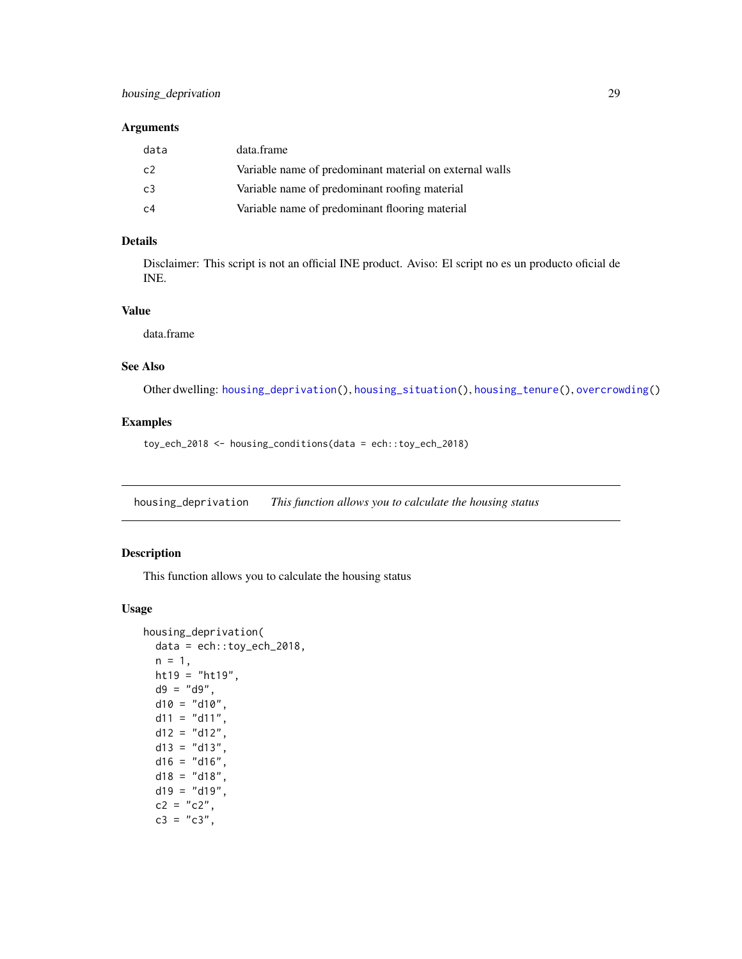## <span id="page-28-0"></span>Arguments

| data           | data.frame                                              |
|----------------|---------------------------------------------------------|
| C <sub>2</sub> | Variable name of predominant material on external walls |
| C <sub>3</sub> | Variable name of predominant roofing material           |
| C <sub>4</sub> | Variable name of predominant flooring material          |

# Details

Disclaimer: This script is not an official INE product. Aviso: El script no es un producto oficial de INE.

## Value

data.frame

# See Also

Other dwelling: [housing\\_deprivation\(](#page-28-1)), [housing\\_situation\(](#page-30-1)), [housing\\_tenure\(](#page-31-1)), [overcrowding\(](#page-47-1))

## Examples

toy\_ech\_2018 <- housing\_conditions(data = ech::toy\_ech\_2018)

<span id="page-28-1"></span>housing\_deprivation *This function allows you to calculate the housing status*

## Description

This function allows you to calculate the housing status

```
housing_deprivation(
 data = ech::toy_ech_2018,n = 1,ht19 = "ht19",d9 = "d9",d10 = "d10",d11 = "d11",d12 = "d12",d13 = "d13".d16 = "d16",d18 = "d18".d19 = "d19",c2 = "c2",c3 = "c3",
```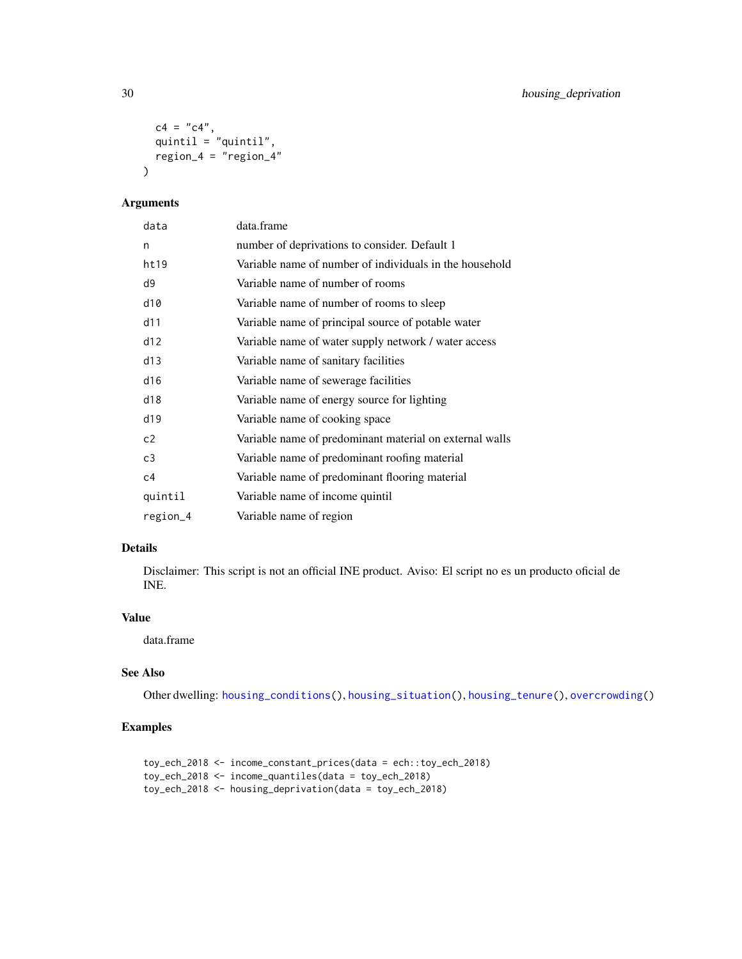```
c4 = "c4",quintil = "quintil",
 region_4 = "region_4"\lambda
```
# Arguments

| data           | data.frame                                              |
|----------------|---------------------------------------------------------|
| n              | number of deprivations to consider. Default 1           |
| ht19           | Variable name of number of individuals in the household |
| d9             | Variable name of number of rooms                        |
| d10            | Variable name of number of rooms to sleep               |
| d11            | Variable name of principal source of potable water      |
| d12            | Variable name of water supply network / water access    |
| d13            | Variable name of sanitary facilities                    |
| d16            | Variable name of sewerage facilities                    |
| d18            | Variable name of energy source for lighting             |
| d19            | Variable name of cooking space                          |
| c2             | Variable name of predominant material on external walls |
| c3             | Variable name of predominant roofing material           |
| c <sub>4</sub> | Variable name of predominant flooring material          |
| quintil        | Variable name of income quintil                         |
| region_4       | Variable name of region                                 |

# Details

Disclaimer: This script is not an official INE product. Aviso: El script no es un producto oficial de INE.

## Value

data.frame

# See Also

Other dwelling: [housing\\_conditions\(](#page-27-1)), [housing\\_situation\(](#page-30-1)), [housing\\_tenure\(](#page-31-1)), [overcrowding\(](#page-47-1))

# Examples

```
toy_ech_2018 <- income_constant_prices(data = ech::toy_ech_2018)
toy_ech_2018 <- income_quantiles(data = toy_ech_2018)
toy_ech_2018 <- housing_deprivation(data = toy_ech_2018)
```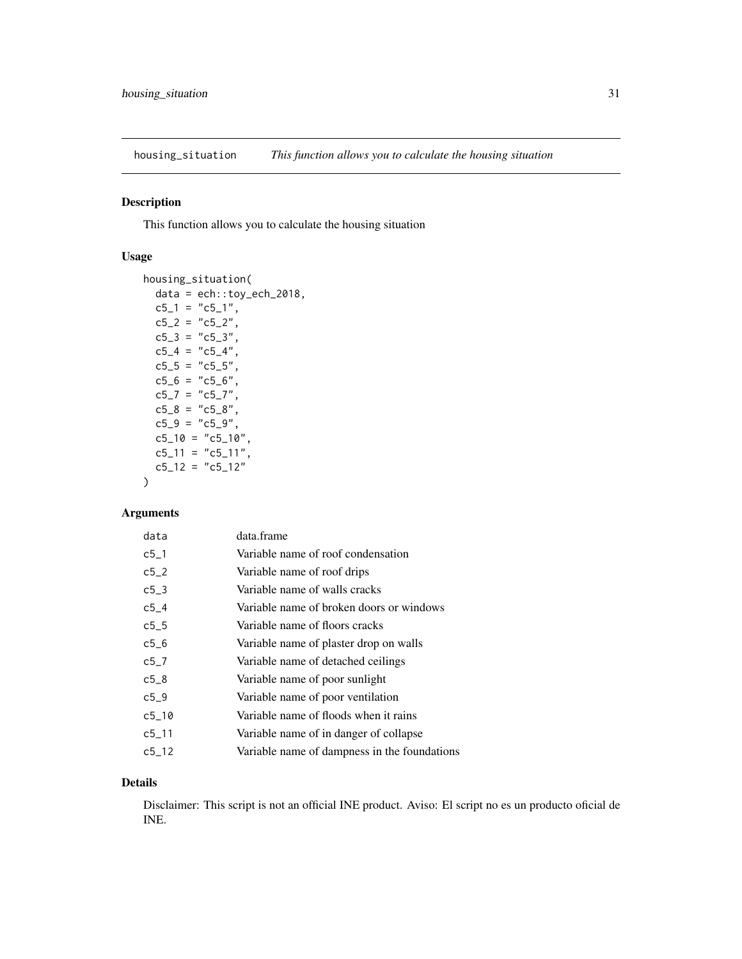<span id="page-30-1"></span><span id="page-30-0"></span>housing\_situation *This function allows you to calculate the housing situation*

## Description

This function allows you to calculate the housing situation

## Usage

```
housing_situation(
  data = ech::toy\_ech\_2018,c5_1 = "c5_1",c5_2 = "c5_2",c5_3 = "c5_3",c5_4 = "c5_4",c5_5 = "c5_5",c5_6 = "c5_6",c5_7 = "c5_7",c5_8 = "c5_8",c5_9 = "c5_9",c5_10 = "c5_10",c5<sub>-11</sub> = "c5<sub>-11</sub>",
 c5_12 = "c5_12")
```
# Arguments

| data      | data.frame                                   |
|-----------|----------------------------------------------|
| $c5-1$    | Variable name of roof condensation           |
| $c5-2$    | Variable name of roof drips                  |
| $c5-3$    | Variable name of walls cracks                |
| c54       | Variable name of broken doors or windows     |
| $c5-5$    | Variable name of floors cracks               |
| c56       | Variable name of plaster drop on walls       |
| c5 7      | Variable name of detached ceilings           |
| $c5-8$    | Variable name of poor sunlight               |
| $c5-9$    | Variable name of poor ventilation            |
| $c5 - 10$ | Variable name of floods when it rains        |
| $c5 - 11$ | Variable name of in danger of collapse       |
| $c5 - 12$ | Variable name of dampness in the foundations |
|           |                                              |

## Details

Disclaimer: This script is not an official INE product. Aviso: El script no es un producto oficial de INE.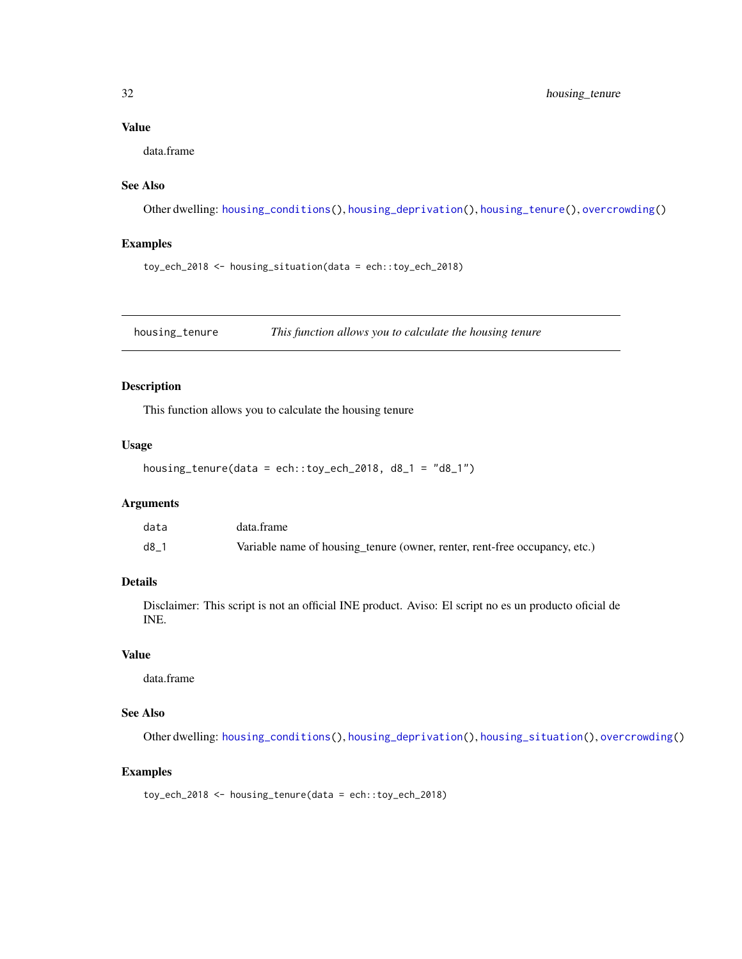# <span id="page-31-0"></span>Value

data.frame

# See Also

Other dwelling: [housing\\_conditions\(](#page-27-1)), [housing\\_deprivation\(](#page-28-1)), [housing\\_tenure\(](#page-31-1)), [overcrowding\(](#page-47-1))

## Examples

toy\_ech\_2018 <- housing\_situation(data = ech::toy\_ech\_2018)

<span id="page-31-1"></span>housing\_tenure *This function allows you to calculate the housing tenure*

## Description

This function allows you to calculate the housing tenure

## Usage

```
housing_tenure(data = ech::toy_ech_2018, d8_1 = "d8_1")
```
# Arguments

| data | data.frame                                                                 |
|------|----------------------------------------------------------------------------|
| d8   | Variable name of housing tenure (owner, renter, rent-free occupancy, etc.) |

## Details

Disclaimer: This script is not an official INE product. Aviso: El script no es un producto oficial de INE.

## Value

data.frame

# See Also

Other dwelling: [housing\\_conditions\(](#page-27-1)), [housing\\_deprivation\(](#page-28-1)), [housing\\_situation\(](#page-30-1)), [overcrowding\(](#page-47-1))

# Examples

toy\_ech\_2018 <- housing\_tenure(data = ech::toy\_ech\_2018)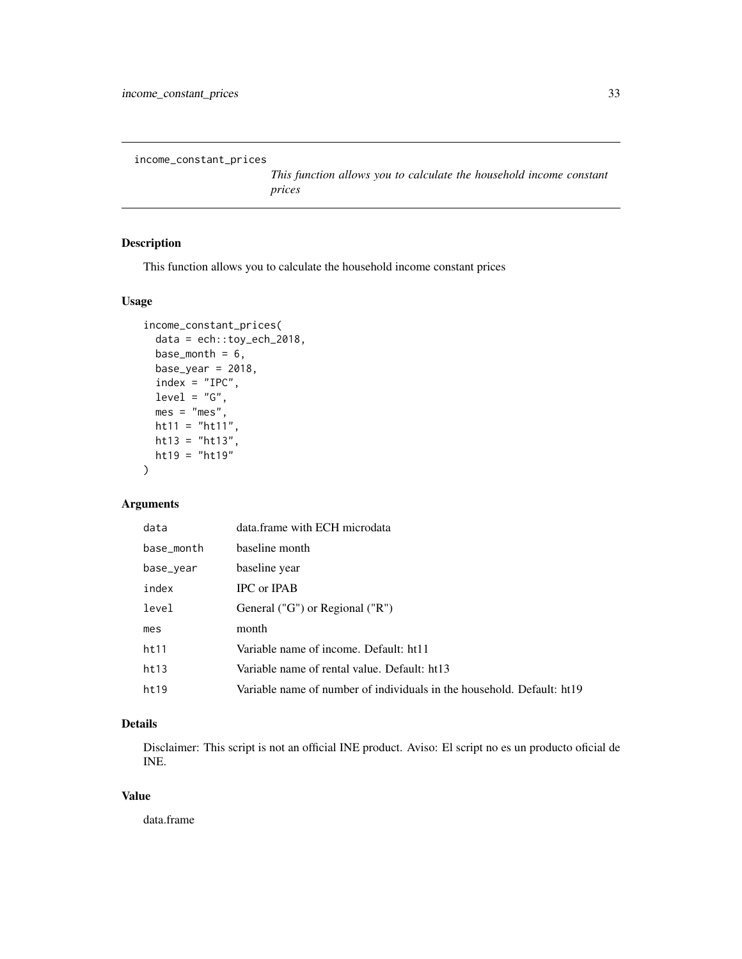```
income_constant_prices
```
*This function allows you to calculate the household income constant prices*

# Description

This function allows you to calculate the household income constant prices

## Usage

```
income_constant_prices(
 data = ech::toy_ech_2018,
 base_month = 6,
 base\_year = 2018,
 index = "IPC",level = "G",mes = "mes",ht11 = "ht11",ht13 = "ht13",ht19 = "ht19"
)
```
## Arguments

| data       | data.frame with ECH microdata                                          |
|------------|------------------------------------------------------------------------|
| base_month | baseline month                                                         |
| base_year  | baseline year                                                          |
| index      | <b>IPC</b> or <b>IPAB</b>                                              |
| level      | General ("G") or Regional ("R")                                        |
| mes        | month                                                                  |
| ht11       | Variable name of income. Default: ht11                                 |
| ht13       | Variable name of rental value. Default: ht13                           |
| ht19       | Variable name of number of individuals in the household. Default: ht19 |

# Details

Disclaimer: This script is not an official INE product. Aviso: El script no es un producto oficial de INE.

## Value

data.frame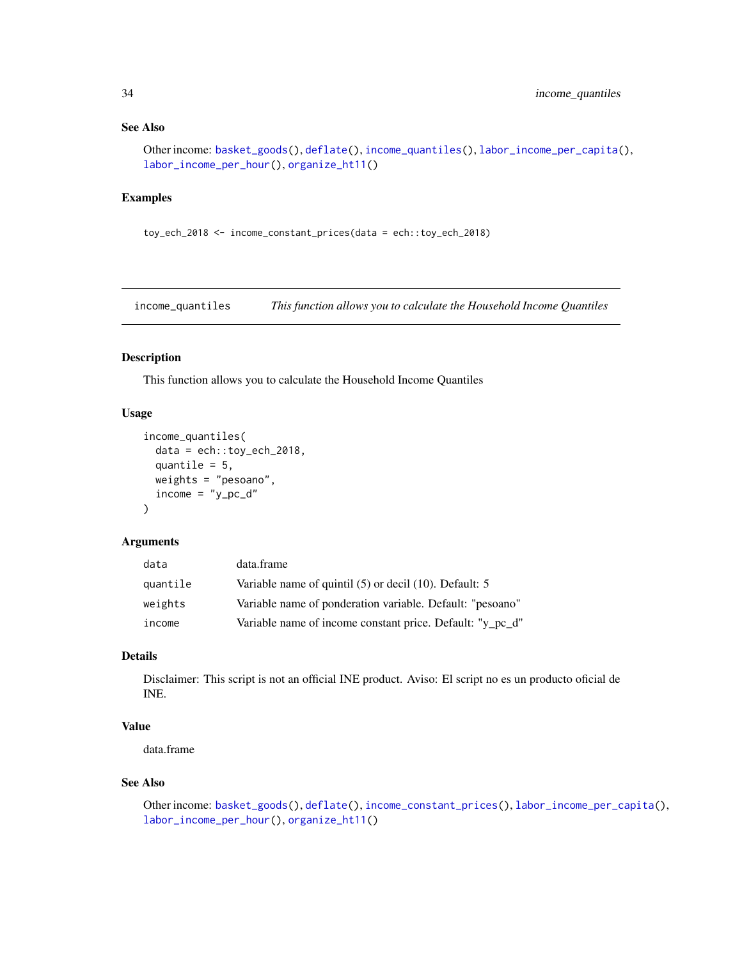## <span id="page-33-0"></span>See Also

```
Other income: basket_goods(), deflate(), income_quantiles(), labor_income_per_capita(),
labor_income_per_hour(), organize_ht11()
```
## Examples

toy\_ech\_2018 <- income\_constant\_prices(data = ech::toy\_ech\_2018)

<span id="page-33-1"></span>income\_quantiles *This function allows you to calculate the Household Income Quantiles*

#### Description

This function allows you to calculate the Household Income Quantiles

# Usage

```
income_quantiles(
 data = ech::toy\_ech\_2018,quantile = 5,
 weights = "pesoano",
 income = "y_pc_d"\lambda
```
## Arguments

| data     | data.frame                                                  |
|----------|-------------------------------------------------------------|
| quantile | Variable name of quintil $(5)$ or decil $(10)$ . Default: 5 |
| weights  | Variable name of ponderation variable. Default: "pesoano"   |
| income   | Variable name of income constant price. Default: "y_pc_d"   |

# Details

Disclaimer: This script is not an official INE product. Aviso: El script no es un producto oficial de INE.

# Value

data.frame

## See Also

```
Other income: basket_goods(), deflate(), income_constant_prices(), labor_income_per_capita(),
labor_income_per_hour(), organize_ht11()
```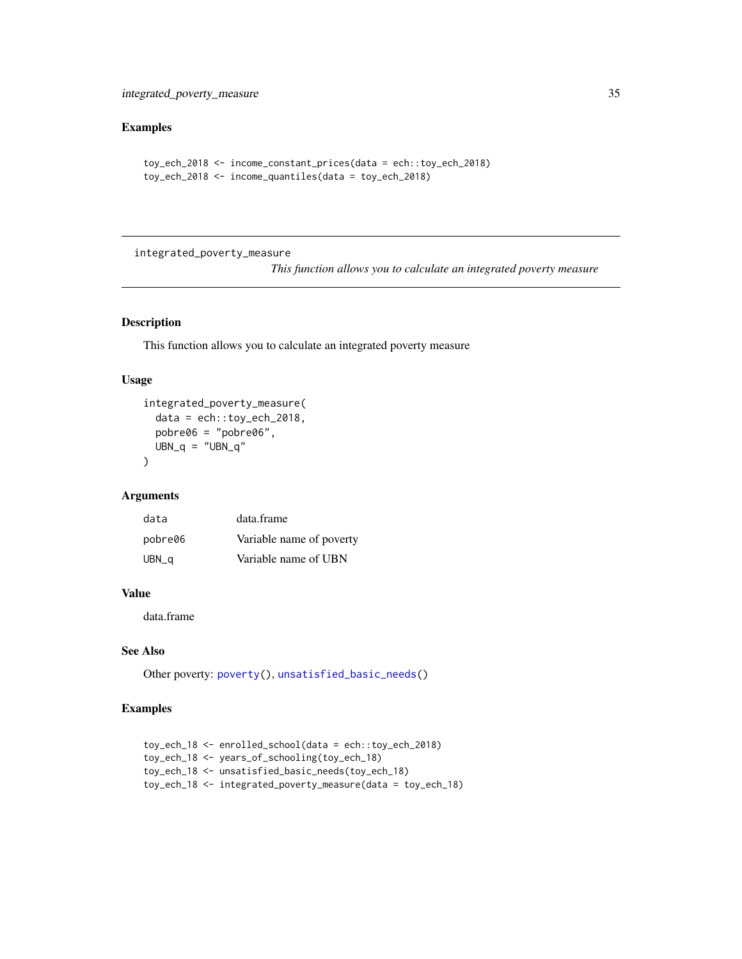# <span id="page-34-0"></span>Examples

```
toy_ech_2018 <- income_constant_prices(data = ech::toy_ech_2018)
toy_ech_2018 <- income_quantiles(data = toy_ech_2018)
```
integrated\_poverty\_measure

*This function allows you to calculate an integrated poverty measure*

# Description

This function allows you to calculate an integrated poverty measure

# Usage

```
integrated_poverty_measure(
 data = ech::toy_ech_2018,pobre06 = "pobre06",
 UBN_q = "UBN_q")
```
#### Arguments

| data    | data.frame               |
|---------|--------------------------|
| pobre06 | Variable name of poverty |
| UBN_q   | Variable name of UBN     |

# Value

data.frame

# See Also

Other poverty: [poverty\(](#page-48-1)), [unsatisfied\\_basic\\_needs\(](#page-71-1))

## Examples

```
toy_ech_18 <- enrolled_school(data = ech::toy_ech_2018)
toy_ech_18 <- years_of_schooling(toy_ech_18)
toy_ech_18 <- unsatisfied_basic_needs(toy_ech_18)
toy_ech_18 <- integrated_poverty_measure(data = toy_ech_18)
```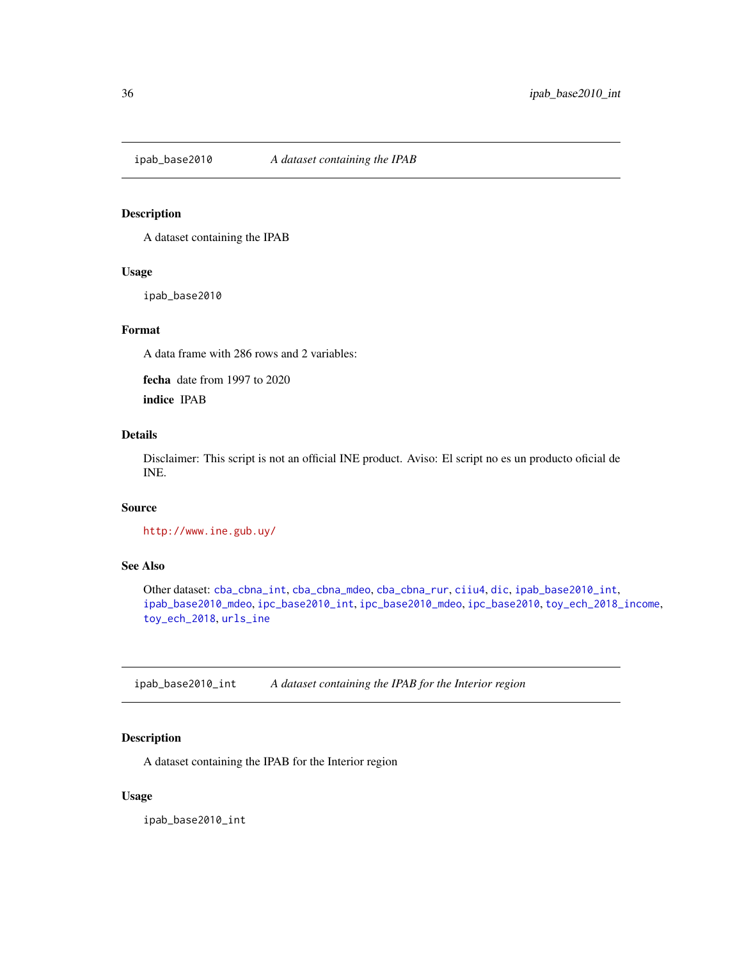<span id="page-35-2"></span><span id="page-35-0"></span>

## Description

A dataset containing the IPAB

## Usage

ipab\_base2010

## Format

A data frame with 286 rows and 2 variables:

fecha date from 1997 to 2020

indice IPAB

# Details

Disclaimer: This script is not an official INE product. Aviso: El script no es un producto oficial de INE.

## Source

<http://www.ine.gub.uy/>

# See Also

Other dataset: [cba\\_cbna\\_int](#page-5-1), [cba\\_cbna\\_mdeo](#page-6-1), [cba\\_cbna\\_rur](#page-6-2), [ciiu4](#page-7-1), [dic](#page-9-1), [ipab\\_base2010\\_int](#page-35-1), [ipab\\_base2010\\_mdeo](#page-36-1), [ipc\\_base2010\\_int](#page-38-1), [ipc\\_base2010\\_mdeo](#page-38-2), [ipc\\_base2010](#page-37-1), [toy\\_ech\\_2018\\_income](#page-67-1), [toy\\_ech\\_2018](#page-51-1), [urls\\_ine](#page-73-1)

<span id="page-35-1"></span>ipab\_base2010\_int *A dataset containing the IPAB for the Interior region*

## Description

A dataset containing the IPAB for the Interior region

## Usage

ipab\_base2010\_int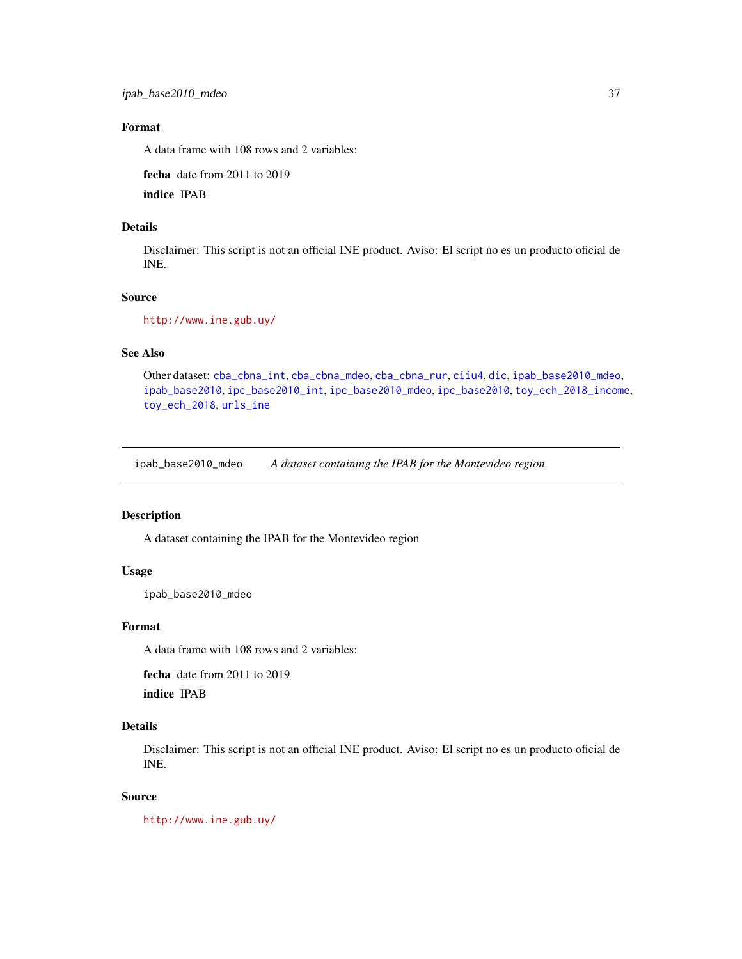## Format

A data frame with 108 rows and 2 variables:

fecha date from 2011 to 2019

indice IPAB

## Details

Disclaimer: This script is not an official INE product. Aviso: El script no es un producto oficial de INE.

#### Source

<http://www.ine.gub.uy/>

## See Also

Other dataset: [cba\\_cbna\\_int](#page-5-0), [cba\\_cbna\\_mdeo](#page-6-0), [cba\\_cbna\\_rur](#page-6-1), [ciiu4](#page-7-0), [dic](#page-9-0), [ipab\\_base2010\\_mdeo](#page-36-0), [ipab\\_base2010](#page-35-0), [ipc\\_base2010\\_int](#page-38-0), [ipc\\_base2010\\_mdeo](#page-38-1), [ipc\\_base2010](#page-37-0), [toy\\_ech\\_2018\\_income](#page-67-0), [toy\\_ech\\_2018](#page-51-0), [urls\\_ine](#page-73-0)

<span id="page-36-0"></span>ipab\_base2010\_mdeo *A dataset containing the IPAB for the Montevideo region*

### Description

A dataset containing the IPAB for the Montevideo region

### Usage

ipab\_base2010\_mdeo

### Format

A data frame with 108 rows and 2 variables:

fecha date from 2011 to 2019

indice IPAB

# Details

Disclaimer: This script is not an official INE product. Aviso: El script no es un producto oficial de INE.

#### Source

<http://www.ine.gub.uy/>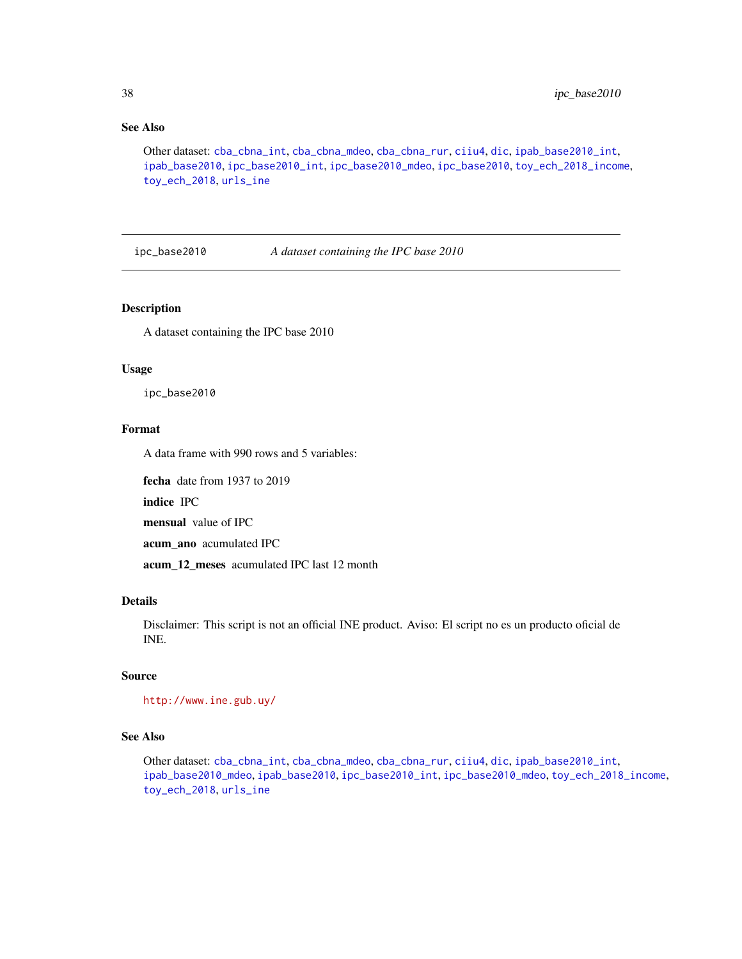## See Also

Other dataset: [cba\\_cbna\\_int](#page-5-0), [cba\\_cbna\\_mdeo](#page-6-0), [cba\\_cbna\\_rur](#page-6-1), [ciiu4](#page-7-0), [dic](#page-9-0), [ipab\\_base2010\\_int](#page-35-1), [ipab\\_base2010](#page-35-0), [ipc\\_base2010\\_int](#page-38-0), [ipc\\_base2010\\_mdeo](#page-38-1), [ipc\\_base2010](#page-37-0), [toy\\_ech\\_2018\\_income](#page-67-0), [toy\\_ech\\_2018](#page-51-0), [urls\\_ine](#page-73-0)

<span id="page-37-0"></span>ipc\_base2010 *A dataset containing the IPC base 2010*

## Description

A dataset containing the IPC base 2010

### Usage

ipc\_base2010

### Format

A data frame with 990 rows and 5 variables:

fecha date from 1937 to 2019

indice IPC

mensual value of IPC

acum\_ano acumulated IPC

acum\_12\_meses acumulated IPC last 12 month

## Details

Disclaimer: This script is not an official INE product. Aviso: El script no es un producto oficial de INE.

### Source

```
http://www.ine.gub.uy/
```
## See Also

Other dataset: [cba\\_cbna\\_int](#page-5-0), [cba\\_cbna\\_mdeo](#page-6-0), [cba\\_cbna\\_rur](#page-6-1), [ciiu4](#page-7-0), [dic](#page-9-0), [ipab\\_base2010\\_int](#page-35-1), [ipab\\_base2010\\_mdeo](#page-36-0), [ipab\\_base2010](#page-35-0), [ipc\\_base2010\\_int](#page-38-0), [ipc\\_base2010\\_mdeo](#page-38-1), [toy\\_ech\\_2018\\_income](#page-67-0), [toy\\_ech\\_2018](#page-51-0), [urls\\_ine](#page-73-0)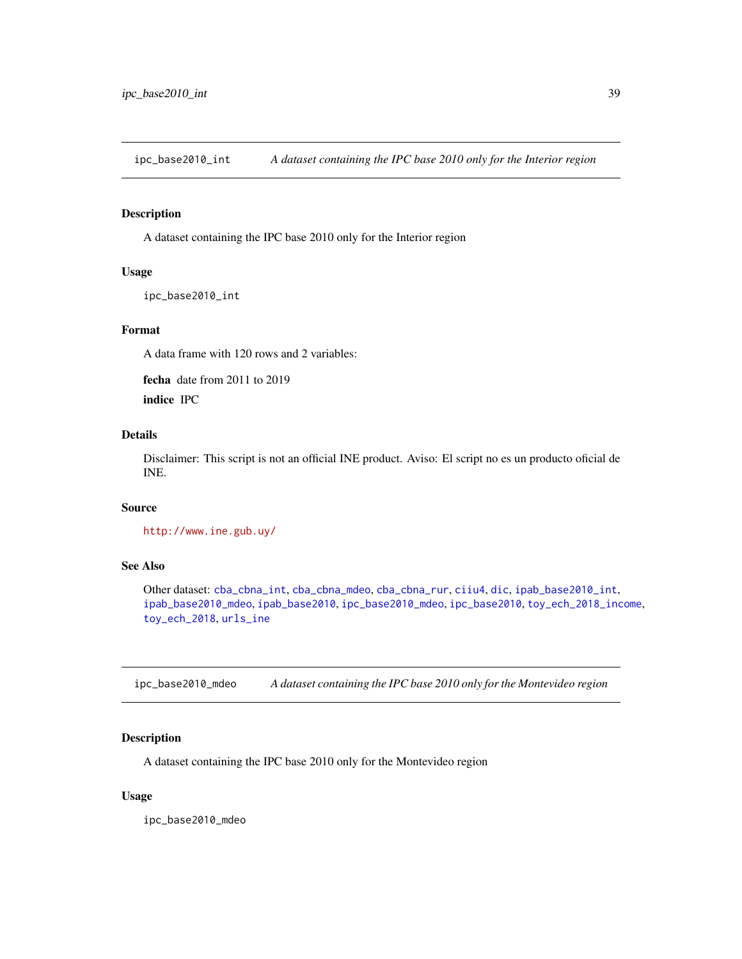<span id="page-38-0"></span>ipc\_base2010\_int *A dataset containing the IPC base 2010 only for the Interior region*

### Description

A dataset containing the IPC base 2010 only for the Interior region

## Usage

ipc\_base2010\_int

### Format

A data frame with 120 rows and 2 variables:

fecha date from 2011 to 2019

indice IPC

## Details

Disclaimer: This script is not an official INE product. Aviso: El script no es un producto oficial de INE.

### Source

<http://www.ine.gub.uy/>

## See Also

Other dataset: [cba\\_cbna\\_int](#page-5-0), [cba\\_cbna\\_mdeo](#page-6-0), [cba\\_cbna\\_rur](#page-6-1), [ciiu4](#page-7-0), [dic](#page-9-0), [ipab\\_base2010\\_int](#page-35-1), [ipab\\_base2010\\_mdeo](#page-36-0), [ipab\\_base2010](#page-35-0), [ipc\\_base2010\\_mdeo](#page-38-1), [ipc\\_base2010](#page-37-0), [toy\\_ech\\_2018\\_income](#page-67-0), [toy\\_ech\\_2018](#page-51-0), [urls\\_ine](#page-73-0)

<span id="page-38-1"></span>ipc\_base2010\_mdeo *A dataset containing the IPC base 2010 only for the Montevideo region*

### Description

A dataset containing the IPC base 2010 only for the Montevideo region

#### Usage

ipc\_base2010\_mdeo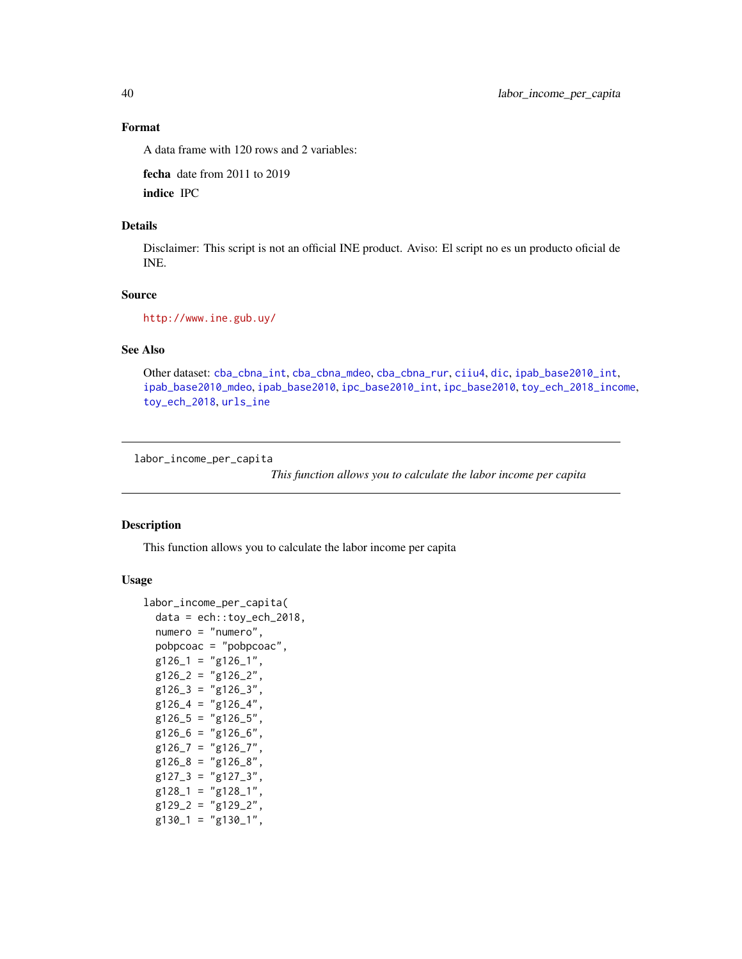### Format

A data frame with 120 rows and 2 variables:

fecha date from 2011 to 2019

indice IPC

## Details

Disclaimer: This script is not an official INE product. Aviso: El script no es un producto oficial de INE.

## Source

<http://www.ine.gub.uy/>

### See Also

Other dataset: [cba\\_cbna\\_int](#page-5-0), [cba\\_cbna\\_mdeo](#page-6-0), [cba\\_cbna\\_rur](#page-6-1), [ciiu4](#page-7-0), [dic](#page-9-0), [ipab\\_base2010\\_int](#page-35-1), [ipab\\_base2010\\_mdeo](#page-36-0), [ipab\\_base2010](#page-35-0), [ipc\\_base2010\\_int](#page-38-0), [ipc\\_base2010](#page-37-0), [toy\\_ech\\_2018\\_income](#page-67-0), [toy\\_ech\\_2018](#page-51-0), [urls\\_ine](#page-73-0)

<span id="page-39-0"></span>labor\_income\_per\_capita

*This function allows you to calculate the labor income per capita*

## Description

This function allows you to calculate the labor income per capita

#### Usage

```
labor_income_per_capita(
  data = ech::toy\_ech\_2018,numero = "numero",
 pobpcoac = "pobpcoac",
 g126_1 = "g126_1",g126_2 = "g126_2",g126_3 = "g126_3",g126_4 = "g126_4",g126_5 = "g126_5",g126_6 = "g126_6",g126_7 = "g126_7",g126_8 = "g126_8",g127-3 = "g127-3",g128_1 = "g128_1",g129_2 = "g129_2",
 g130_1 = "g130_1",
```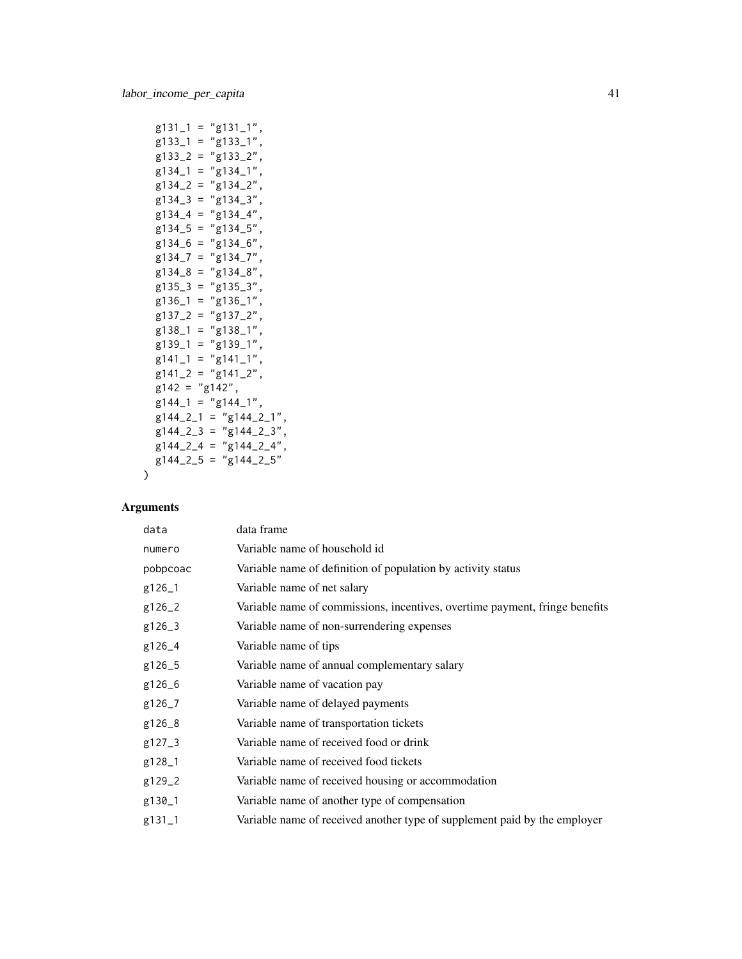```
g131_1 = "g131_1",g133_1 = "g133_1",g133_2 = "g133_2",
g134_1 = "g134_1",g134_2 = "g134_2",g134_3 = "g134_3",g134_4 = "g134_4",g134_5 = "g134_5",g134_6 = "g134_6",g134_7 = "g134_7",g134_8 = "g134_8",g135_3 = "g135_3",g136_1 = "g136_1",g137_2 = "g137_2",g138_1 = "g138_1",g139_1 = "g139_1",
g141_1 = "g141_1",g141_2 = "g141_2",g142 = "g142",g144_1 = "g144_1",g144_2_1 = "g144_2_1",g144_2_3 = "g144_2_3",g144_2_4 = "g144_2_4",g144_2_5 = "g144_2_5"
```
#### Arguments

 $\mathcal{L}$ 

| data       | data frame                                                                  |
|------------|-----------------------------------------------------------------------------|
| numero     | Variable name of household id                                               |
| pobpcoac   | Variable name of definition of population by activity status                |
| g126_1     | Variable name of net salary                                                 |
| g126_2     | Variable name of commissions, incentives, overtime payment, fringe benefits |
| g126_3     | Variable name of non-surrendering expenses                                  |
| g126_4     | Variable name of tips                                                       |
| g126_5     | Variable name of annual complementary salary                                |
| g126_6     | Variable name of vacation pay                                               |
| g126_7     | Variable name of delayed payments                                           |
| g126_8     | Variable name of transportation tickets                                     |
| $g127 - 3$ | Variable name of received food or drink                                     |
| g128_1     | Variable name of received food tickets                                      |
| g129_2     | Variable name of received housing or accommodation                          |
| g130_1     | Variable name of another type of compensation                               |
| g131_1     | Variable name of received another type of supplement paid by the employer   |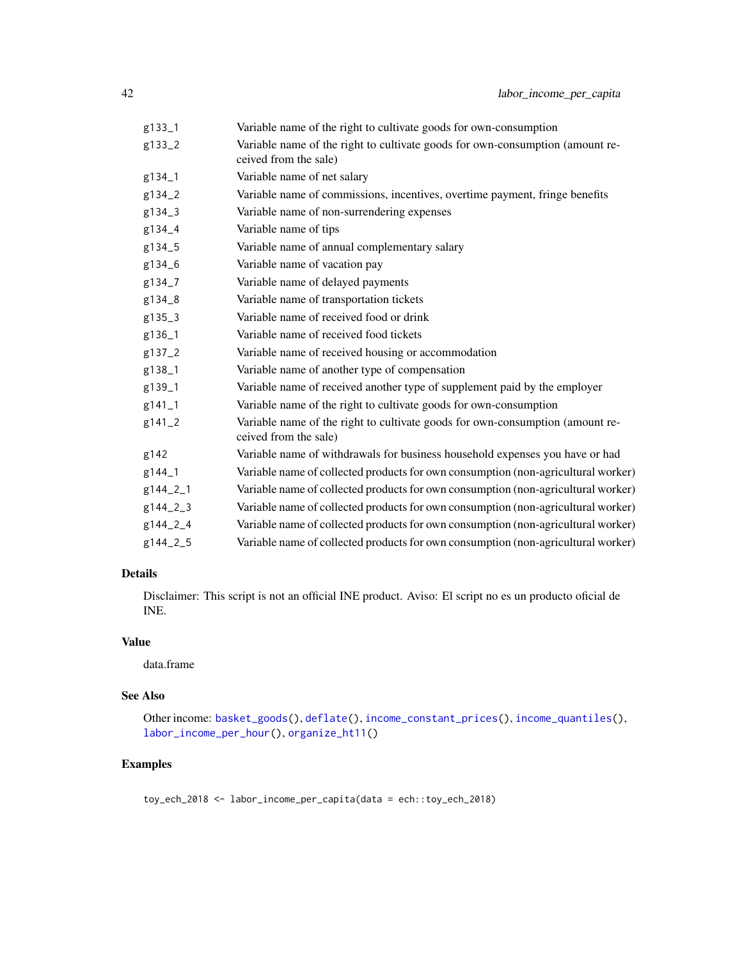| g133_1   | Variable name of the right to cultivate goods for own-consumption                                      |
|----------|--------------------------------------------------------------------------------------------------------|
| g133_2   | Variable name of the right to cultivate goods for own-consumption (amount re-<br>ceived from the sale) |
| g134_1   | Variable name of net salary                                                                            |
| g134_2   | Variable name of commissions, incentives, overtime payment, fringe benefits                            |
| g134_3   | Variable name of non-surrendering expenses                                                             |
| g134_4   | Variable name of tips                                                                                  |
| g134_5   | Variable name of annual complementary salary                                                           |
| g134_6   | Variable name of vacation pay                                                                          |
| g134_7   | Variable name of delayed payments                                                                      |
| g134_8   | Variable name of transportation tickets                                                                |
| g135_3   | Variable name of received food or drink                                                                |
| g136_1   | Variable name of received food tickets                                                                 |
| g137_2   | Variable name of received housing or accommodation                                                     |
| g138_1   | Variable name of another type of compensation                                                          |
| g139_1   | Variable name of received another type of supplement paid by the employer                              |
| g141_1   | Variable name of the right to cultivate goods for own-consumption                                      |
| g141_2   | Variable name of the right to cultivate goods for own-consumption (amount re-<br>ceived from the sale) |
| g142     | Variable name of withdrawals for business household expenses you have or had                           |
| g144_1   | Variable name of collected products for own consumption (non-agricultural worker)                      |
| g144_2_1 | Variable name of collected products for own consumption (non-agricultural worker)                      |
| g144_2_3 | Variable name of collected products for own consumption (non-agricultural worker)                      |
| g144_2_4 | Variable name of collected products for own consumption (non-agricultural worker)                      |
| g144_2_5 | Variable name of collected products for own consumption (non-agricultural worker)                      |

# Details

Disclaimer: This script is not an official INE product. Aviso: El script no es un producto oficial de INE.

## Value

data.frame

# See Also

Other income: [basket\\_goods\(](#page-3-0)), [deflate\(](#page-8-0)), [income\\_constant\\_prices\(](#page-32-0)), [income\\_quantiles\(](#page-33-0)), [labor\\_income\\_per\\_hour\(](#page-42-0)), [organize\\_ht11\(](#page-46-0))

## Examples

toy\_ech\_2018 <- labor\_income\_per\_capita(data = ech::toy\_ech\_2018)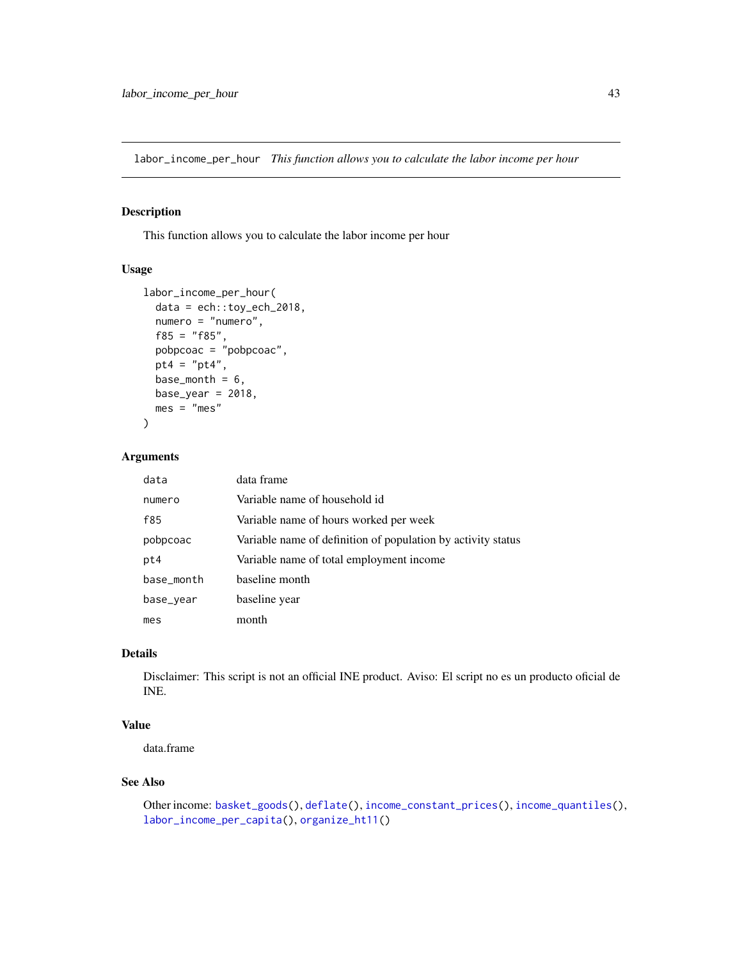<span id="page-42-0"></span>labor\_income\_per\_hour *This function allows you to calculate the labor income per hour*

## Description

This function allows you to calculate the labor income per hour

### Usage

```
labor_income_per_hour(
 data = ech::toy_ech_2018,numero = "numero",
 f85 = "f85",pobpcoac = "pobpcoac",
 pt4 = "pt4",
 base_month = 6,
 base\_year = 2018,
 mes = "mes")
```
### Arguments

| data       | data frame                                                   |
|------------|--------------------------------------------------------------|
| numero     | Variable name of household id                                |
| f85        | Variable name of hours worked per week                       |
| pobpcoac   | Variable name of definition of population by activity status |
| pt4        | Variable name of total employment income                     |
| base_month | baseline month                                               |
| base_year  | baseline year                                                |
| mes        | month                                                        |

# Details

Disclaimer: This script is not an official INE product. Aviso: El script no es un producto oficial de INE.

## Value

data.frame

#### See Also

```
Other income: basket_goods(), deflate(), income_constant_prices(), income_quantiles(),
labor_income_per_capita(), organize_ht11()
```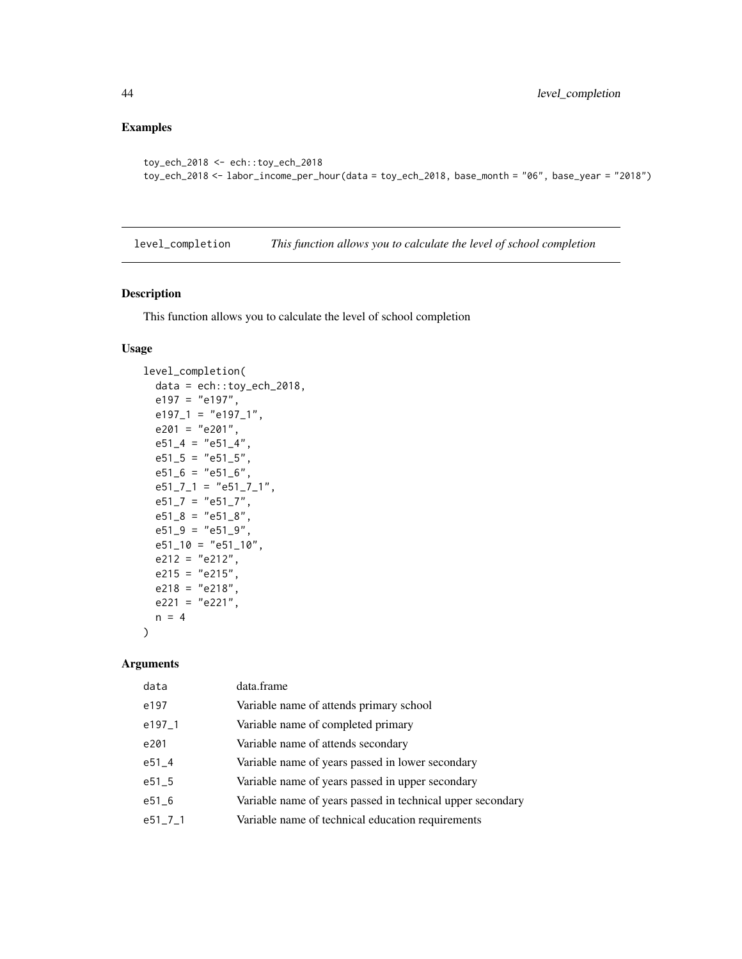## Examples

```
toy_ech_2018 <- ech::toy_ech_2018
toy_ech_2018 <- labor_income_per_hour(data = toy_ech_2018, base_month = "06", base_year = "2018")
```
<span id="page-43-0"></span>level\_completion *This function allows you to calculate the level of school completion*

### Description

This function allows you to calculate the level of school completion

#### Usage

```
level_completion(
 data = ech::toy_ech_2018,
 e197 = "e197",e197_1 = "e197_1",e201 = "e201",e51_4 = "e51_4",e51_5 = "e51_5",e51_6 = "e51_6",e51_7_1 = "e51_7_1",e51_7 = "e51_7",e51_8 = "e51_8",e51_9 = "e51_9",e51\_10 = "e51\_10",e212 = "e212",e215 = "e215",e218 = "e218",e221 = "e221",n = 4)
```
#### Arguments

| data          | data.frame                                                 |
|---------------|------------------------------------------------------------|
| e197          | Variable name of attends primary school                    |
| $e197-1$      | Variable name of completed primary                         |
| e201          | Variable name of attends secondary                         |
| $e51 - 4$     | Variable name of years passed in lower secondary           |
| $e51 - 5$     | Variable name of years passed in upper secondary           |
| $e51\_6$      | Variable name of years passed in technical upper secondary |
| $e51 - 7 - 1$ | Variable name of technical education requirements          |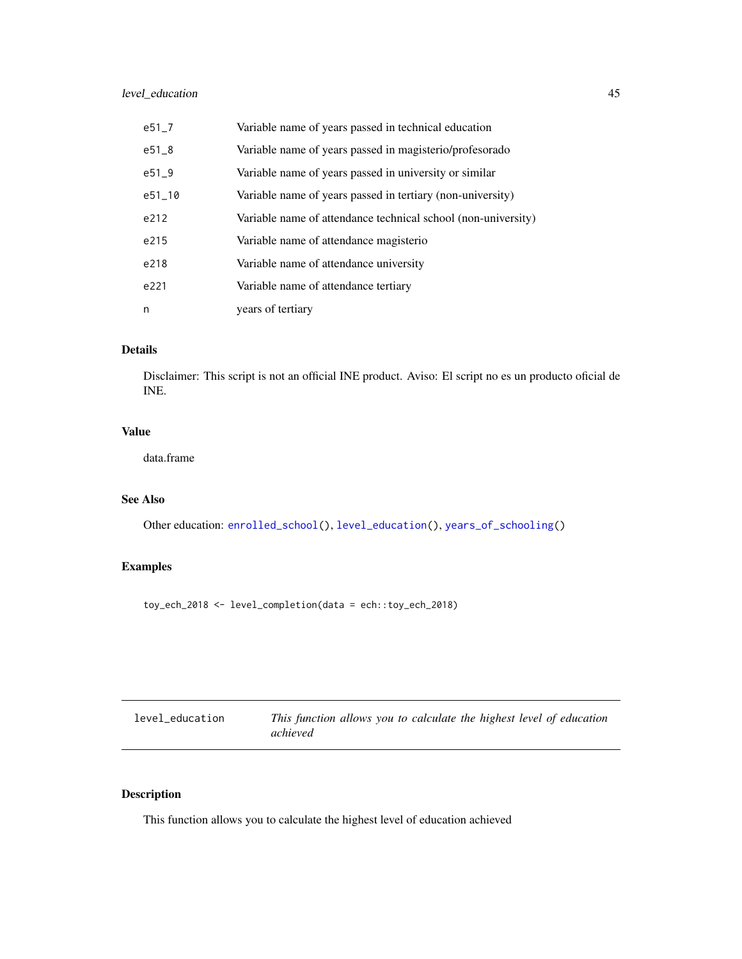## level\_education 45

| $e51 - 7$ | Variable name of years passed in technical education          |
|-----------|---------------------------------------------------------------|
| $e51_8$   | Variable name of years passed in magisterio/profesorado       |
| $e51 - 9$ | Variable name of years passed in university or similar        |
| e51_10    | Variable name of years passed in tertiary (non-university)    |
| e212      | Variable name of attendance technical school (non-university) |
| e215      | Variable name of attendance magisterio                        |
| e218      | Variable name of attendance university                        |
| e221      | Variable name of attendance tertiary                          |
| n         | years of tertiary                                             |

## Details

Disclaimer: This script is not an official INE product. Aviso: El script no es un producto oficial de INE.

### Value

data.frame

## See Also

Other education: [enrolled\\_school\(](#page-12-0)), [level\\_education\(](#page-44-0)), [years\\_of\\_schooling\(](#page-74-0))

# Examples

toy\_ech\_2018 <- level\_completion(data = ech::toy\_ech\_2018)

<span id="page-44-0"></span>

| level_education | This function allows you to calculate the highest level of education |
|-----------------|----------------------------------------------------------------------|
|                 | achieved                                                             |

# Description

This function allows you to calculate the highest level of education achieved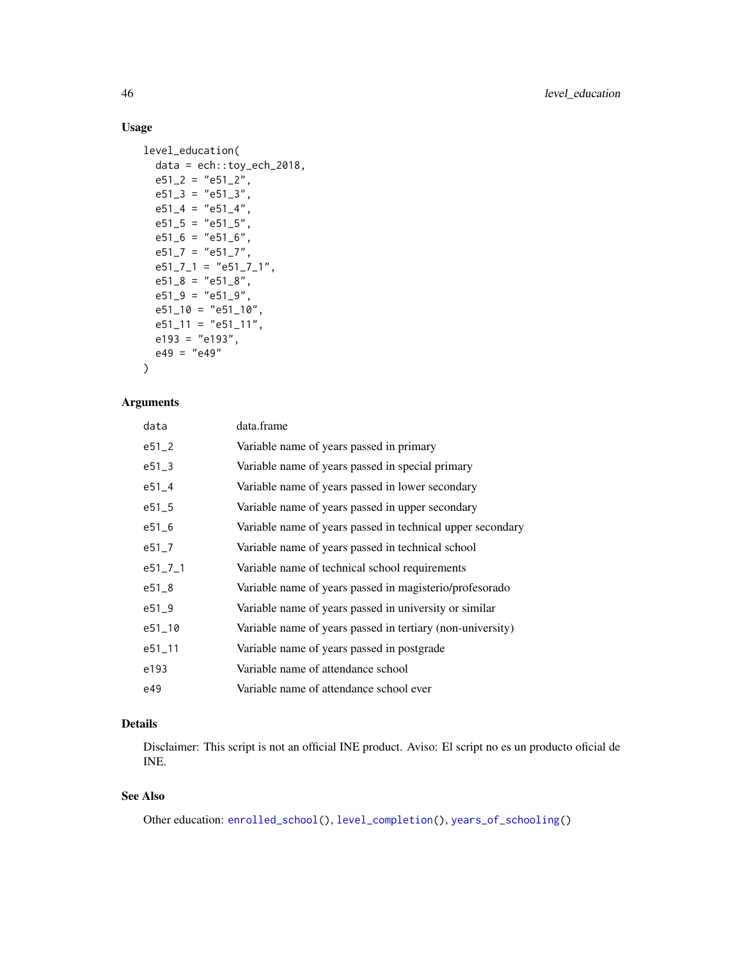## Usage

```
level_education(
 data = ech::toy\_ech\_2018,e51_2 = "e51_2",e51_3 = "e51_3",e51_4 = "e51_4",e51_5 = "e51_5",e51_6 = "e51_6",e51_7 = "e51_7",e51_7_1 = "e51_7_1",e51_8 = "e51_8",e51_9 = "e51_9",e51\_10 = "e51\_10",e51_11 = "e51_11",e193 = "e193",
 e49 = "e49"
\lambda
```
#### Arguments

| data          | data.frame                                                 |
|---------------|------------------------------------------------------------|
| $e51 - 2$     | Variable name of years passed in primary                   |
| $e51 - 3$     | Variable name of years passed in special primary           |
| $e51 - 4$     | Variable name of years passed in lower secondary           |
| $e51 - 5$     | Variable name of years passed in upper secondary           |
| $e51_{-6}$    | Variable name of years passed in technical upper secondary |
| $e51 - 7$     | Variable name of years passed in technical school          |
| $e51 - 7 - 1$ | Variable name of technical school requirements             |
| $e51_{-8}$    | Variable name of years passed in magisterio/profesorado    |
| $e51 - 9$     | Variable name of years passed in university or similar     |
| e51_10        | Variable name of years passed in tertiary (non-university) |
| $e51 - 11$    | Variable name of years passed in postgrade                 |
| e193          | Variable name of attendance school                         |
| e49           | Variable name of attendance school ever                    |

## Details

Disclaimer: This script is not an official INE product. Aviso: El script no es un producto oficial de INE.

### See Also

Other education: [enrolled\\_school\(](#page-12-0)), [level\\_completion\(](#page-43-0)), [years\\_of\\_schooling\(](#page-74-0))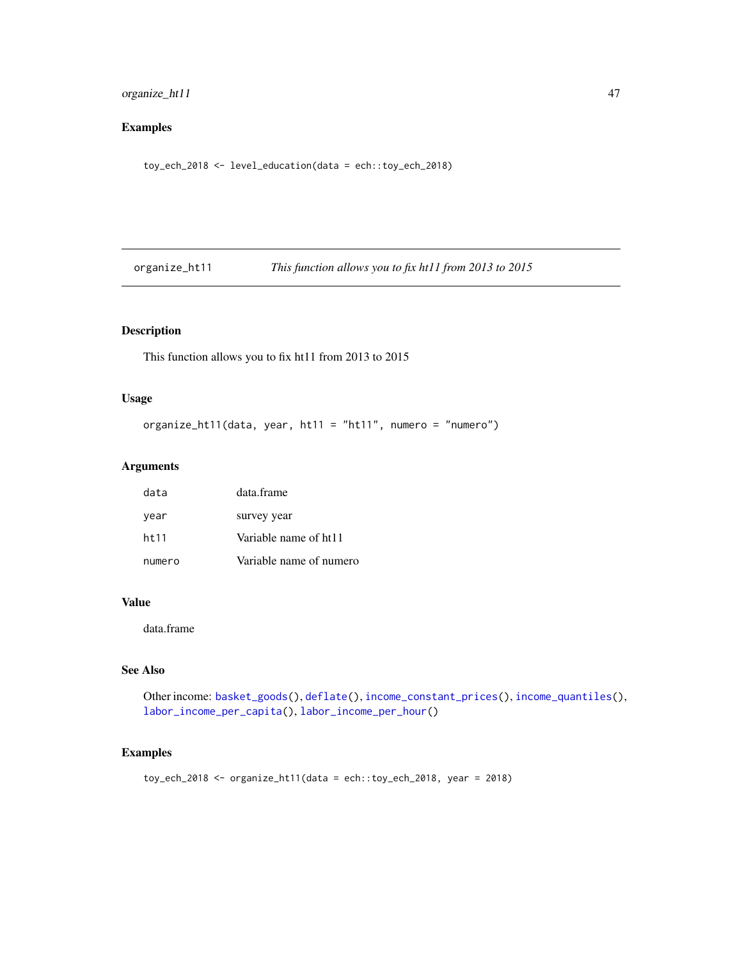## organize\_ht11 47

# Examples

toy\_ech\_2018 <- level\_education(data = ech::toy\_ech\_2018)

<span id="page-46-0"></span>organize\_ht11 *This function allows you to fix ht11 from 2013 to 2015*

## Description

This function allows you to fix ht11 from 2013 to 2015

### Usage

```
organize_ht11(data, year, ht11 = "ht11", numero = "numero")
```
### Arguments

| data   | data.frame              |
|--------|-------------------------|
| year   | survey year             |
| ht 11  | Variable name of ht11   |
| numero | Variable name of numero |

## Value

data.frame

## See Also

```
Other income: basket_goods(), deflate(), income_constant_prices(), income_quantiles(),
labor_income_per_capita(), labor_income_per_hour()
```
# Examples

```
toy_ech_2018 <- organize_ht11(data = ech::toy_ech_2018, year = 2018)
```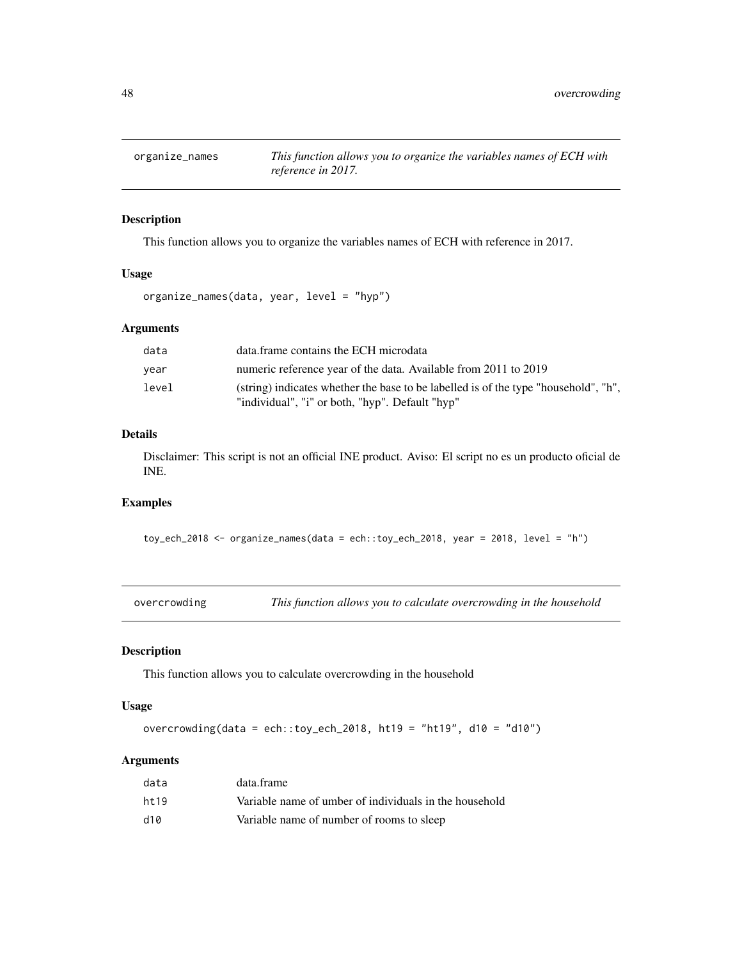# Description

This function allows you to organize the variables names of ECH with reference in 2017.

### Usage

organize\_names(data, year, level = "hyp")

### Arguments

| data  | data.frame contains the ECH microdata                                                                                                  |
|-------|----------------------------------------------------------------------------------------------------------------------------------------|
| year  | numeric reference year of the data. Available from 2011 to 2019                                                                        |
| level | (string) indicates whether the base to be labelled is of the type "household", "h",<br>"individual", "i" or both, "hyp". Default "hyp" |

# Details

Disclaimer: This script is not an official INE product. Aviso: El script no es un producto oficial de INE.

### Examples

toy\_ech\_2018 <- organize\_names(data = ech::toy\_ech\_2018, year = 2018, level = "h")

| overcrowding |  | This function allows you to calculate overcrowding in the household |
|--------------|--|---------------------------------------------------------------------|
|--------------|--|---------------------------------------------------------------------|

### Description

This function allows you to calculate overcrowding in the household

## Usage

overcrowding(data = ech::toy\_ech\_2018, ht19 = "ht19", d10 = "d10")

### Arguments

| data  | data.frame                                             |
|-------|--------------------------------------------------------|
| ht 19 | Variable name of umber of individuals in the household |
| d10   | Variable name of number of rooms to sleep              |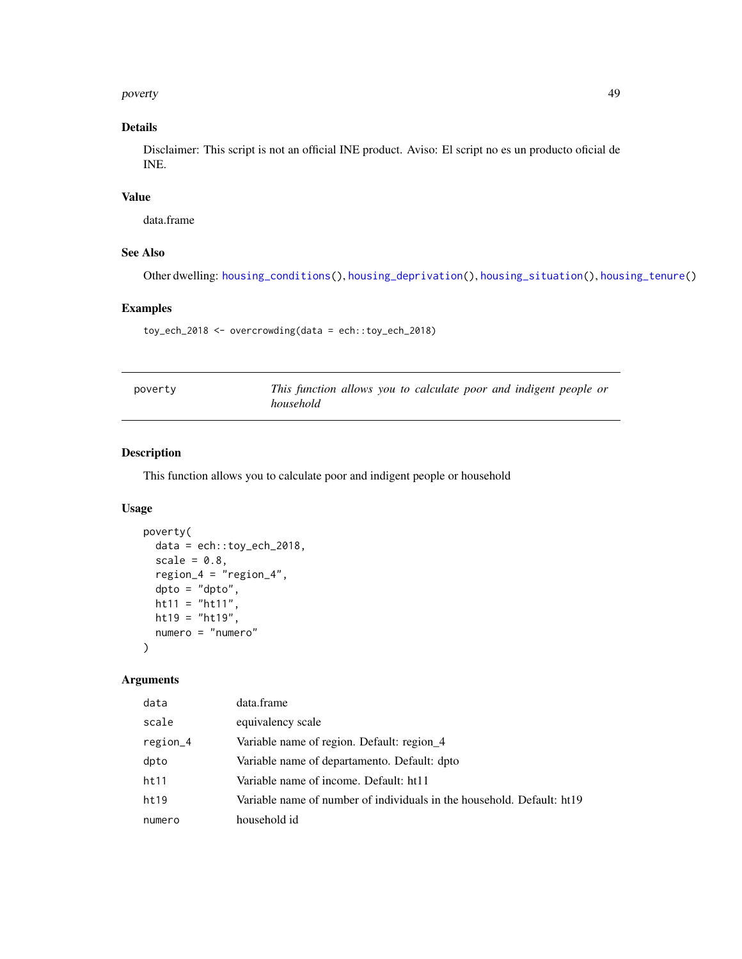poverty and the contract of the contract of the contract of the contract of the contract of the contract of the contract of the contract of the contract of the contract of the contract of the contract of the contract of th

# Details

Disclaimer: This script is not an official INE product. Aviso: El script no es un producto oficial de INE.

## Value

data.frame

## See Also

Other dwelling: [housing\\_conditions\(](#page-27-0)), [housing\\_deprivation\(](#page-28-0)), [housing\\_situation\(](#page-30-0)), [housing\\_tenure\(](#page-31-0))

## Examples

toy\_ech\_2018 <- overcrowding(data = ech::toy\_ech\_2018)

| poverty | This function allows you to calculate poor and indigent people or |  |
|---------|-------------------------------------------------------------------|--|
|         | household                                                         |  |

# Description

This function allows you to calculate poor and indigent people or household

### Usage

```
poverty(
 data = ech::toy_ech_2018,
 scale = 0.8,
 region_4 = "region_4",
 dpto = "dpto",
 ht11 = "ht11",ht19 = "ht19",numero = "numero"
)
```
## Arguments

| data     | data.frame                                                             |
|----------|------------------------------------------------------------------------|
| scale    | equivalency scale                                                      |
| region_4 | Variable name of region. Default: region_4                             |
| dpto     | Variable name of departamento. Default: dpto                           |
| ht11     | Variable name of income. Default: ht11                                 |
| ht19     | Variable name of number of individuals in the household. Default: ht19 |
| numero   | household id                                                           |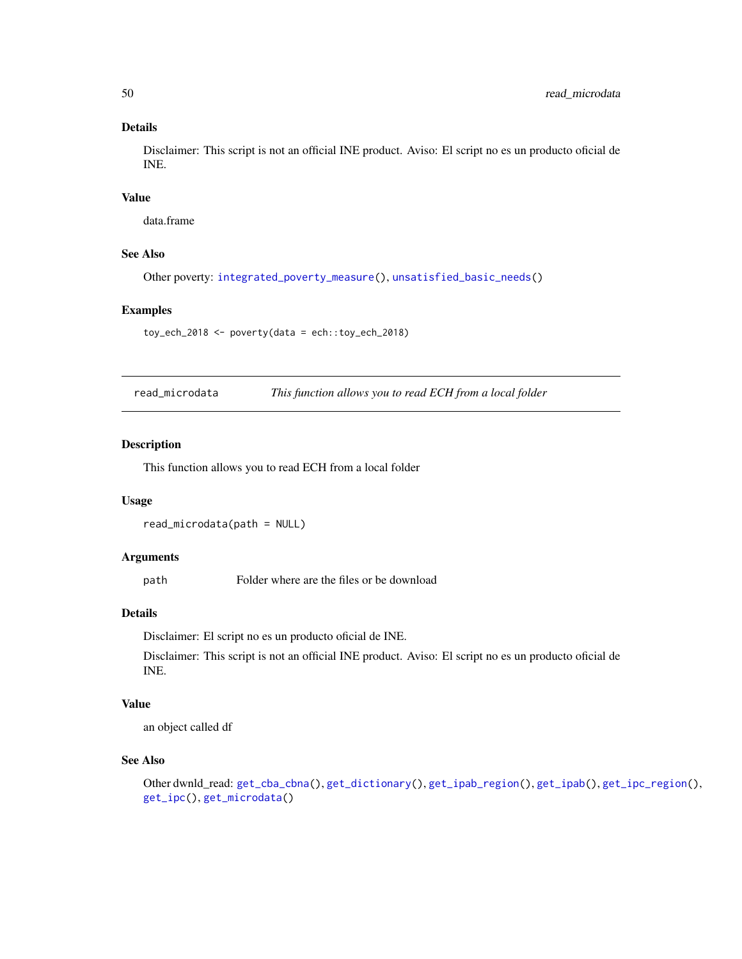## Details

Disclaimer: This script is not an official INE product. Aviso: El script no es un producto oficial de INE.

#### Value

data.frame

## See Also

Other poverty: [integrated\\_poverty\\_measure\(](#page-34-0)), [unsatisfied\\_basic\\_needs\(](#page-71-0))

#### Examples

toy\_ech\_2018 <- poverty(data = ech::toy\_ech\_2018)

read\_microdata *This function allows you to read ECH from a local folder*

### Description

This function allows you to read ECH from a local folder

#### Usage

read\_microdata(path = NULL)

#### Arguments

path Folder where are the files or be download

### Details

Disclaimer: El script no es un producto oficial de INE.

Disclaimer: This script is not an official INE product. Aviso: El script no es un producto oficial de INE.

#### Value

an object called df

## See Also

```
Other dwnld_read: get_cba_cbna(), get_dictionary(), get_ipab_region(), get_ipab(), get_ipc_region(),
get_ipc(), get_microdata()
```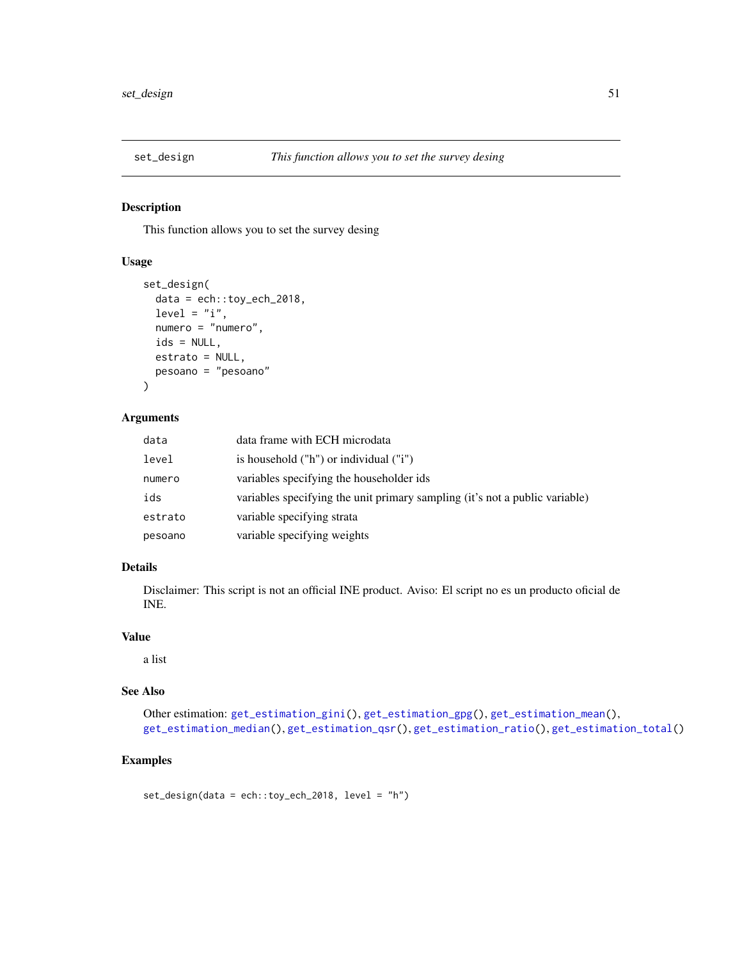## Description

This function allows you to set the survey desing

#### Usage

```
set_design(
 data = ech::toy\_ech\_2018,level = "i",numero = "numero",
 ids = NULL,
 estrato = NULL,
 pesoano = "pesoano"
)
```
### Arguments

| data    | data frame with ECH microdata                                               |
|---------|-----------------------------------------------------------------------------|
| level   | is household $("h")$ or individual $("i")$                                  |
| numero  | variables specifying the householder ids                                    |
| ids     | variables specifying the unit primary sampling (it's not a public variable) |
| estrato | variable specifying strata                                                  |
| pesoano | variable specifying weights                                                 |

# Details

Disclaimer: This script is not an official INE product. Aviso: El script no es un producto oficial de INE.

### Value

a list

## See Also

```
Other estimation: get_estimation_gini(), get_estimation_gpg(), get_estimation_mean(),
get_estimation_median(), get_estimation_qsr(), get_estimation_ratio(), get_estimation_total()
```
## Examples

```
set\_design(data = ech::toy\_ech\_2018, level = "h")
```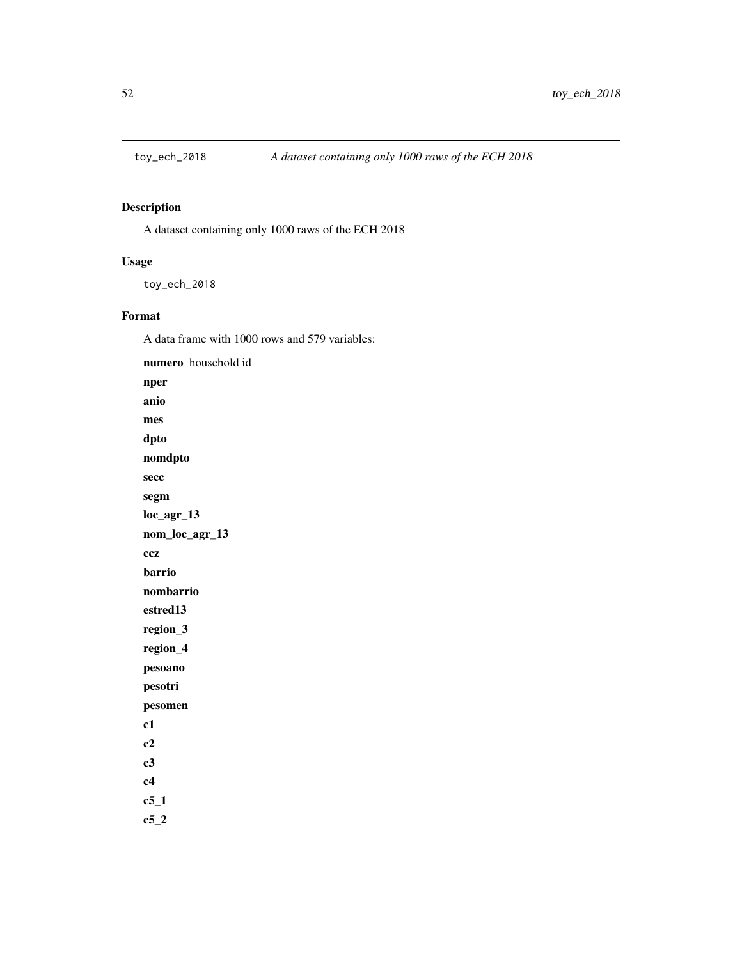<span id="page-51-0"></span>

# Description

A dataset containing only 1000 raws of the ECH 2018

## Usage

toy\_ech\_2018

## Format

A data frame with 1000 rows and 579 variables:

numero household id nper anio mes dpto nomdpto secc segm loc\_agr\_13 nom\_loc\_agr\_13 ccz barrio nombarrio estred13 region\_3 region\_4 pesoano pesotri pesomen c1 c2 c3 c4 c5\_1  $c5_2$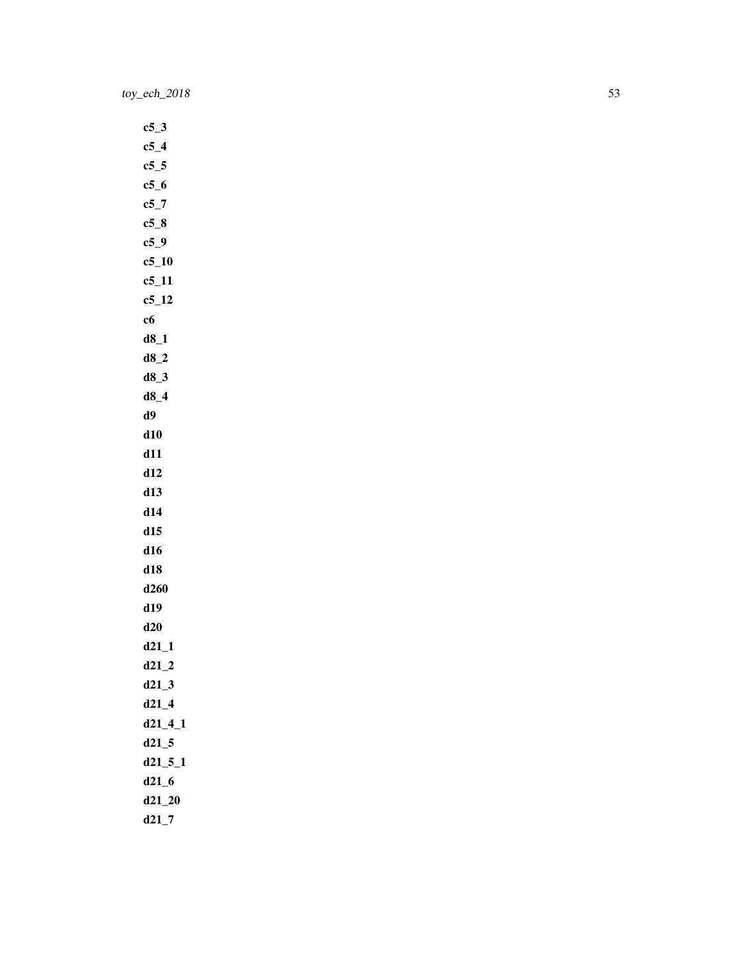$c5_3$  $c5_4$  $c5$ \_5  $c5_6$  $c5_7$ c5\_8 c5\_9 c5\_10 c5\_11 c5\_12 c6 d8\_1 d8\_2 d8\_3 d8\_4 d9 d10 d11 d12 d13 d14 d15 d16 d18 d260 d19 d20 d21\_1 d21\_2 d21\_3 d21\_4 d21\_4\_1 d21\_5 d21\_5\_1 d21\_6 d21\_20 d21\_7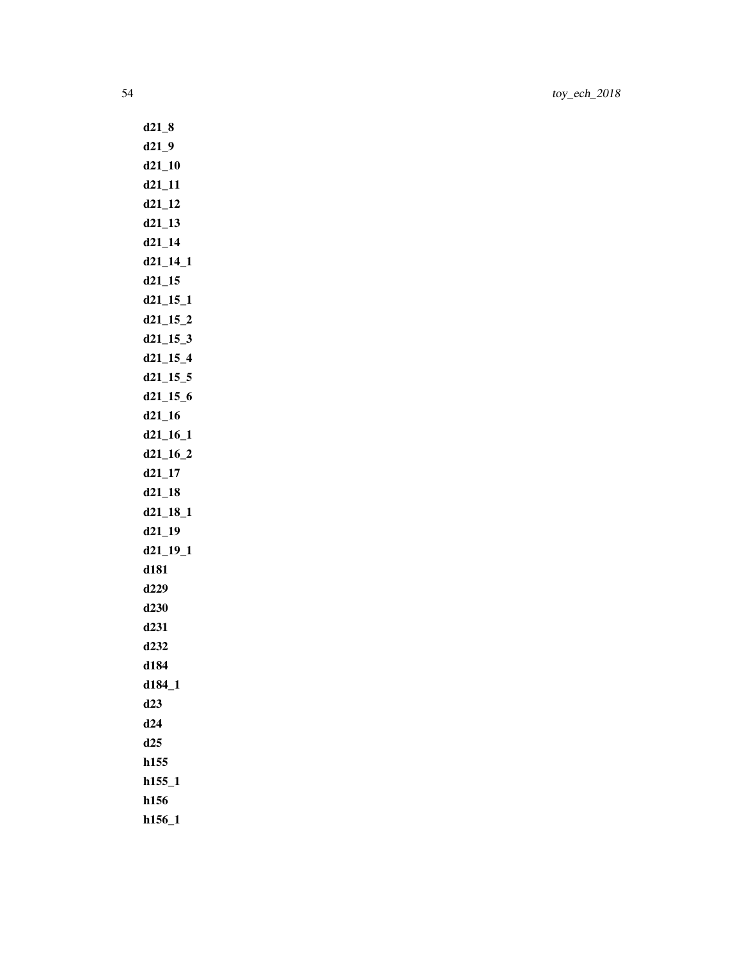d21\_8 d21\_9 d21\_10 d21\_11 d21\_12 d21\_13 d21\_14 d21\_14\_1 d21\_15 d21\_15\_1 d21\_15\_2 d21\_15\_3 d21\_15\_4 d21\_15\_5 d21\_15\_6 d21\_16 d21\_16\_1 d21\_16\_2 d21\_17 d21\_18 d21\_18\_1 d21\_19 d21\_19\_1 d181 d229 d230 d231 d232 d184 d184\_1 d23 d24 d25 h155 h155\_1 h156 h156\_1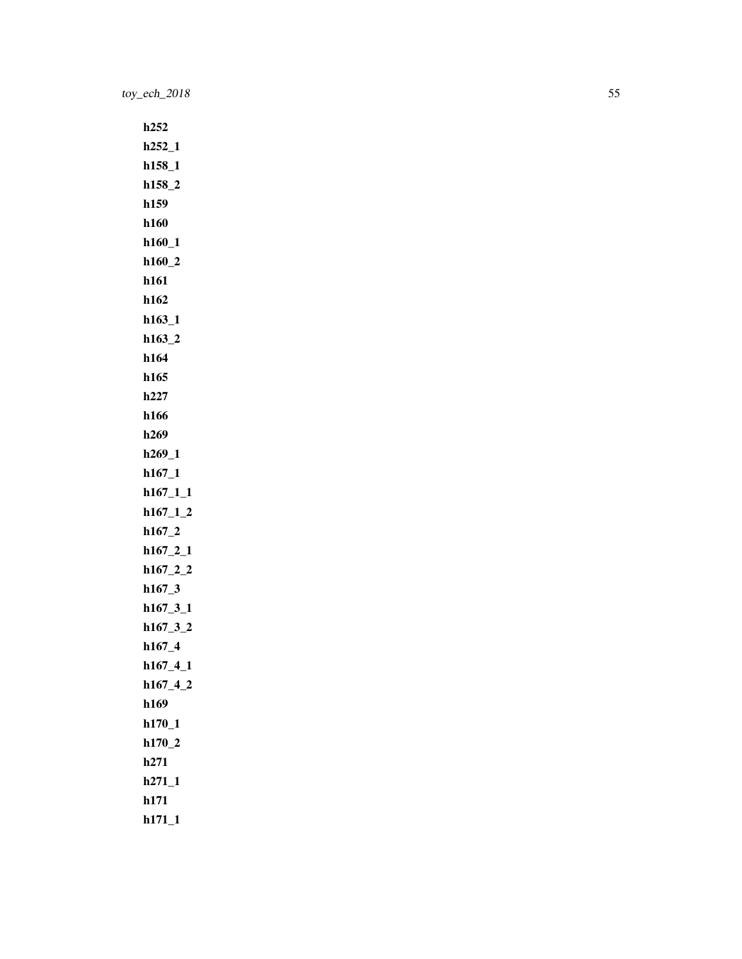h252 h252\_1 h158\_1 h158\_2 h159 h160 h160\_1 h160\_2 h161 h162 h163\_1 h163\_2 h164 h165 h227 h166 h269 h269\_1 h167\_1 h167\_1\_1 h167\_1\_2 h167\_2 h167\_2\_1 h167\_2\_2 h167\_3 h167\_3\_1 h167\_3\_2 h167\_4 h167\_4\_1 h167\_4\_2 h169 h170\_1 h170\_2 h271 h271\_1 h171 h171\_1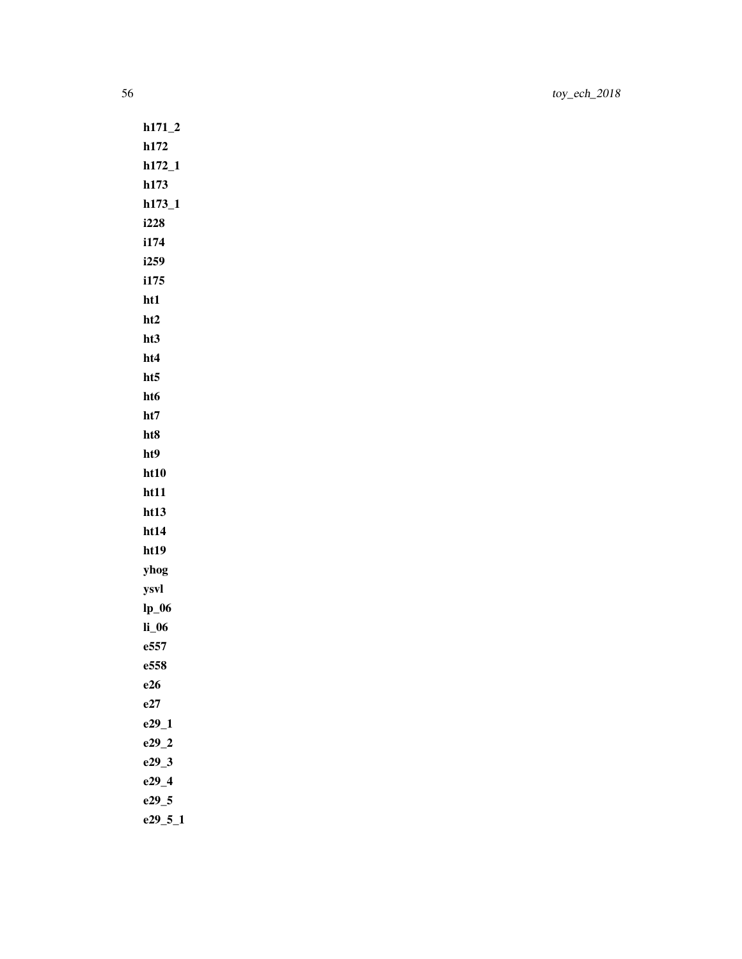h171\_2 h172 h172\_1 h173 h173\_1 i228 i174 i259 i175 ht1 ht2 ht3 ht4 ht5 ht6 ht7 ht8 ht9 ht10 ht11 ht13 ht14 ht19 yhog ysvl lp\_06 li\_06 e557 e558 e26 e27 e29\_1 e29\_2 e29\_3 e29\_4 e29\_5

e29\_5\_1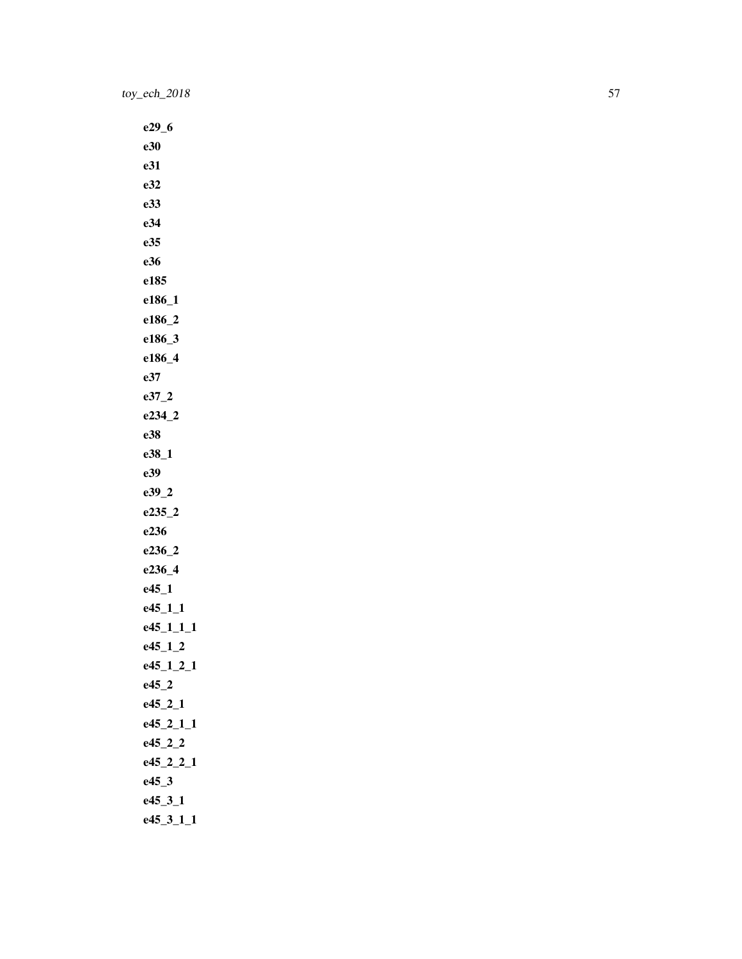e29\_6 e30 e31 e32 e33 e34 e35 e36 e185 e186\_1 e186\_2 e186\_3 e186\_4 e37 e37\_2 e234\_2 e38 e38\_1 e39 e39\_2 e235\_2 e236 e236\_2 e236\_4 e45\_1 e45\_1\_1 e45\_1\_1\_1 e45\_1\_2 e45\_1\_2\_1 e45\_2 e45\_2\_1 e45\_2\_1\_1 e45\_2\_2 e45\_2\_2\_1 e45\_3 e45\_3\_1 e45\_3\_1\_1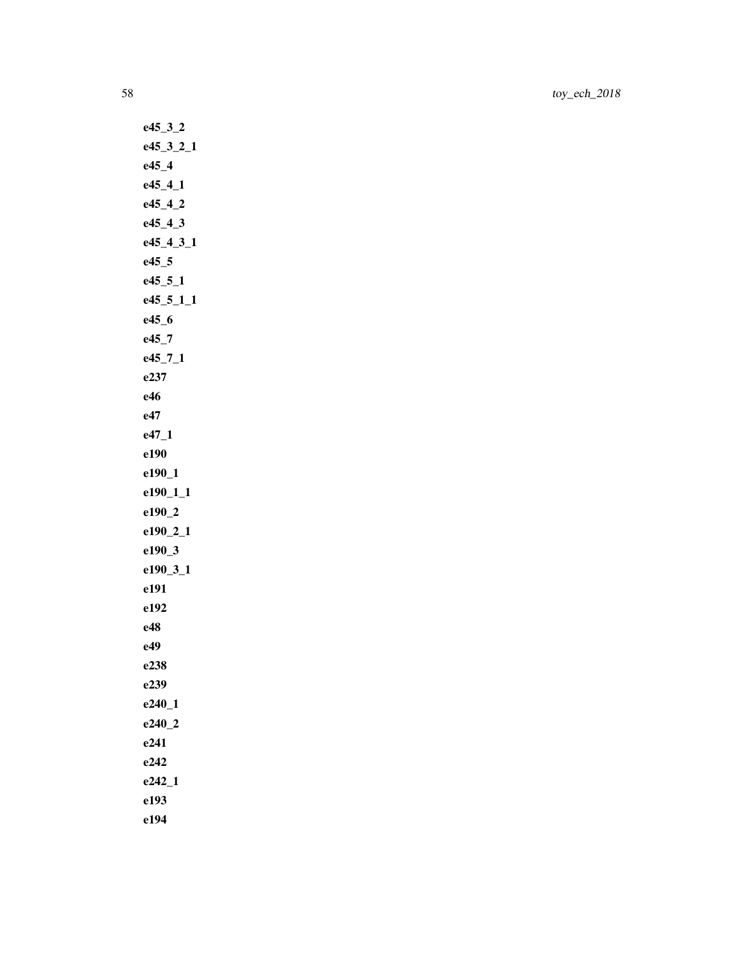e45\_3\_2 e45\_3\_2\_1 e45\_4 e45\_4\_1 e45\_4\_2 e45\_4\_3 e45\_4\_3\_1 e45\_5 e45\_5\_1 e45\_5\_1\_1 e45\_6 e45\_7 e45\_7\_1 e237 e46 e47 e47\_1 e190 e190\_1 e190\_1\_1 e190\_2 e190\_2\_1 e190\_3 e190\_3\_1 e191 e192 e48 e49 e238 e239 e240\_1 e240\_2 e241 e242 e242\_1 e193 e194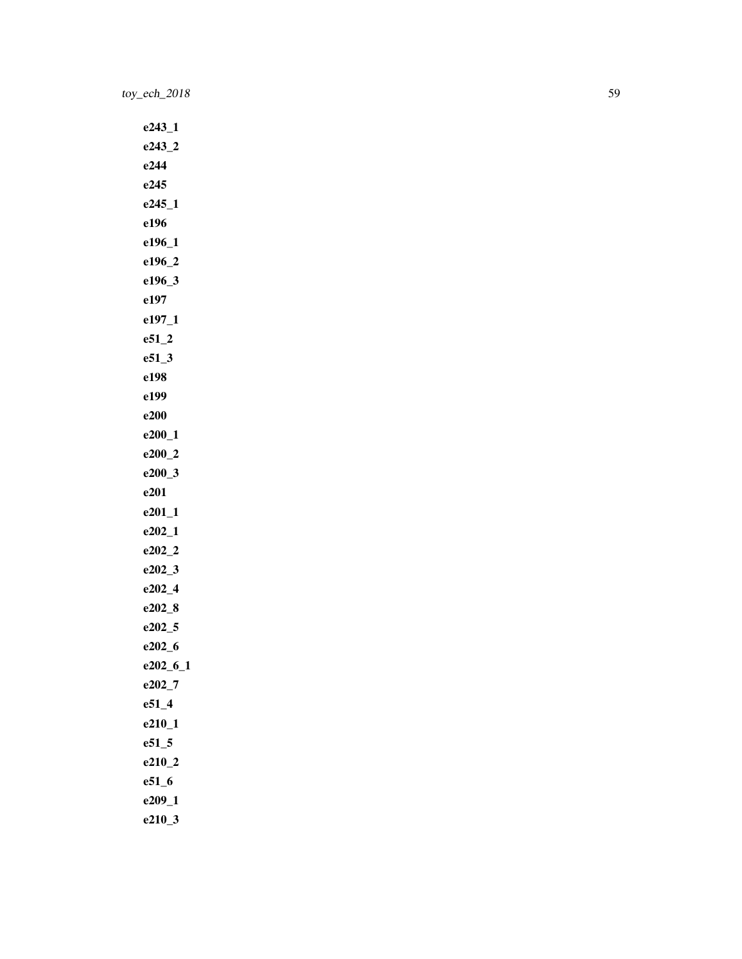e243\_1 e243\_2 e244 e245 e245\_1 e196 e196\_1 e196\_2 e196\_3 e197 e197\_1 e51\_2 e51\_3 e198 e199 e200 e200\_1 e200\_2 e200\_3 e201 e201\_1 e202\_1 e202\_2 e202\_3 e202\_4 e202\_8 e202\_5 e202\_6 e202\_6\_1 e202\_7 e51\_4 e210\_1 e51\_5 e210\_2 e51\_6 e209\_1 e210\_3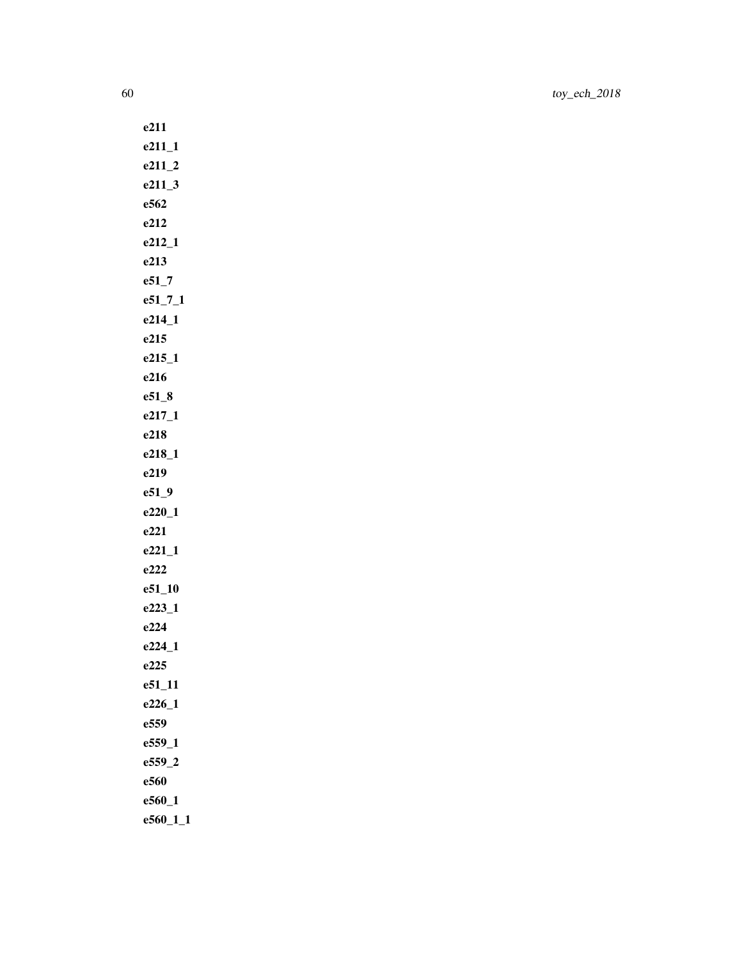| e211        |
|-------------|
| $e211_1$    |
| $e211_2$    |
| $e211_3$    |
| e562        |
| e212        |
| $e212 - 1$  |
| e213        |
| $e51 - 7$   |
| $e51_7_1$   |
| e214_1      |
| e215        |
| e215_1      |
| e216        |
| $e51_8$     |
| $e217_1$    |
| e218        |
| e218_1      |
| e219        |
| $e51_9$     |
| $e220_1$    |
| e221        |
| $e221_1$    |
| e222        |
| $e51_10$    |
| $e223 - 1$  |
| e224        |
| $e224_1$    |
| e225        |
| e51_11      |
| e226 1      |
| e559        |
| e559_1      |
| e559 2      |
| e560        |
| $e560_1$    |
| $e560_11_1$ |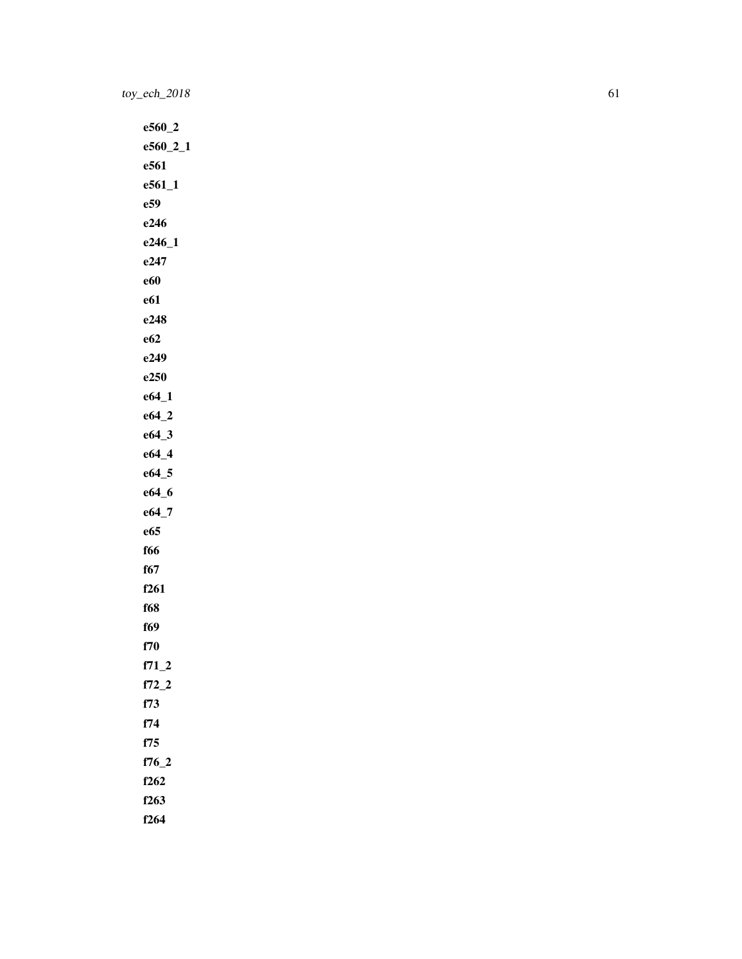e560\_2 e560\_2\_1 e561 e561\_1 e59 e246 e246\_1 e247 e60 e61 e248 e62 e249 e250 e64\_1 e64\_2 e64\_3 e64\_4 e64\_5 e64\_6 e64\_7 e65 f66 f67 f261 f68 f69 f70 f71\_2 f72\_2 f73 f74 f75 f76\_2 f262 f263 f264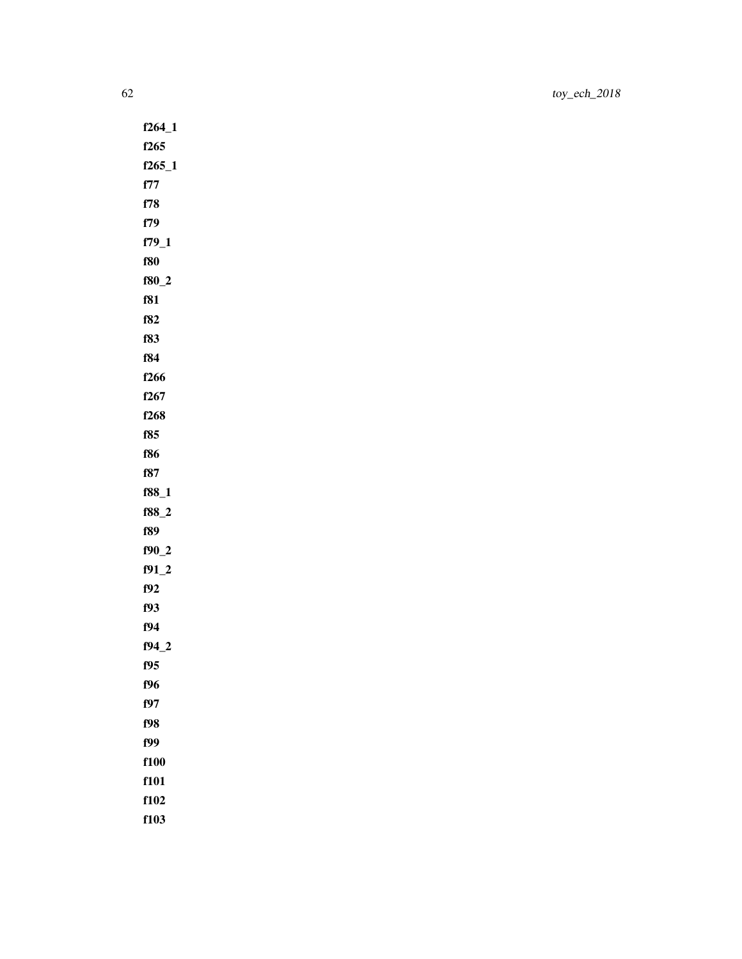f264\_1 f265 f265\_1 f77 f78 f79 f79\_1 f80 f80\_2 f81 f82 f83 f84 f266 f267 f268 f85 f86 f87 f88\_1 f88\_2 f89 f90\_2 f91\_2 f92 f93 f94 f94\_2 f95 f96 f97 f98 f99 f100 f101 f102

f103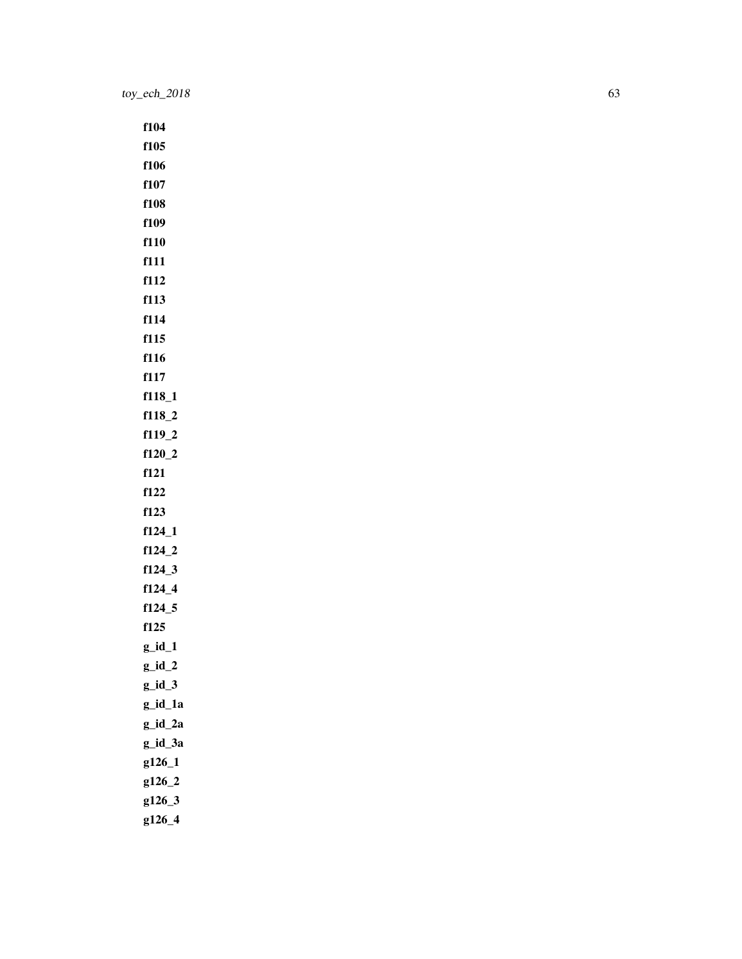f104 f105 f106 f107 f108 f109 f110 f111 f112 f113 f114 f115 f116 f117 f118\_1 f118\_2 f119\_2 f120\_2 f121 f122 f123 f124\_1 f124\_2 f124\_3 f124\_4 f124\_5 f125  $g_id_1$ g\_id\_2  $g_id_3$ g\_id\_1a g\_id\_2a g\_id\_3a g126\_1 g126\_2 g126\_3 g126\_4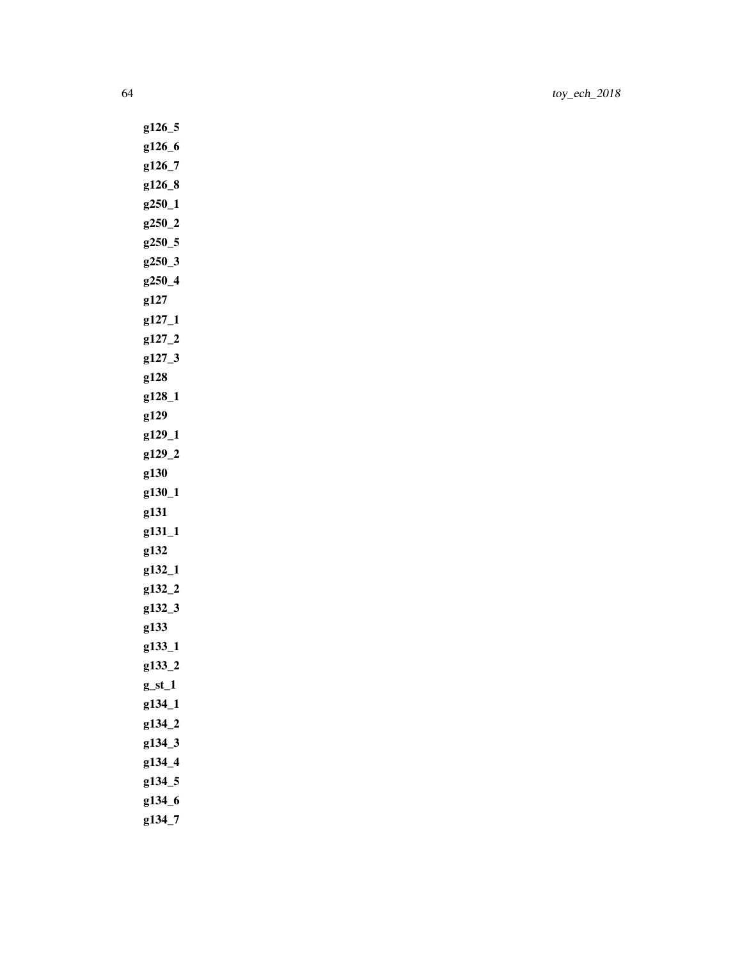g126\_5 g126\_6 g126\_7 g126\_8 g250\_1 g250\_2 g250\_5 g250\_3 g250\_4 g127 g127\_1 g127\_2 g127\_3 g128 g128\_1 g129 g129\_1 g129\_2 g130 g130\_1 g131 g131\_1 g132 g132\_1 g132\_2 g132\_3 g133 g133\_1 g133\_2  $g_st_1$ g134\_1 g134\_2 g134\_3 g134\_4 g134\_5 g134\_6

g134\_7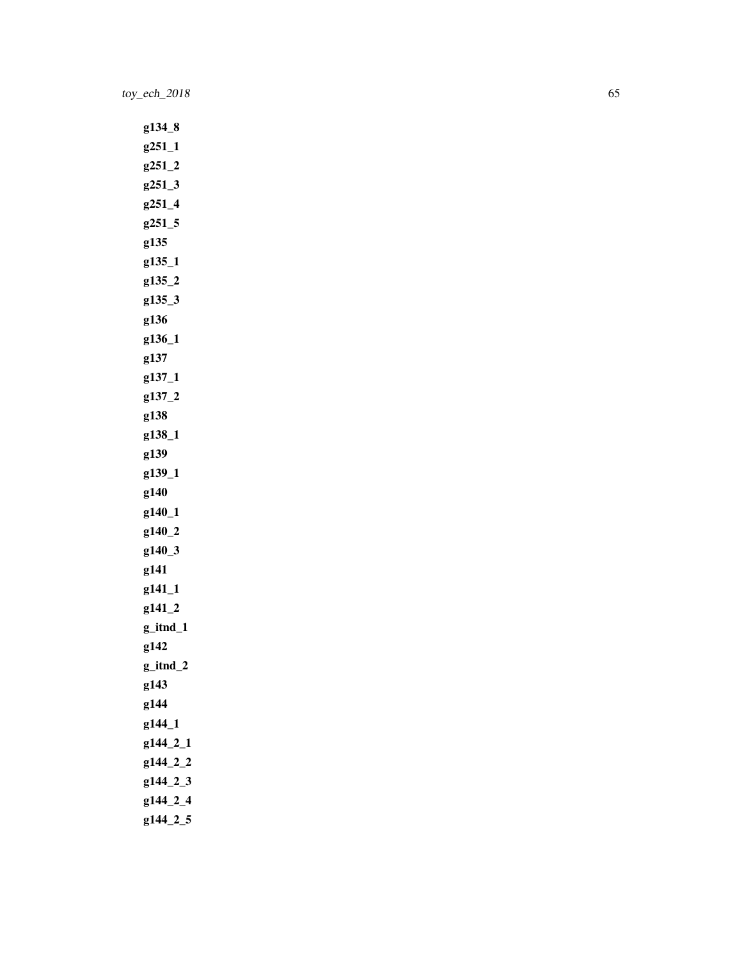g134\_8 g251\_1 g251\_2 g251\_3 g251\_4 g251\_5 g135 g135\_1 g135\_2 g135\_3 g136 g136\_1 g137 g137\_1 g137\_2 g138 g138\_1 g139 g139\_1 g140 g140\_1 g140\_2 g140\_3 g141 g141\_1 g141\_2 g\_itnd\_1 g142 g\_itnd\_2 g143 g144 g144\_1 g144\_2\_1 g144\_2\_2 g144\_2\_3 g144\_2\_4 g144\_2\_5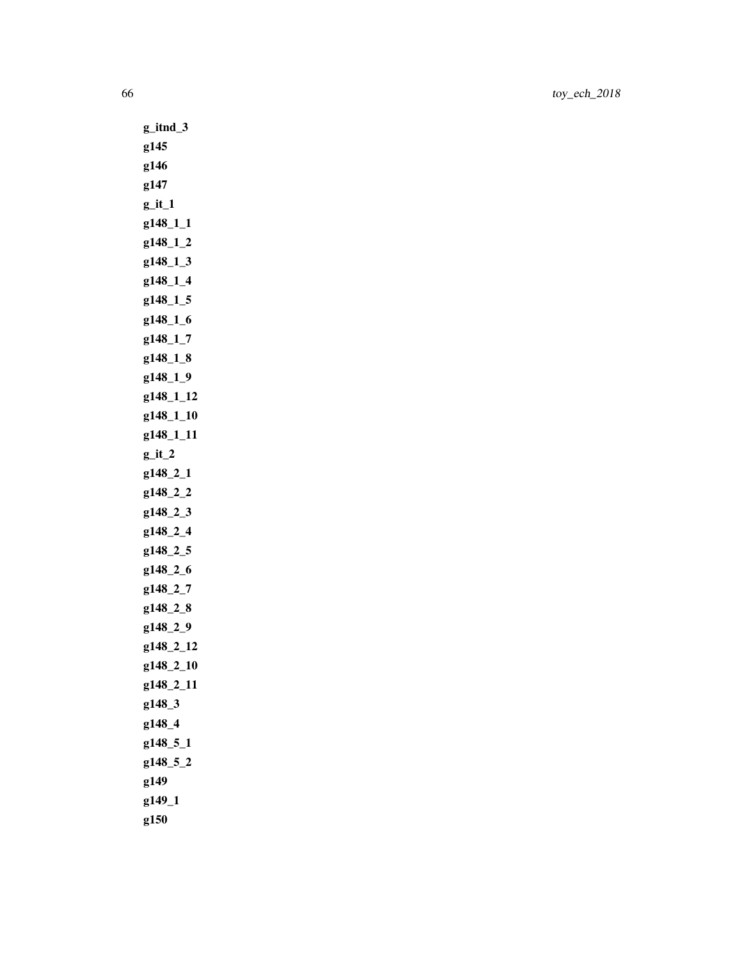g\_itnd\_3 g145 g146 g147  $g$ \_it\_1 g148\_1\_1 g148\_1\_2 g148\_1\_3 g148\_1\_4 g148\_1\_5 g148\_1\_6 g148\_1\_7 g148\_1\_8 g148\_1\_9 g148\_1\_12 g148\_1\_10 g148\_1\_11  $g$ \_it\_2 g148\_2\_1 g148\_2\_2 g148\_2\_3 g148\_2\_4 g148\_2\_5 g148\_2\_6 g148\_2\_7 g148\_2\_8 g148\_2\_9 g148\_2\_12 g148\_2\_10 g148\_2\_11 g148\_3 g148\_4 g148\_5\_1 g148\_5\_2 g149 g149\_1 g150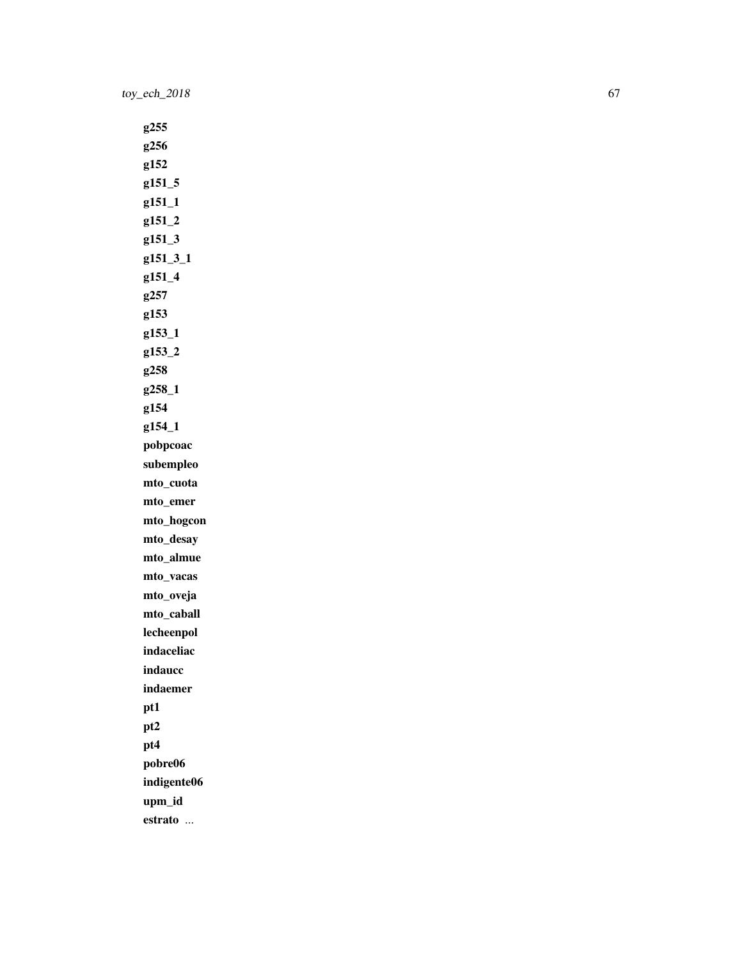g255 g256 g152 g151\_5 g151\_1 g151\_2 g151\_3 g151\_3\_1 g151\_4 g257 g153 g153\_1 g153\_2 g258 g258\_1 g154 g154\_1 pobpcoac subempleo mto\_cuota mto\_emer mto\_hogcon mto\_desay mto\_almue mto\_vacas mto\_oveja mto\_caball lecheenpol indaceliac indaucc indaemer pt1 pt2 pt4 pobre06 indigente06 upm\_id estrato ...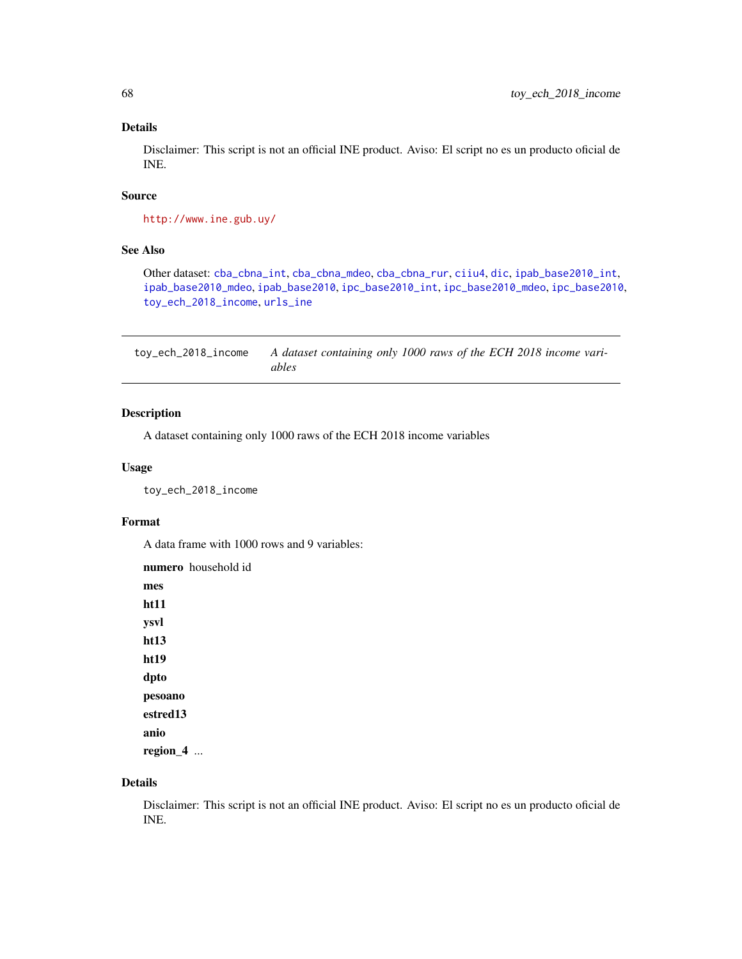### Details

Disclaimer: This script is not an official INE product. Aviso: El script no es un producto oficial de INE.

## Source

```
http://www.ine.gub.uy/
```
## See Also

Other dataset: [cba\\_cbna\\_int](#page-5-0), [cba\\_cbna\\_mdeo](#page-6-0), [cba\\_cbna\\_rur](#page-6-1), [ciiu4](#page-7-0), [dic](#page-9-0), [ipab\\_base2010\\_int](#page-35-1), [ipab\\_base2010\\_mdeo](#page-36-0), [ipab\\_base2010](#page-35-0), [ipc\\_base2010\\_int](#page-38-0), [ipc\\_base2010\\_mdeo](#page-38-1), [ipc\\_base2010](#page-37-0), [toy\\_ech\\_2018\\_income](#page-67-0), [urls\\_ine](#page-73-0)

<span id="page-67-0"></span>toy\_ech\_2018\_income *A dataset containing only 1000 raws of the ECH 2018 income variables*

## Description

A dataset containing only 1000 raws of the ECH 2018 income variables

## Usage

toy\_ech\_2018\_income

#### Format

A data frame with 1000 rows and 9 variables:

numero household id mes ht11 ysvl ht13 ht19 dpto pesoano estred13 anio region\_4 ...

### Details

Disclaimer: This script is not an official INE product. Aviso: El script no es un producto oficial de INE.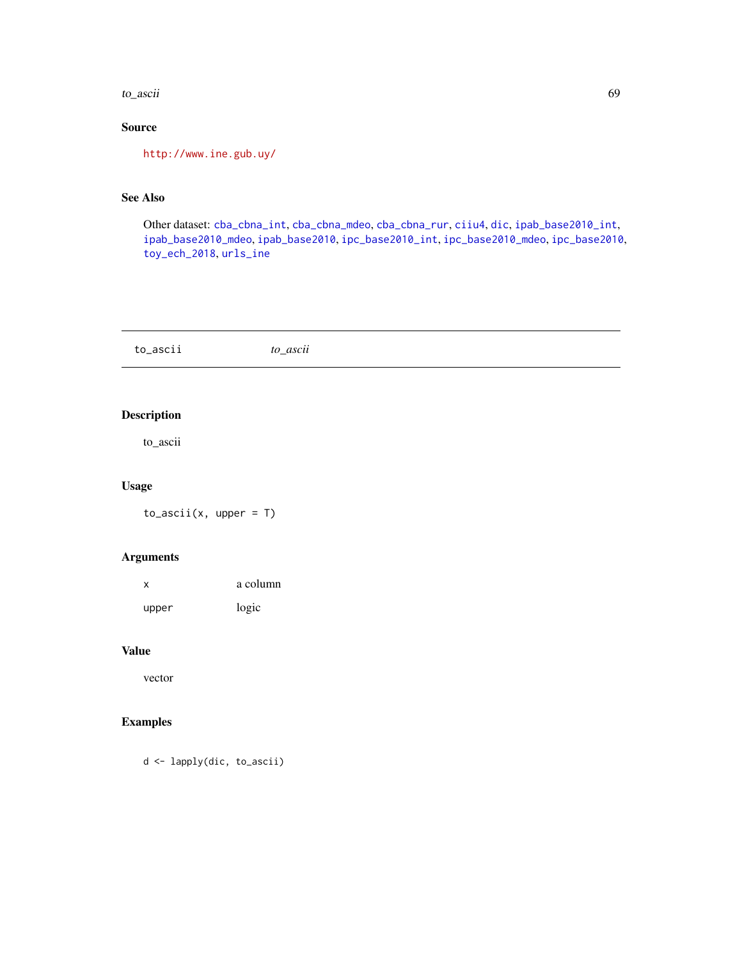to\_ascii 69

# Source

<http://www.ine.gub.uy/>

# See Also

Other dataset: [cba\\_cbna\\_int](#page-5-0), [cba\\_cbna\\_mdeo](#page-6-0), [cba\\_cbna\\_rur](#page-6-1), [ciiu4](#page-7-0), [dic](#page-9-0), [ipab\\_base2010\\_int](#page-35-1), [ipab\\_base2010\\_mdeo](#page-36-0), [ipab\\_base2010](#page-35-0), [ipc\\_base2010\\_int](#page-38-0), [ipc\\_base2010\\_mdeo](#page-38-1), [ipc\\_base2010](#page-37-0), [toy\\_ech\\_2018](#page-51-0), [urls\\_ine](#page-73-0)

to\_ascii *to\_ascii*

## Description

to\_ascii

## Usage

 $to_ -$ ascii(x, upper = T)

## Arguments

| X     | a column |
|-------|----------|
| upper | logic    |

#### Value

vector

## Examples

```
d <- lapply(dic, to_ascii)
```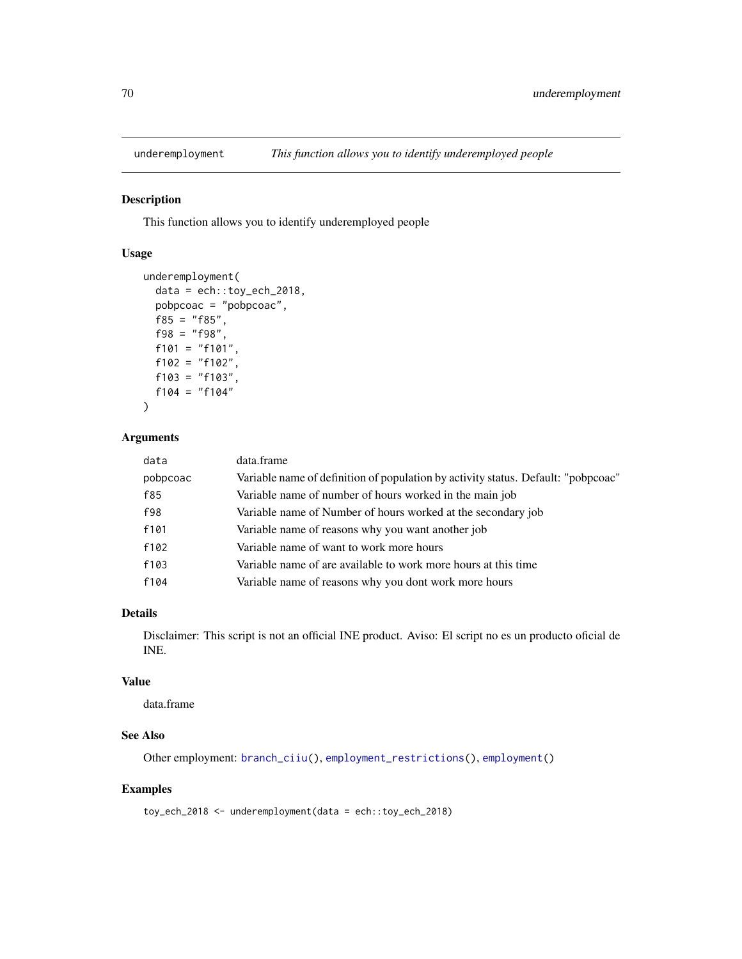# Description

This function allows you to identify underemployed people

## Usage

```
underemployment(
 data = ech::toy_ech_2018,pobpcoac = "pobpcoac",
 f85 = "f85",f98 = "f98",f101 = "f101",f102 = "f102",f103 = "f103",f104 = "f104")
```
## Arguments

| data     | data.frame                                                                        |
|----------|-----------------------------------------------------------------------------------|
| pobpcoac | Variable name of definition of population by activity status. Default: "pobpcoac" |
| f85      | Variable name of number of hours worked in the main job                           |
| f98      | Variable name of Number of hours worked at the secondary job                      |
| f101     | Variable name of reasons why you want another job                                 |
| f102     | Variable name of want to work more hours                                          |
| f103     | Variable name of are available to work more hours at this time                    |
| f104     | Variable name of reasons why you dont work more hours                             |

### Details

Disclaimer: This script is not an official INE product. Aviso: El script no es un producto oficial de INE.

#### Value

data.frame

### See Also

Other employment: [branch\\_ciiu\(](#page-4-0)), [employment\\_restrictions\(](#page-11-0)), [employment\(](#page-11-1))

#### Examples

toy\_ech\_2018 <- underemployment(data = ech::toy\_ech\_2018)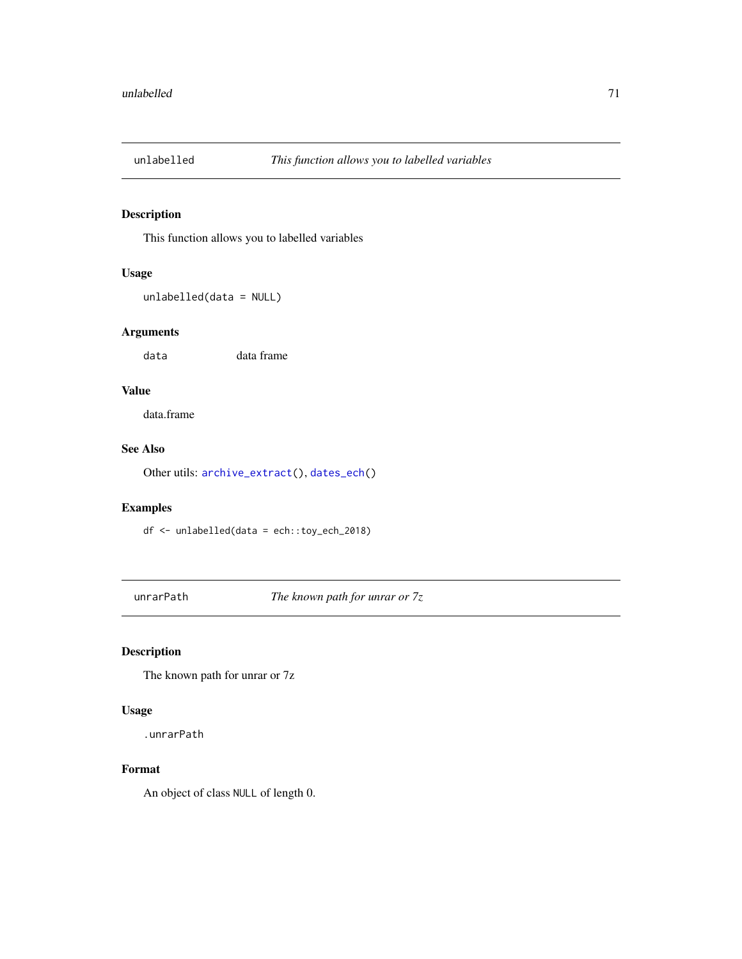## Description

This function allows you to labelled variables

# Usage

unlabelled(data = NULL)

## Arguments

data data frame

## Value

data.frame

# See Also

Other utils: [archive\\_extract\(](#page-3-1)), [dates\\_ech\(](#page-8-1))

## Examples

df <- unlabelled(data = ech::toy\_ech\_2018)

unrarPath *The known path for unrar or 7z*

## Description

The known path for unrar or 7z

## Usage

.unrarPath

# Format

An object of class NULL of length 0.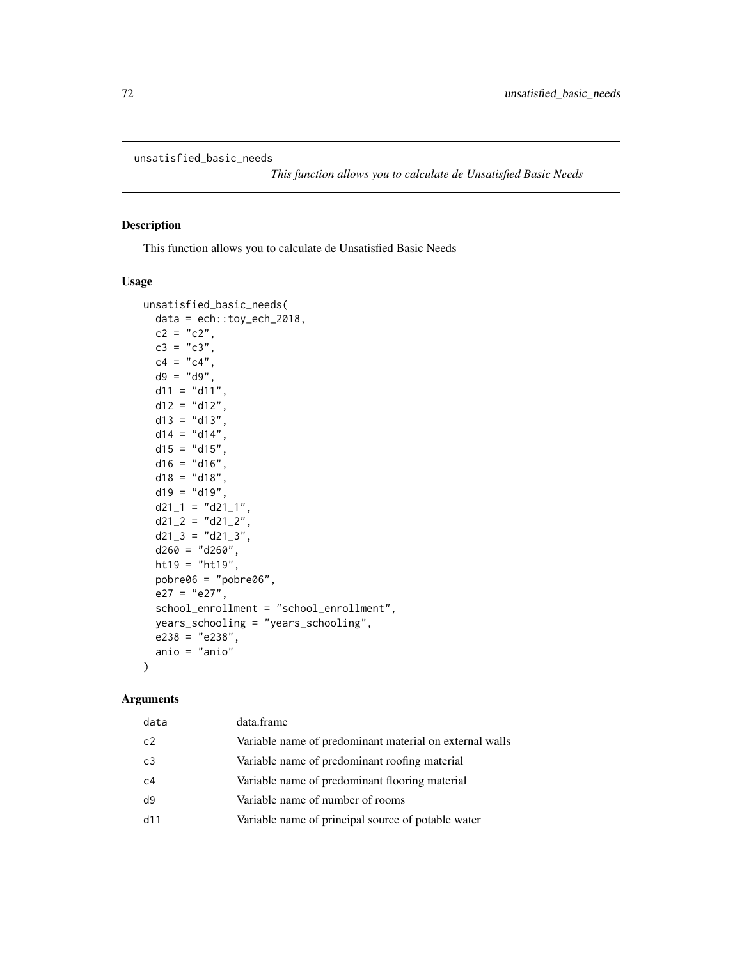```
unsatisfied_basic_needs
```
*This function allows you to calculate de Unsatisfied Basic Needs*

## Description

This function allows you to calculate de Unsatisfied Basic Needs

#### Usage

```
unsatisfied_basic_needs(
 data = ech::toy\_ech\_2018,c2 = "c2",c3 = "c3",c4 = "c4",d9 = "d9",d11 = "d11",d12 = "d12",d13 = "d13",d14 = "d14",d15 = "d15",d16 = "d16",d18 = "d18",d19 = "d19",d21_1 = "d21_1",d21_2 = "d21_2",d21_3 = "d21_3",d260 = "d260",ht19 = "ht19",pobre06 = "pobre06",
 e27 = "e27",school_enrollment = "school_enrollment",
 years_schooling = "years_schooling",
 e238 = "e238",anio = "anio"
)
```
### Arguments

| data           | data.frame                                              |
|----------------|---------------------------------------------------------|
| c2             | Variable name of predominant material on external walls |
| C <sub>3</sub> | Variable name of predominant roofing material           |
| C <sub>4</sub> | Variable name of predominant flooring material          |
| d9             | Variable name of number of rooms                        |
| d11            | Variable name of principal source of potable water      |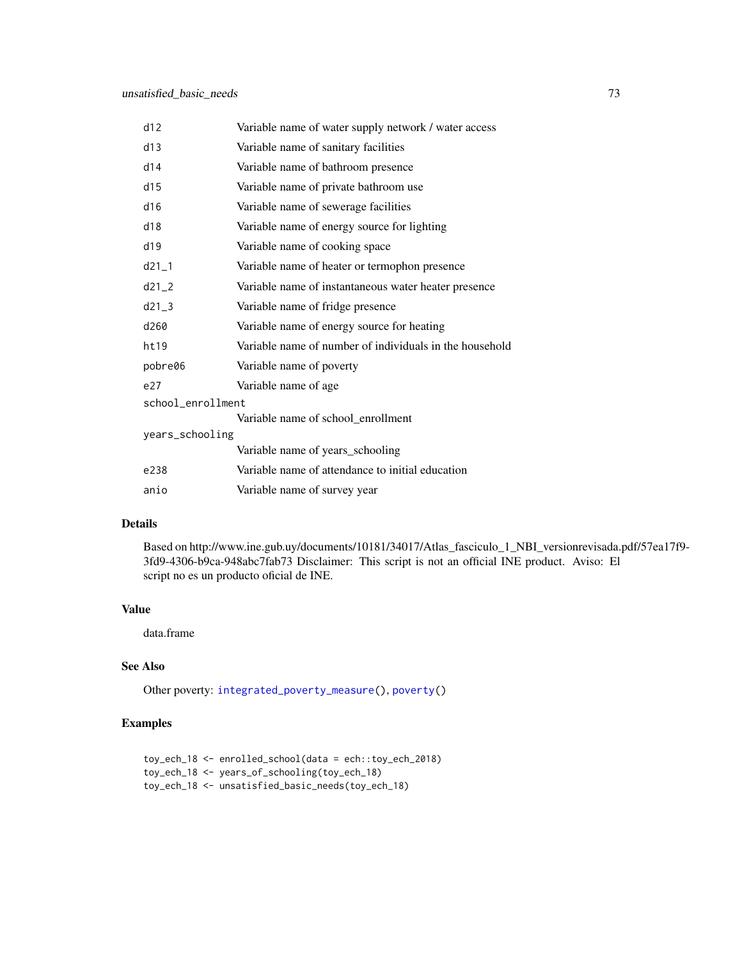<span id="page-72-0"></span>

| d12               | Variable name of water supply network / water access    |
|-------------------|---------------------------------------------------------|
| d13               | Variable name of sanitary facilities                    |
| d14               | Variable name of bathroom presence                      |
| d15               | Variable name of private bathroom use                   |
| d16               | Variable name of sewerage facilities                    |
| d18               | Variable name of energy source for lighting             |
| d19               | Variable name of cooking space                          |
| $d21_1$           | Variable name of heater or termophon presence           |
| $d21_2$           | Variable name of instantaneous water heater presence    |
| $d21-3$           | Variable name of fridge presence                        |
| d260              | Variable name of energy source for heating              |
| ht19              | Variable name of number of individuals in the household |
| pobre06           | Variable name of poverty                                |
| e27               | Variable name of age                                    |
| school_enrollment |                                                         |
|                   | Variable name of school_enrollment                      |
| years_schooling   |                                                         |
|                   | Variable name of years_schooling                        |
| e238              | Variable name of attendance to initial education        |
| anio              | Variable name of survey year                            |

#### Details

Based on http://www.ine.gub.uy/documents/10181/34017/Atlas\_fasciculo\_1\_NBI\_versionrevisada.pdf/57ea17f9- 3fd9-4306-b9ca-948abc7fab73 Disclaimer: This script is not an official INE product. Aviso: El script no es un producto oficial de INE.

#### Value

data.frame

# See Also

Other poverty: [integrated\\_poverty\\_measure\(](#page-34-0)), [poverty\(](#page-48-0))

## Examples

```
toy_ech_18 <- enrolled_school(data = ech::toy_ech_2018)
toy_ech_18 <- years_of_schooling(toy_ech_18)
toy_ech_18 <- unsatisfied_basic_needs(toy_ech_18)
```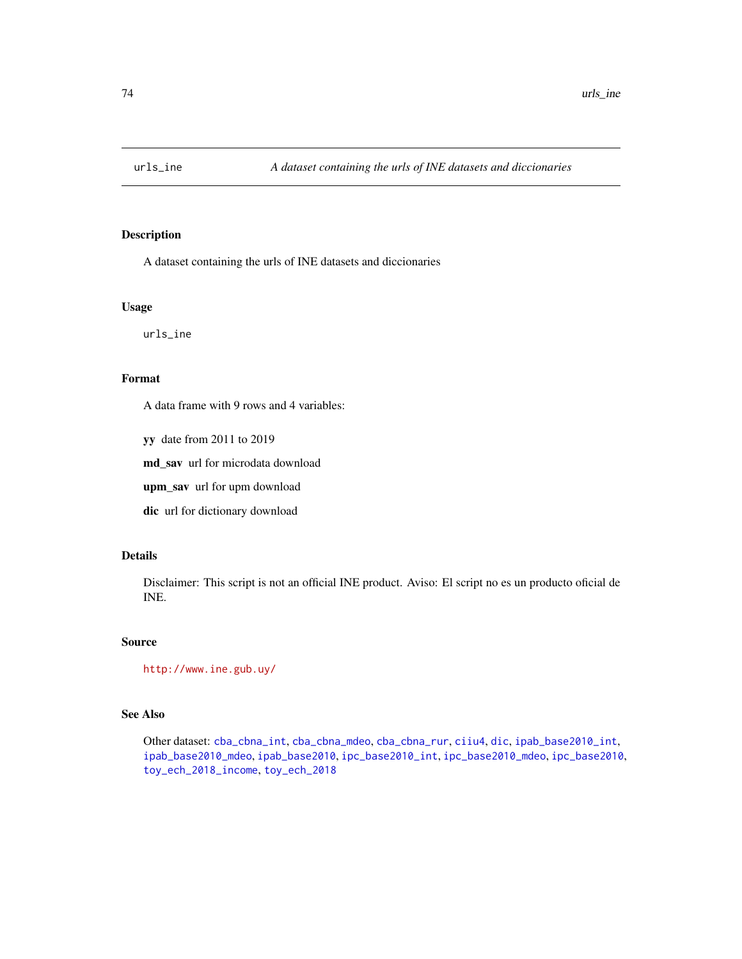<span id="page-73-0"></span>

#### Description

A dataset containing the urls of INE datasets and diccionaries

#### Usage

urls\_ine

### Format

A data frame with 9 rows and 4 variables:

yy date from 2011 to 2019

md\_sav url for microdata download

upm\_sav url for upm download

dic url for dictionary download

### Details

Disclaimer: This script is not an official INE product. Aviso: El script no es un producto oficial de INE.

#### Source

<http://www.ine.gub.uy/>

## See Also

Other dataset: [cba\\_cbna\\_int](#page-5-0), [cba\\_cbna\\_mdeo](#page-6-0), [cba\\_cbna\\_rur](#page-6-1), [ciiu4](#page-7-0), [dic](#page-9-0), [ipab\\_base2010\\_int](#page-35-0), [ipab\\_base2010\\_mdeo](#page-36-0), [ipab\\_base2010](#page-35-1), [ipc\\_base2010\\_int](#page-38-0), [ipc\\_base2010\\_mdeo](#page-38-1), [ipc\\_base2010](#page-37-0), [toy\\_ech\\_2018\\_income](#page-67-0), [toy\\_ech\\_2018](#page-51-0)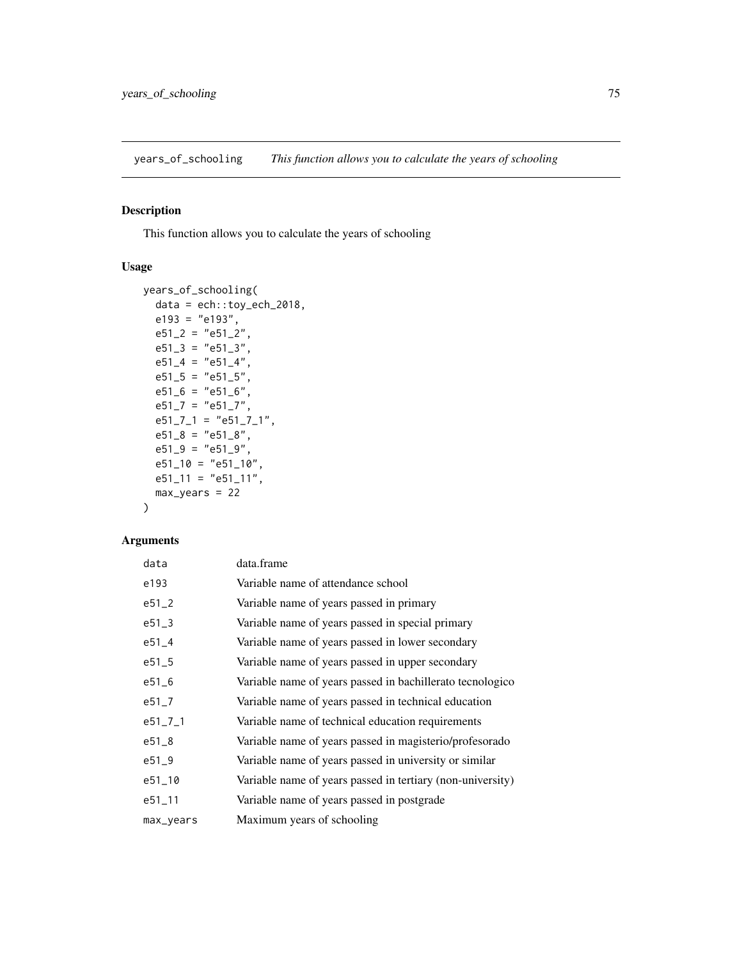<span id="page-74-0"></span>years\_of\_schooling *This function allows you to calculate the years of schooling*

## Description

This function allows you to calculate the years of schooling

# Usage

```
years_of_schooling(
 data = ech::toy_ech_2018,
 e193 = "e193",
 e51_2 = "e51_2",e51_3 = "e51_3",e51_4 = "e51_4",e51\_5 = "e51\_5",e51_6 = "e51_6",e51_7 = "e51_7",e51_7_1 = "e51_7_1",e51_8 = "e51_8",e51_9 = "e51_9",e51\_10 = "e51\_10",e51_11 = "e51_11",max\_years = 22)
```
## Arguments

| data          | data.frame                                                 |
|---------------|------------------------------------------------------------|
| e193          | Variable name of attendance school                         |
| $e51_2$       | Variable name of years passed in primary                   |
| $e51 - 3$     | Variable name of years passed in special primary           |
| $e51 - 4$     | Variable name of years passed in lower secondary           |
| $e51 - 5$     | Variable name of years passed in upper secondary           |
| $e51\_6$      | Variable name of years passed in bachillerato tecnologico  |
| $e51 - 7$     | Variable name of years passed in technical education       |
| $e51 - 7 - 1$ | Variable name of technical education requirements          |
| $e51_{-8}$    | Variable name of years passed in magisterio/profesorado    |
| $e51 - 9$     | Variable name of years passed in university or similar     |
| $e51 - 10$    | Variable name of years passed in tertiary (non-university) |
| $e51 - 11$    | Variable name of years passed in postgrade                 |
| max_years     | Maximum years of schooling                                 |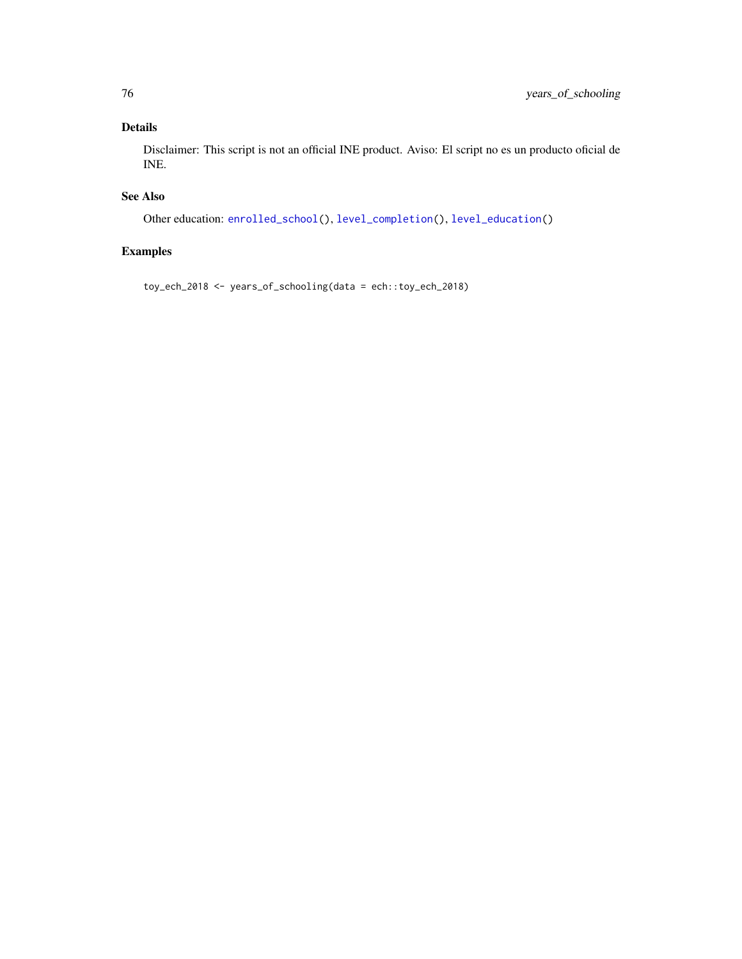## <span id="page-75-0"></span>Details

Disclaimer: This script is not an official INE product. Aviso: El script no es un producto oficial de INE.

# See Also

Other education: [enrolled\\_school\(](#page-12-0)), [level\\_completion\(](#page-43-0)), [level\\_education\(](#page-44-0))

# Examples

toy\_ech\_2018 <- years\_of\_schooling(data = ech::toy\_ech\_2018)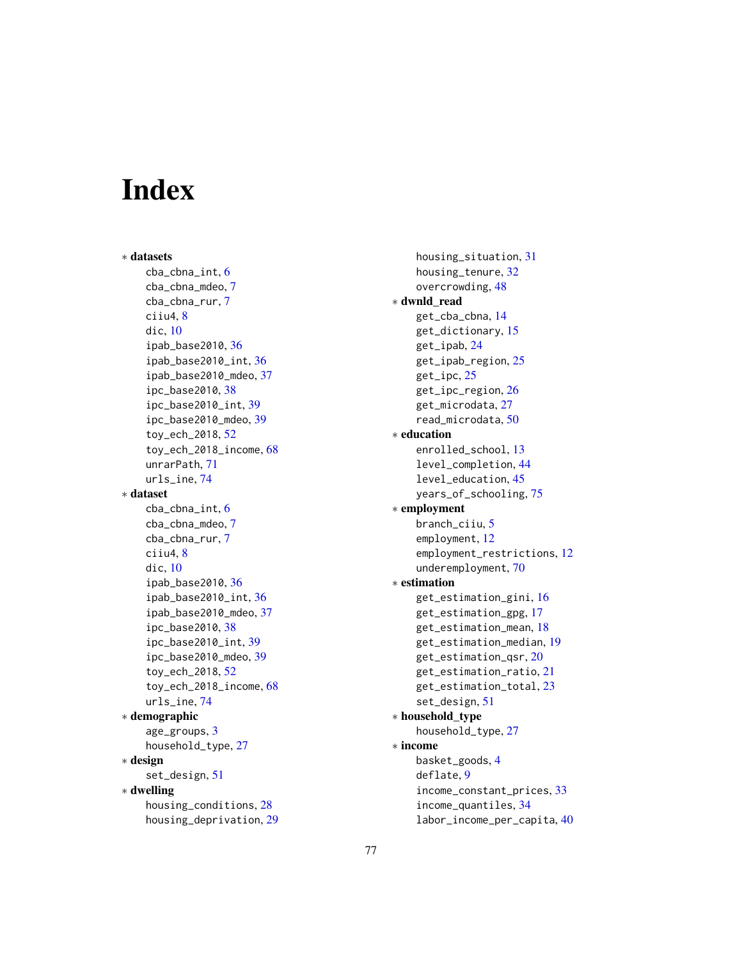# **Index**

∗ datasets cba\_cbna\_int, [6](#page-5-1) cba\_cbna\_mdeo, [7](#page-6-2) cba\_cbna\_rur, [7](#page-6-2) ciiu4, [8](#page-7-1) dic, [10](#page-9-1) ipab\_base2010, [36](#page-35-2) ipab\_base2010\_int, [36](#page-35-2) ipab\_base2010\_mdeo, [37](#page-36-1) ipc\_base2010, [38](#page-37-1) ipc\_base2010\_int, [39](#page-38-2) ipc\_base2010\_mdeo, [39](#page-38-2) toy\_ech\_2018, [52](#page-51-1) toy\_ech\_2018\_income, [68](#page-67-1) unrarPath, [71](#page-70-0) urls\_ine, [74](#page-73-0) ∗ dataset cba\_cbna\_int, [6](#page-5-1) cba\_cbna\_mdeo, [7](#page-6-2) cba\_cbna\_rur, [7](#page-6-2) ciiu4, [8](#page-7-1) dic, [10](#page-9-1) ipab\_base2010, [36](#page-35-2) ipab\_base2010\_int, [36](#page-35-2) ipab\_base2010\_mdeo, [37](#page-36-1) ipc\_base2010, [38](#page-37-1) ipc\_base2010\_int, [39](#page-38-2) ipc\_base2010\_mdeo, [39](#page-38-2) toy\_ech\_2018, [52](#page-51-1) toy\_ech\_2018\_income, [68](#page-67-1) urls\_ine, [74](#page-73-0) ∗ demographic age\_groups, [3](#page-2-0) household\_type, [27](#page-26-0) ∗ design set\_design, [51](#page-50-0) ∗ dwelling housing\_conditions, [28](#page-27-0) housing\_deprivation, [29](#page-28-0)

housing\_situation, [31](#page-30-0) housing\_tenure, [32](#page-31-0) overcrowding, [48](#page-47-0) ∗ dwnld\_read get\_cba\_cbna, [14](#page-13-0) get\_dictionary, [15](#page-14-0) get\_ipab, [24](#page-23-0) get\_ipab\_region, [25](#page-24-0) get\_ipc, [25](#page-24-0) get\_ipc\_region, [26](#page-25-0) get\_microdata, [27](#page-26-0) read\_microdata, [50](#page-49-0) ∗ education enrolled\_school, [13](#page-12-1) level\_completion, [44](#page-43-1) level\_education, [45](#page-44-1) years\_of\_schooling, [75](#page-74-0) ∗ employment branch\_ciiu, [5](#page-4-0) employment, [12](#page-11-0) employment\_restrictions, [12](#page-11-0) underemployment, [70](#page-69-0) ∗ estimation get\_estimation\_gini, [16](#page-15-0) get\_estimation\_gpg, [17](#page-16-0) get\_estimation\_mean, [18](#page-17-0) get\_estimation\_median, [19](#page-18-0) get\_estimation\_qsr, [20](#page-19-0) get\_estimation\_ratio, [21](#page-20-0) get\_estimation\_total, [23](#page-22-0) set\_design, [51](#page-50-0) ∗ household\_type household\_type, [27](#page-26-0) ∗ income basket\_goods, [4](#page-3-0) deflate, [9](#page-8-0) income\_constant\_prices, [33](#page-32-0) income\_quantiles, [34](#page-33-0) labor\_income\_per\_capita, [40](#page-39-0)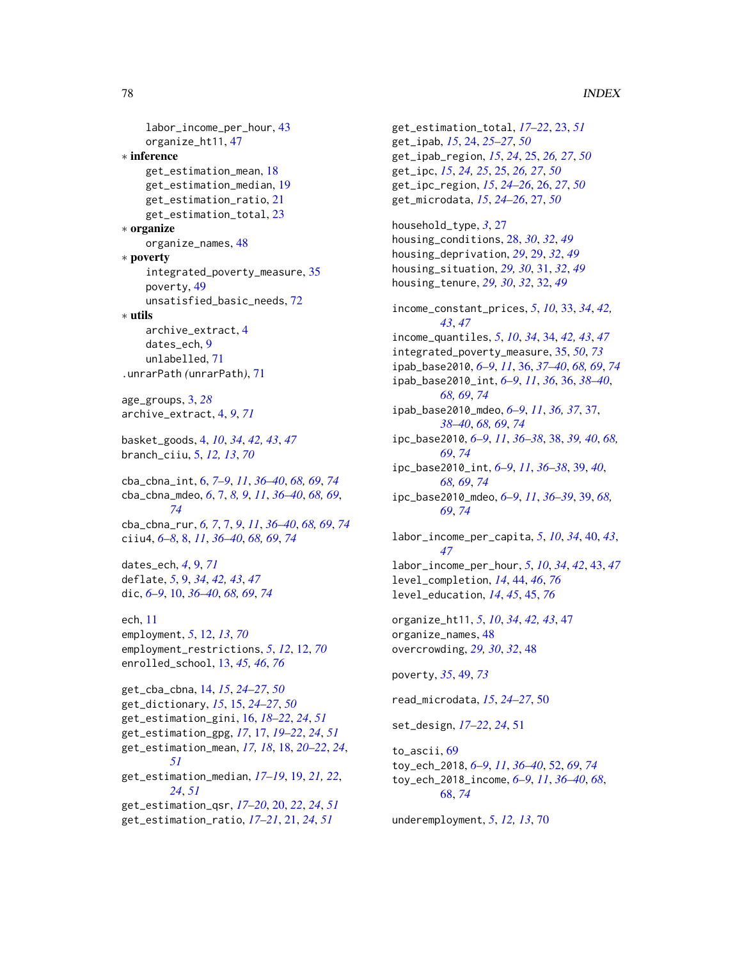#### 78 INDEX

```
labor_income_per_hour, 43
    organize_ht11, 47
∗ inference
    get_estimation_mean, 18
    get_estimation_median, 19
    get_estimation_ratio, 21
    get_estimation_total, 23
∗ organize
    organize_names, 48
∗ poverty
    integrated_poverty_measure, 35
    poverty, 49
    unsatisfied_basic_needs, 72
∗ utils
    archive_extract, 4
    dates_ech, 9
    unlabelled, 71
.unrarPath (unrarPath), 71
age_groups, 3, 28
archive_extract, 4, 9, 71
basket_goods, 4, 10, 34, 42, 43, 47
branch_ciiu, 5, 12, 13, 70
cba_cbna_int, 6, 7–9, 11, 36–40, 68, 69, 74
cba_cbna_mdeo, 6, 7, 8, 9, 11, 36–40, 68, 69,
         74
cba_cbna_rur, 6, 7, 7, 9, 11, 36–40, 68, 69, 74
ciiu4, 6–8, 8, 11, 36–40, 68, 69, 74
dates_ech, 4, 9, 71
deflate, 5, 9, 34, 42, 43, 47
dic, 6–9, 10, 36–40, 68, 69, 74
ech, 11
employment, 5, 12, 13, 70
employment_restrictions, 5, 12, 12, 70
enrolled_school, 13, 45, 46, 76
get_cba_cbna, 14, 15, 24–27, 50
get_dictionary, 15, 15, 24–27, 50
get_estimation_gini, 16, 18–22, 24, 51
get_estimation_gpg, 17, 17, 19–22, 24, 51
get_estimation_mean, 17, 18, 18, 20–22, 24,
         51
get_estimation_median, 17–19, 19, 21, 22,
         24, 51
get_estimation_qsr, 17–20, 20, 22, 24, 51
```

```
get_estimation_ratio, 17–21, 21, 24, 51
```
get\_estimation\_total, *[17](#page-16-0)[–22](#page-21-0)*, [23,](#page-22-0) *[51](#page-50-0)* get\_ipab, *[15](#page-14-0)*, [24,](#page-23-0) *[25](#page-24-0)[–27](#page-26-0)*, *[50](#page-49-0)* get\_ipab\_region, *[15](#page-14-0)*, *[24](#page-23-0)*, [25,](#page-24-0) *[26,](#page-25-0) [27](#page-26-0)*, *[50](#page-49-0)* get\_ipc, *[15](#page-14-0)*, *[24,](#page-23-0) [25](#page-24-0)*, [25,](#page-24-0) *[26,](#page-25-0) [27](#page-26-0)*, *[50](#page-49-0)* get\_ipc\_region, *[15](#page-14-0)*, *[24](#page-23-0)[–26](#page-25-0)*, [26,](#page-25-0) *[27](#page-26-0)*, *[50](#page-49-0)* get\_microdata, *[15](#page-14-0)*, *[24](#page-23-0)[–26](#page-25-0)*, [27,](#page-26-0) *[50](#page-49-0)* household\_type, *[3](#page-2-0)*, [27](#page-26-0) housing\_conditions, [28,](#page-27-0) *[30](#page-29-0)*, *[32](#page-31-0)*, *[49](#page-48-1)* housing\_deprivation, *[29](#page-28-0)*, [29,](#page-28-0) *[32](#page-31-0)*, *[49](#page-48-1)* housing\_situation, *[29,](#page-28-0) [30](#page-29-0)*, [31,](#page-30-0) *[32](#page-31-0)*, *[49](#page-48-1)* housing\_tenure, *[29,](#page-28-0) [30](#page-29-0)*, *[32](#page-31-0)*, [32,](#page-31-0) *[49](#page-48-1)* income\_constant\_prices, *[5](#page-4-0)*, *[10](#page-9-1)*, [33,](#page-32-0) *[34](#page-33-0)*, *[42,](#page-41-0) [43](#page-42-0)*, *[47](#page-46-0)* income\_quantiles, *[5](#page-4-0)*, *[10](#page-9-1)*, *[34](#page-33-0)*, [34,](#page-33-0) *[42,](#page-41-0) [43](#page-42-0)*, *[47](#page-46-0)* integrated\_poverty\_measure, [35,](#page-34-1) *[50](#page-49-0)*, *[73](#page-72-0)* ipab\_base2010, *[6](#page-5-1)[–9](#page-8-0)*, *[11](#page-10-0)*, [36,](#page-35-2) *[37–](#page-36-1)[40](#page-39-0)*, *[68,](#page-67-1) [69](#page-68-0)*, *[74](#page-73-0)* ipab\_base2010\_int, *[6](#page-5-1)[–9](#page-8-0)*, *[11](#page-10-0)*, *[36](#page-35-2)*, [36,](#page-35-2) *[38](#page-37-1)[–40](#page-39-0)*, *[68,](#page-67-1) [69](#page-68-0)*, *[74](#page-73-0)* ipab\_base2010\_mdeo, *[6](#page-5-1)[–9](#page-8-0)*, *[11](#page-10-0)*, *[36,](#page-35-2) [37](#page-36-1)*, [37,](#page-36-1) *[38](#page-37-1)[–40](#page-39-0)*, *[68,](#page-67-1) [69](#page-68-0)*, *[74](#page-73-0)* ipc\_base2010, *[6](#page-5-1)[–9](#page-8-0)*, *[11](#page-10-0)*, *[36](#page-35-2)[–38](#page-37-1)*, [38,](#page-37-1) *[39,](#page-38-2) [40](#page-39-0)*, *[68,](#page-67-1) [69](#page-68-0)*, *[74](#page-73-0)* ipc\_base2010\_int, *[6](#page-5-1)[–9](#page-8-0)*, *[11](#page-10-0)*, *[36](#page-35-2)[–38](#page-37-1)*, [39,](#page-38-2) *[40](#page-39-0)*, *[68,](#page-67-1) [69](#page-68-0)*, *[74](#page-73-0)* ipc\_base2010\_mdeo, *[6](#page-5-1)[–9](#page-8-0)*, *[11](#page-10-0)*, *[36](#page-35-2)[–39](#page-38-2)*, [39,](#page-38-2) *[68,](#page-67-1) [69](#page-68-0)*, *[74](#page-73-0)* labor\_income\_per\_capita, *[5](#page-4-0)*, *[10](#page-9-1)*, *[34](#page-33-0)*, [40,](#page-39-0) *[43](#page-42-0)*, *[47](#page-46-0)* labor\_income\_per\_hour, *[5](#page-4-0)*, *[10](#page-9-1)*, *[34](#page-33-0)*, *[42](#page-41-0)*, [43,](#page-42-0) *[47](#page-46-0)* level\_completion, *[14](#page-13-0)*, [44,](#page-43-1) *[46](#page-45-0)*, *[76](#page-75-0)* level\_education, *[14](#page-13-0)*, *[45](#page-44-1)*, [45,](#page-44-1) *[76](#page-75-0)* organize\_ht11, *[5](#page-4-0)*, *[10](#page-9-1)*, *[34](#page-33-0)*, *[42,](#page-41-0) [43](#page-42-0)*, [47](#page-46-0) organize\_names, [48](#page-47-0) overcrowding, *[29,](#page-28-0) [30](#page-29-0)*, *[32](#page-31-0)*, [48](#page-47-0) poverty, *[35](#page-34-1)*, [49,](#page-48-1) *[73](#page-72-0)* read\_microdata, *[15](#page-14-0)*, *[24](#page-23-0)[–27](#page-26-0)*, [50](#page-49-0) set\_design, *[17](#page-16-0)[–22](#page-21-0)*, *[24](#page-23-0)*, [51](#page-50-0) to\_ascii, [69](#page-68-0)

toy\_ech\_2018, *[6](#page-5-1)[–9](#page-8-0)*, *[11](#page-10-0)*, *[36](#page-35-2)[–40](#page-39-0)*, [52,](#page-51-1) *[69](#page-68-0)*, *[74](#page-73-0)* toy\_ech\_2018\_income, *[6](#page-5-1)[–9](#page-8-0)*, *[11](#page-10-0)*, *[36](#page-35-2)[–40](#page-39-0)*, *[68](#page-67-1)*, [68,](#page-67-1) *[74](#page-73-0)*

underemployment, *[5](#page-4-0)*, *[12,](#page-11-0) [13](#page-12-1)*, [70](#page-69-0)